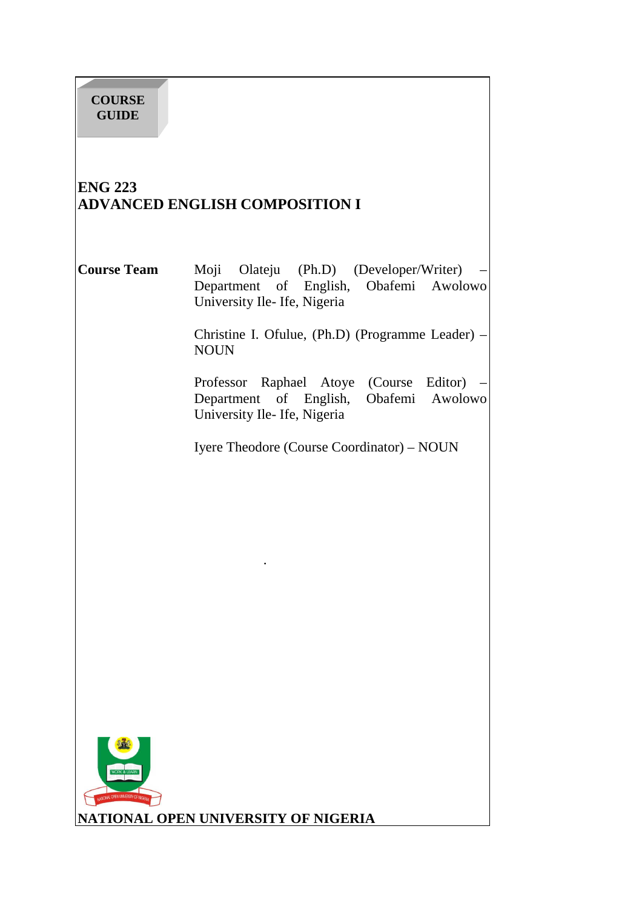# **ENG 223 ADVANCED ENGLISH COMPOSITION I**

**Course Team** Moji Olateju (Ph.D) (Developer/Writer) – Department of English, Obafemi Awolowo University Ile- Ife, Nigeria

> Christine I. Ofulue, (Ph.D) (Programme Leader) – NOUN

Professor Raphael Atoye (Course Editor) – Department of English, Obafemi Awolowo University Ile- Ife, Nigeria

Iyere Theodore (Course Coordinator) – NOUN



.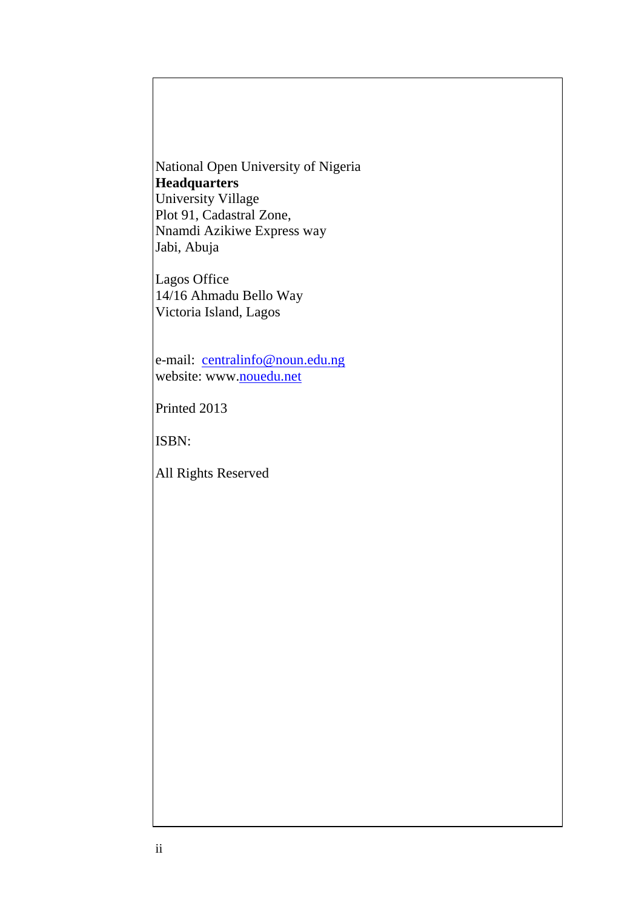National Open University of Nigeria **Headquarters**  University Village Plot 91, Cadastral Zone, Nnamdi Azikiwe Express way Jabi, Abuja

Lagos Office 14/16 Ahmadu Bello Way Victoria Island, Lagos

e-mail: centralinfo@noun.edu.ng website: www.nouedu.net

Printed 2013

ISBN:

All Rights Reserved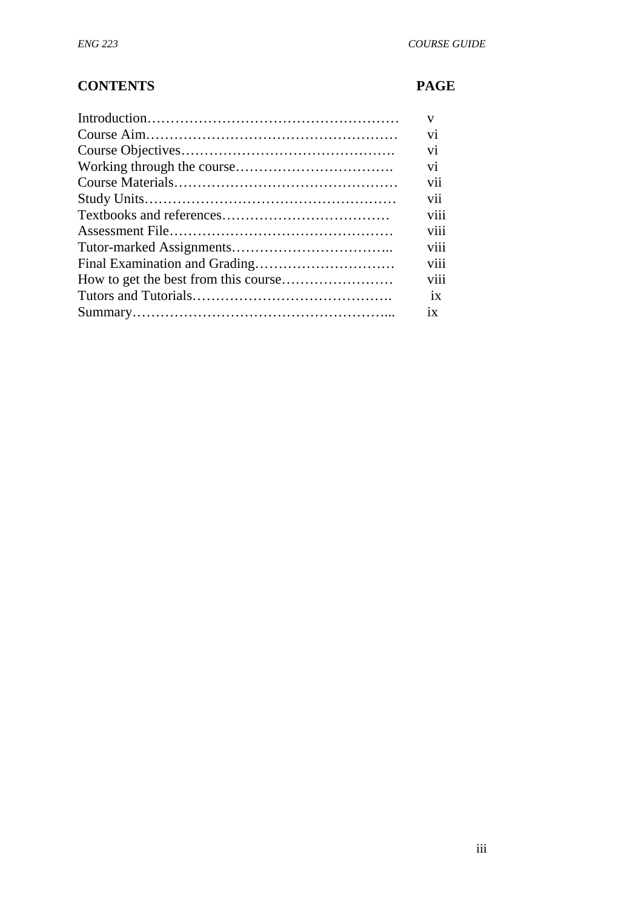# **CONTENTS PAGE**

| $\mathbf{V}$   |
|----------------|
| V <sub>1</sub> |
| V <sub>1</sub> |
| V <sub>1</sub> |
| V11            |
| V11            |
| viii           |
| V111           |
| V111           |
| V111           |
| V111           |
| 1X             |
| 1X             |
|                |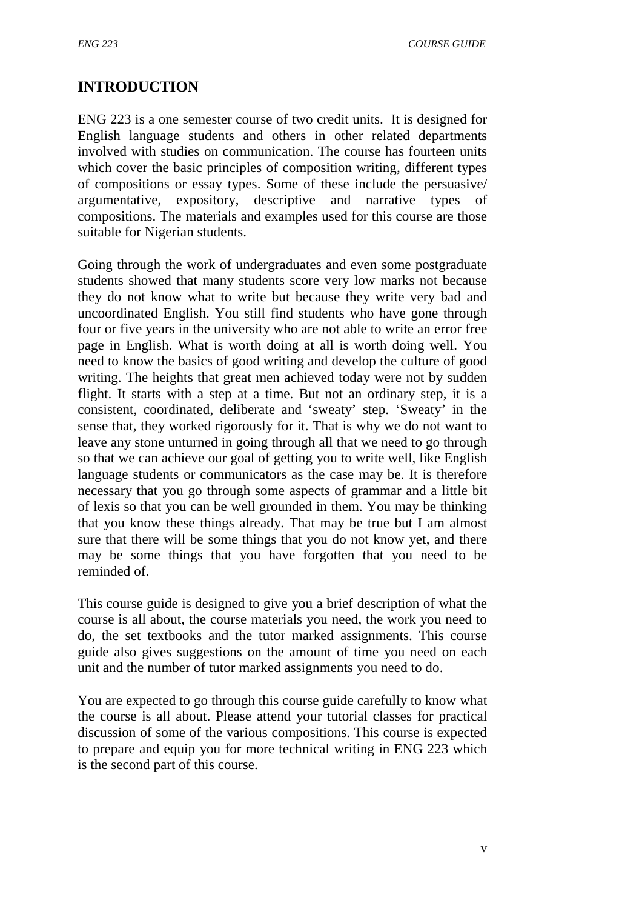## **INTRODUCTION**

ENG 223 is a one semester course of two credit units. It is designed for English language students and others in other related departments involved with studies on communication. The course has fourteen units which cover the basic principles of composition writing, different types of compositions or essay types. Some of these include the persuasive/ argumentative, expository, descriptive and narrative types of compositions. The materials and examples used for this course are those suitable for Nigerian students.

Going through the work of undergraduates and even some postgraduate students showed that many students score very low marks not because they do not know what to write but because they write very bad and uncoordinated English. You still find students who have gone through four or five years in the university who are not able to write an error free page in English. What is worth doing at all is worth doing well. You need to know the basics of good writing and develop the culture of good writing. The heights that great men achieved today were not by sudden flight. It starts with a step at a time. But not an ordinary step, it is a consistent, coordinated, deliberate and 'sweaty' step. 'Sweaty' in the sense that, they worked rigorously for it. That is why we do not want to leave any stone unturned in going through all that we need to go through so that we can achieve our goal of getting you to write well, like English language students or communicators as the case may be. It is therefore necessary that you go through some aspects of grammar and a little bit of lexis so that you can be well grounded in them. You may be thinking that you know these things already. That may be true but I am almost sure that there will be some things that you do not know yet, and there may be some things that you have forgotten that you need to be reminded of.

This course guide is designed to give you a brief description of what the course is all about, the course materials you need, the work you need to do, the set textbooks and the tutor marked assignments. This course guide also gives suggestions on the amount of time you need on each unit and the number of tutor marked assignments you need to do.

You are expected to go through this course guide carefully to know what the course is all about. Please attend your tutorial classes for practical discussion of some of the various compositions. This course is expected to prepare and equip you for more technical writing in ENG 223 which is the second part of this course.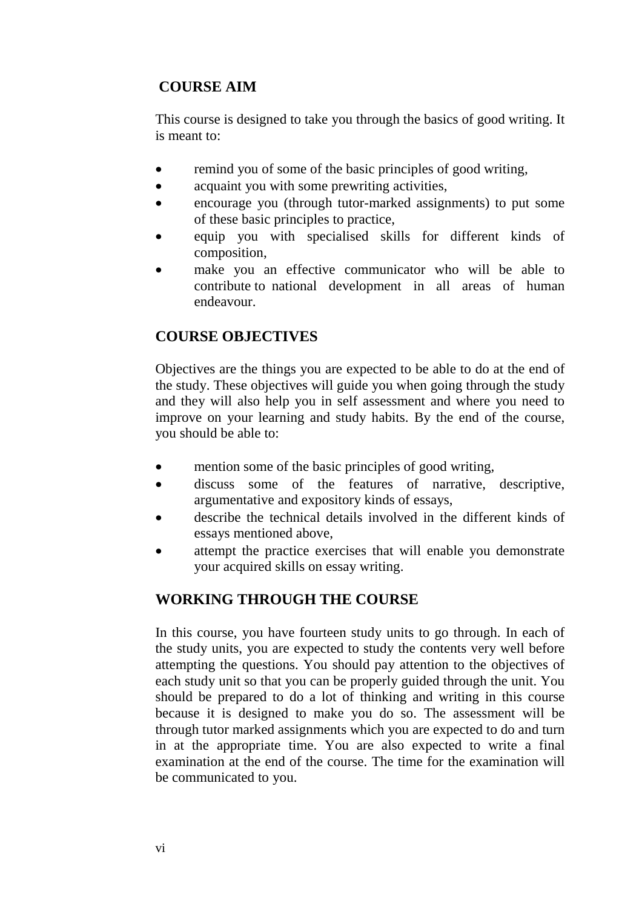## **COURSE AIM**

This course is designed to take you through the basics of good writing. It is meant to:

- remind you of some of the basic principles of good writing,
- acquaint you with some prewriting activities,
- encourage you (through tutor-marked assignments) to put some of these basic principles to practice,
- equip you with specialised skills for different kinds of composition,
- make you an effective communicator who will be able to contribute to national development in all areas of human endeavour.

# **COURSE OBJECTIVES**

Objectives are the things you are expected to be able to do at the end of the study. These objectives will guide you when going through the study and they will also help you in self assessment and where you need to improve on your learning and study habits. By the end of the course, you should be able to:

- mention some of the basic principles of good writing,
- discuss some of the features of narrative, descriptive, argumentative and expository kinds of essays,
- describe the technical details involved in the different kinds of essays mentioned above,
- attempt the practice exercises that will enable you demonstrate your acquired skills on essay writing.

# **WORKING THROUGH THE COURSE**

In this course, you have fourteen study units to go through. In each of the study units, you are expected to study the contents very well before attempting the questions. You should pay attention to the objectives of each study unit so that you can be properly guided through the unit. You should be prepared to do a lot of thinking and writing in this course because it is designed to make you do so. The assessment will be through tutor marked assignments which you are expected to do and turn in at the appropriate time. You are also expected to write a final examination at the end of the course. The time for the examination will be communicated to you.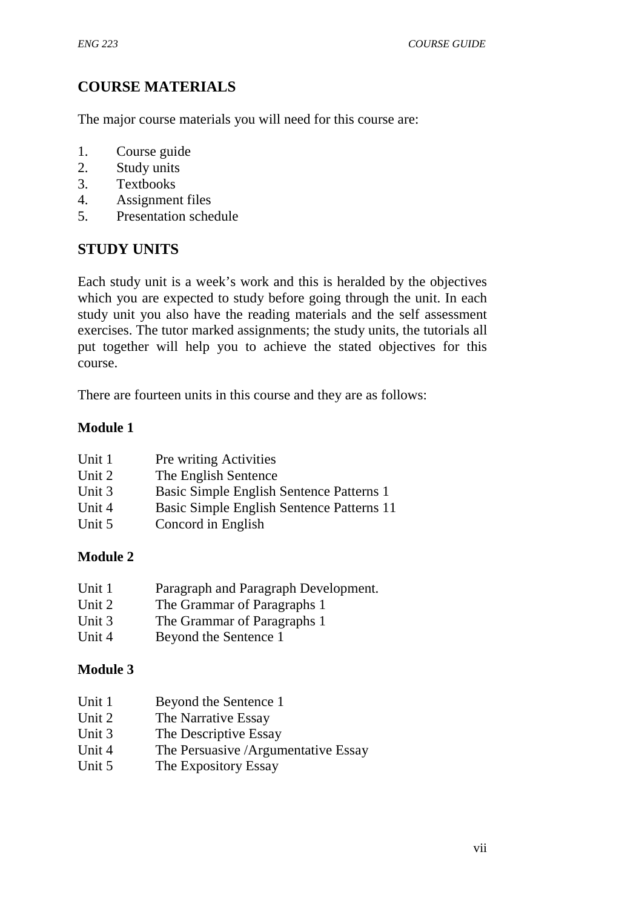# **COURSE MATERIALS**

The major course materials you will need for this course are:

- 1. Course guide
- 2. Study units
- 3. Textbooks
- 4. Assignment files
- 5. Presentation schedule

## **STUDY UNITS**

Each study unit is a week's work and this is heralded by the objectives which you are expected to study before going through the unit. In each study unit you also have the reading materials and the self assessment exercises. The tutor marked assignments; the study units, the tutorials all put together will help you to achieve the stated objectives for this course.

There are fourteen units in this course and they are as follows:

## **Module 1**

| Unit 1 | <b>Pre writing Activities</b>             |
|--------|-------------------------------------------|
| Unit 2 | The English Sentence                      |
| Unit 3 | Basic Simple English Sentence Patterns 1  |
| Unit 4 | Basic Simple English Sentence Patterns 11 |
| Unit 5 | Concord in English                        |

## **Module 2**

- Unit 1 Paragraph and Paragraph Development.
- Unit 2 The Grammar of Paragraphs 1
- Unit 3 The Grammar of Paragraphs 1
- Unit 4 Beyond the Sentence 1

## **Module 3**

| Unit 1 | Beyond the Sentence 1 |
|--------|-----------------------|
|        |                       |

- Unit 2 The Narrative Essay
- Unit 3 The Descriptive Essay
- Unit 4 The Persuasive *Argumentative Essay*
- Unit 5 The Expository Essay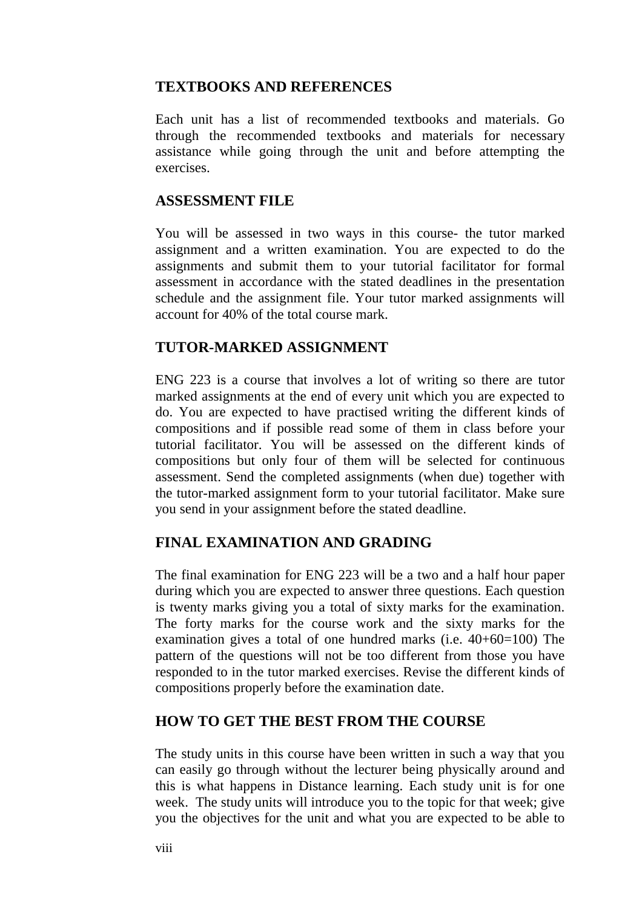## **TEXTBOOKS AND REFERENCES**

Each unit has a list of recommended textbooks and materials. Go through the recommended textbooks and materials for necessary assistance while going through the unit and before attempting the exercises.

## **ASSESSMENT FILE**

You will be assessed in two ways in this course- the tutor marked assignment and a written examination. You are expected to do the assignments and submit them to your tutorial facilitator for formal assessment in accordance with the stated deadlines in the presentation schedule and the assignment file. Your tutor marked assignments will account for 40% of the total course mark.

## **TUTOR-MARKED ASSIGNMENT**

ENG 223 is a course that involves a lot of writing so there are tutor marked assignments at the end of every unit which you are expected to do. You are expected to have practised writing the different kinds of compositions and if possible read some of them in class before your tutorial facilitator. You will be assessed on the different kinds of compositions but only four of them will be selected for continuous assessment. Send the completed assignments (when due) together with the tutor-marked assignment form to your tutorial facilitator. Make sure you send in your assignment before the stated deadline.

## **FINAL EXAMINATION AND GRADING**

The final examination for ENG 223 will be a two and a half hour paper during which you are expected to answer three questions. Each question is twenty marks giving you a total of sixty marks for the examination. The forty marks for the course work and the sixty marks for the examination gives a total of one hundred marks (i.e. 40+60=100) The pattern of the questions will not be too different from those you have responded to in the tutor marked exercises. Revise the different kinds of compositions properly before the examination date.

## **HOW TO GET THE BEST FROM THE COURSE**

The study units in this course have been written in such a way that you can easily go through without the lecturer being physically around and this is what happens in Distance learning. Each study unit is for one week. The study units will introduce you to the topic for that week; give you the objectives for the unit and what you are expected to be able to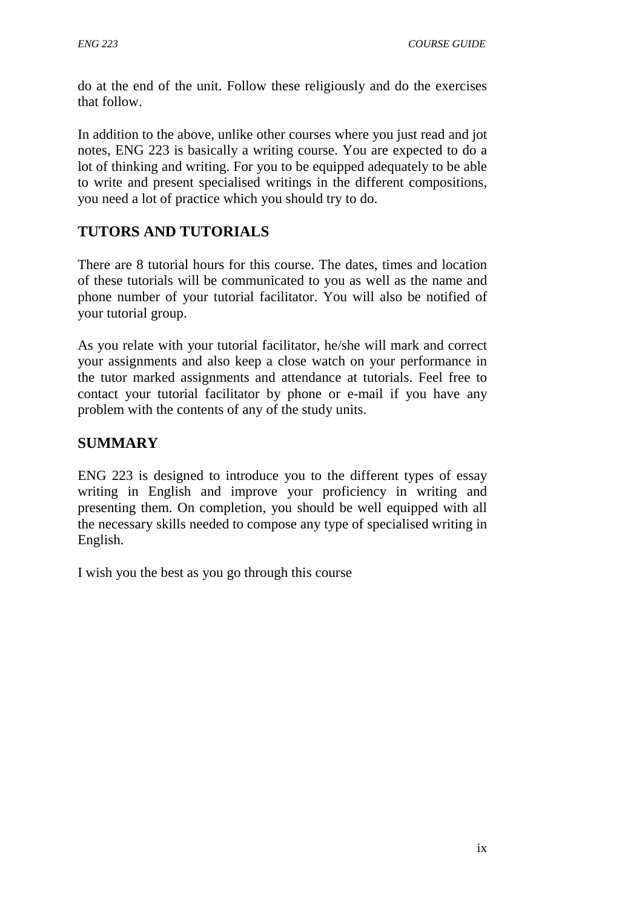do at the end of the unit. Follow these religiously and do the exercises that follow.

In addition to the above, unlike other courses where you just read and jot notes, ENG 223 is basically a writing course. You are expected to do a lot of thinking and writing. For you to be equipped adequately to be able to write and present specialised writings in the different compositions, you need a lot of practice which you should try to do.

# **TUTORS AND TUTORIALS**

There are 8 tutorial hours for this course. The dates, times and location of these tutorials will be communicated to you as well as the name and phone number of your tutorial facilitator. You will also be notified of your tutorial group.

As you relate with your tutorial facilitator, he/she will mark and correct your assignments and also keep a close watch on your performance in the tutor marked assignments and attendance at tutorials. Feel free to contact your tutorial facilitator by phone or e-mail if you have any problem with the contents of any of the study units.

# **SUMMARY**

ENG 223 is designed to introduce you to the different types of essay writing in English and improve your proficiency in writing and presenting them. On completion, you should be well equipped with all the necessary skills needed to compose any type of specialised writing in English.

I wish you the best as you go through this course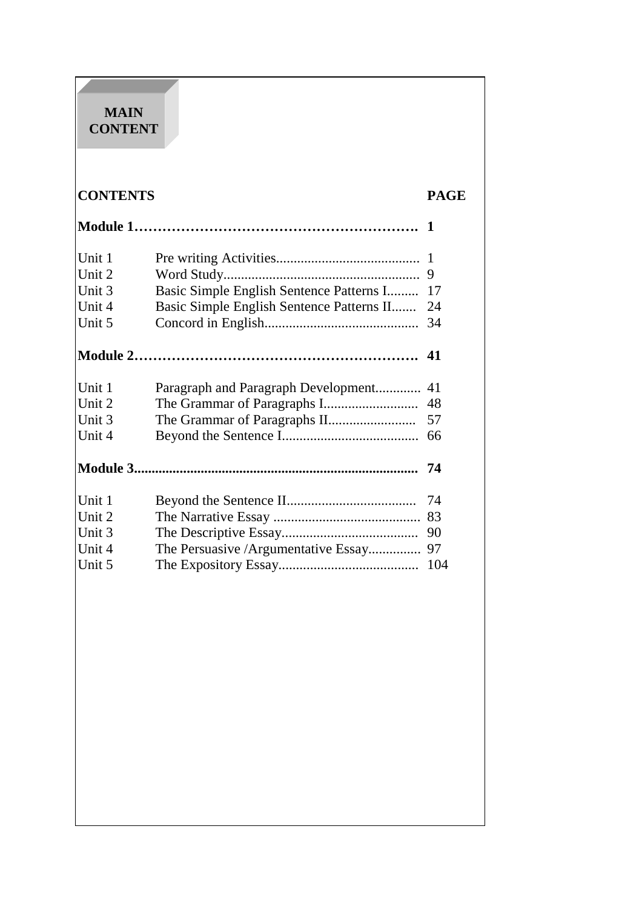## **MAIN CONTENT**

# **CONTENTS PAGE**

| Unit 1 |                                           | -1  |
|--------|-------------------------------------------|-----|
| Unit 2 |                                           | 9   |
| Unit 3 | Basic Simple English Sentence Patterns I  | 17  |
| Unit 4 | Basic Simple English Sentence Patterns II | 24  |
| Unit 5 |                                           | 34  |
|        |                                           |     |
| Unit 1 | Paragraph and Paragraph Development       | 41  |
| Unit 2 |                                           | 48  |
| Unit 3 |                                           | 57  |
| Unit 4 |                                           | 66  |
|        |                                           | 74  |
| Unit 1 |                                           | 74  |
| Unit 2 |                                           | 83  |
| Unit 3 |                                           | 90  |
| Unit 4 | The Persuasive / Argumentative Essay      | 97  |
| Unit 5 |                                           | 104 |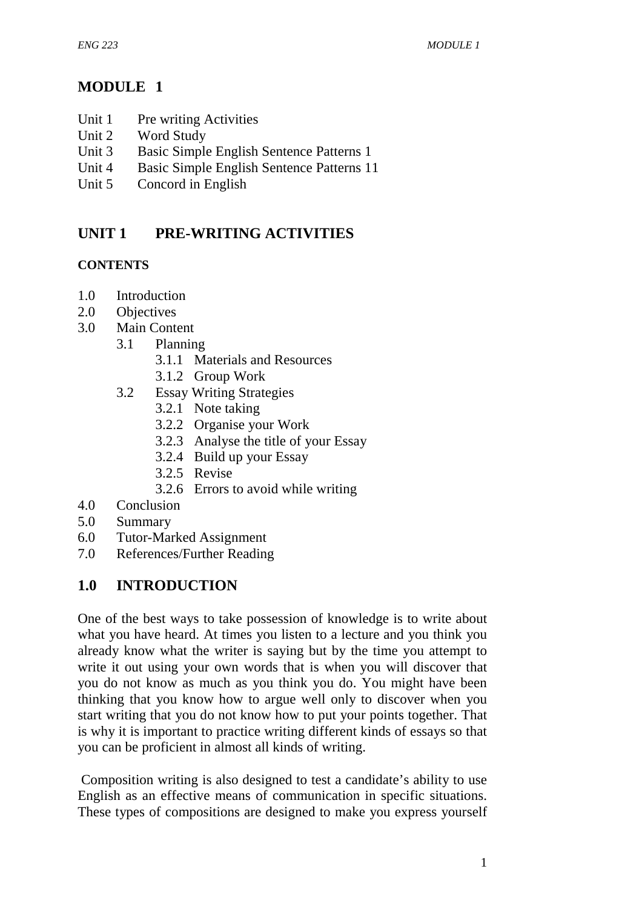# **MODULE 1**

- Unit 1 Pre writing Activities
- Unit 2 Word Study
- Unit 3 Basic Simple English Sentence Patterns 1
- Unit 4 Basic Simple English Sentence Patterns 11
- Unit 5 Concord in English

# **UNIT 1 PRE-WRITING ACTIVITIES**

## **CONTENTS**

- 1.0 Introduction
- 2.0 Objectives
- 3.0 Main Content
	- 3.1 Planning
		- 3.1.1 Materials and Resources
		- 3.1.2 Group Work
	- 3.2 Essay Writing Strategies
		- 3.2.1 Note taking
		- 3.2.2 Organise your Work
		- 3.2.3 Analyse the title of your Essay
		- 3.2.4 Build up your Essay
		- 3.2.5 Revise
		- 3.2.6 Errors to avoid while writing
- 4.0 Conclusion
- 5.0 Summary
- 6.0 Tutor-Marked Assignment
- 7.0 References/Further Reading

# **1.0 INTRODUCTION**

One of the best ways to take possession of knowledge is to write about what you have heard. At times you listen to a lecture and you think you already know what the writer is saying but by the time you attempt to write it out using your own words that is when you will discover that you do not know as much as you think you do. You might have been thinking that you know how to argue well only to discover when you start writing that you do not know how to put your points together. That is why it is important to practice writing different kinds of essays so that you can be proficient in almost all kinds of writing.

 Composition writing is also designed to test a candidate's ability to use English as an effective means of communication in specific situations. These types of compositions are designed to make you express yourself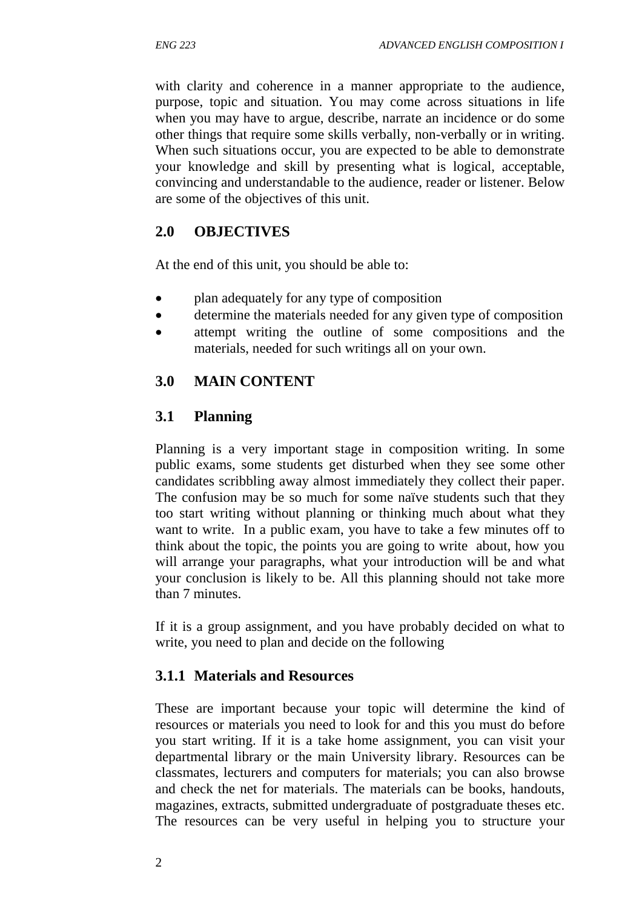with clarity and coherence in a manner appropriate to the audience, purpose, topic and situation. You may come across situations in life when you may have to argue, describe, narrate an incidence or do some other things that require some skills verbally, non-verbally or in writing. When such situations occur, you are expected to be able to demonstrate your knowledge and skill by presenting what is logical, acceptable, convincing and understandable to the audience, reader or listener. Below are some of the objectives of this unit.

## **2.0 OBJECTIVES**

At the end of this unit, you should be able to:

- plan adequately for any type of composition
- determine the materials needed for any given type of composition
- attempt writing the outline of some compositions and the materials, needed for such writings all on your own.

# **3.0 MAIN CONTENT**

## **3.1 Planning**

Planning is a very important stage in composition writing. In some public exams, some students get disturbed when they see some other candidates scribbling away almost immediately they collect their paper. The confusion may be so much for some naïve students such that they too start writing without planning or thinking much about what they want to write. In a public exam, you have to take a few minutes off to think about the topic, the points you are going to write about, how you will arrange your paragraphs, what your introduction will be and what your conclusion is likely to be. All this planning should not take more than 7 minutes.

If it is a group assignment, and you have probably decided on what to write, you need to plan and decide on the following

## **3.1.1 Materials and Resources**

These are important because your topic will determine the kind of resources or materials you need to look for and this you must do before you start writing. If it is a take home assignment, you can visit your departmental library or the main University library. Resources can be classmates, lecturers and computers for materials; you can also browse and check the net for materials. The materials can be books, handouts, magazines, extracts, submitted undergraduate of postgraduate theses etc. The resources can be very useful in helping you to structure your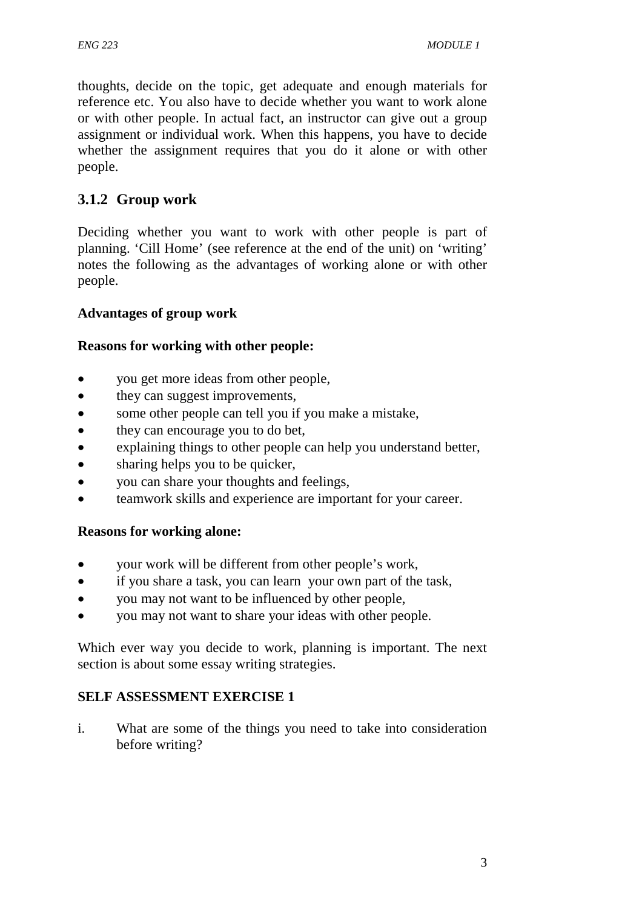thoughts, decide on the topic, get adequate and enough materials for reference etc. You also have to decide whether you want to work alone or with other people. In actual fact, an instructor can give out a group assignment or individual work. When this happens, you have to decide whether the assignment requires that you do it alone or with other people.

# **3.1.2 Group work**

Deciding whether you want to work with other people is part of planning. 'Cill Home' (see reference at the end of the unit) on 'writing' notes the following as the advantages of working alone or with other people.

## **Advantages of group work**

## **Reasons for working with other people:**

- you get more ideas from other people,
- they can suggest improvements,
- some other people can tell you if you make a mistake,
- they can encourage you to do bet,
- explaining things to other people can help you understand better,
- sharing helps you to be quicker,
- vou can share your thoughts and feelings,
- teamwork skills and experience are important for your career.

## **Reasons for working alone:**

- your work will be different from other people's work,
- if you share a task, you can learn your own part of the task,
- you may not want to be influenced by other people,
- you may not want to share your ideas with other people.

Which ever way you decide to work, planning is important. The next section is about some essay writing strategies.

## **SELF ASSESSMENT EXERCISE 1**

i. What are some of the things you need to take into consideration before writing?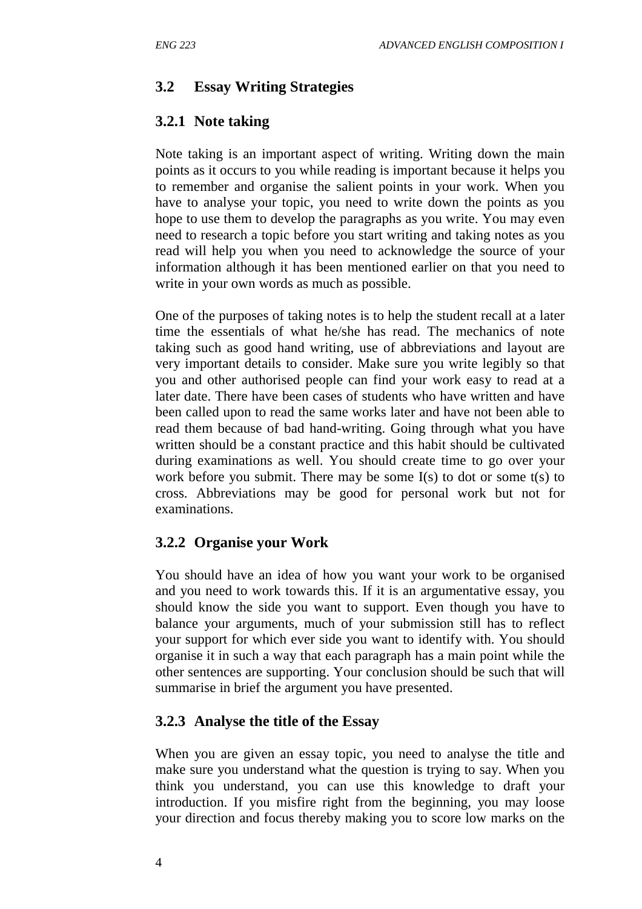# **3.2 Essay Writing Strategies**

# **3.2.1 Note taking**

Note taking is an important aspect of writing. Writing down the main points as it occurs to you while reading is important because it helps you to remember and organise the salient points in your work. When you have to analyse your topic, you need to write down the points as you hope to use them to develop the paragraphs as you write. You may even need to research a topic before you start writing and taking notes as you read will help you when you need to acknowledge the source of your information although it has been mentioned earlier on that you need to write in your own words as much as possible.

One of the purposes of taking notes is to help the student recall at a later time the essentials of what he/she has read. The mechanics of note taking such as good hand writing, use of abbreviations and layout are very important details to consider. Make sure you write legibly so that you and other authorised people can find your work easy to read at a later date. There have been cases of students who have written and have been called upon to read the same works later and have not been able to read them because of bad hand-writing. Going through what you have written should be a constant practice and this habit should be cultivated during examinations as well. You should create time to go over your work before you submit. There may be some I(s) to dot or some t(s) to cross. Abbreviations may be good for personal work but not for examinations.

# **3.2.2 Organise your Work**

You should have an idea of how you want your work to be organised and you need to work towards this. If it is an argumentative essay, you should know the side you want to support. Even though you have to balance your arguments, much of your submission still has to reflect your support for which ever side you want to identify with. You should organise it in such a way that each paragraph has a main point while the other sentences are supporting. Your conclusion should be such that will summarise in brief the argument you have presented.

# **3.2.3 Analyse the title of the Essay**

When you are given an essay topic, you need to analyse the title and make sure you understand what the question is trying to say. When you think you understand, you can use this knowledge to draft your introduction. If you misfire right from the beginning, you may loose your direction and focus thereby making you to score low marks on the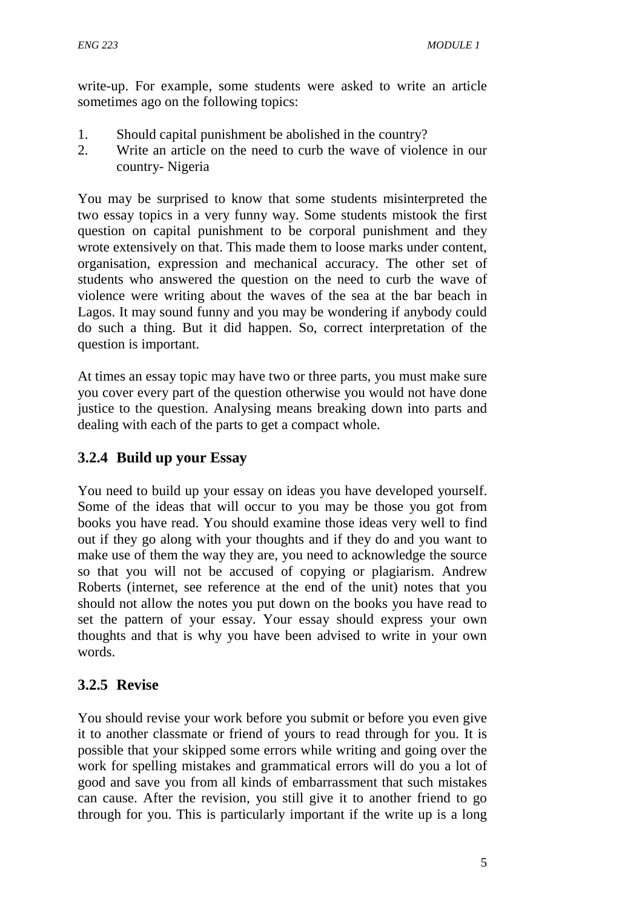write-up. For example, some students were asked to write an article sometimes ago on the following topics:

- 1. Should capital punishment be abolished in the country?
- 2. Write an article on the need to curb the wave of violence in our country- Nigeria

You may be surprised to know that some students misinterpreted the two essay topics in a very funny way. Some students mistook the first question on capital punishment to be corporal punishment and they wrote extensively on that. This made them to loose marks under content, organisation, expression and mechanical accuracy. The other set of students who answered the question on the need to curb the wave of violence were writing about the waves of the sea at the bar beach in Lagos. It may sound funny and you may be wondering if anybody could do such a thing. But it did happen. So, correct interpretation of the question is important.

At times an essay topic may have two or three parts, you must make sure you cover every part of the question otherwise you would not have done justice to the question. Analysing means breaking down into parts and dealing with each of the parts to get a compact whole.

# **3.2.4 Build up your Essay**

You need to build up your essay on ideas you have developed yourself. Some of the ideas that will occur to you may be those you got from books you have read. You should examine those ideas very well to find out if they go along with your thoughts and if they do and you want to make use of them the way they are, you need to acknowledge the source so that you will not be accused of copying or plagiarism. Andrew Roberts (internet, see reference at the end of the unit) notes that you should not allow the notes you put down on the books you have read to set the pattern of your essay. Your essay should express your own thoughts and that is why you have been advised to write in your own words.

# **3.2.5 Revise**

You should revise your work before you submit or before you even give it to another classmate or friend of yours to read through for you. It is possible that your skipped some errors while writing and going over the work for spelling mistakes and grammatical errors will do you a lot of good and save you from all kinds of embarrassment that such mistakes can cause. After the revision, you still give it to another friend to go through for you. This is particularly important if the write up is a long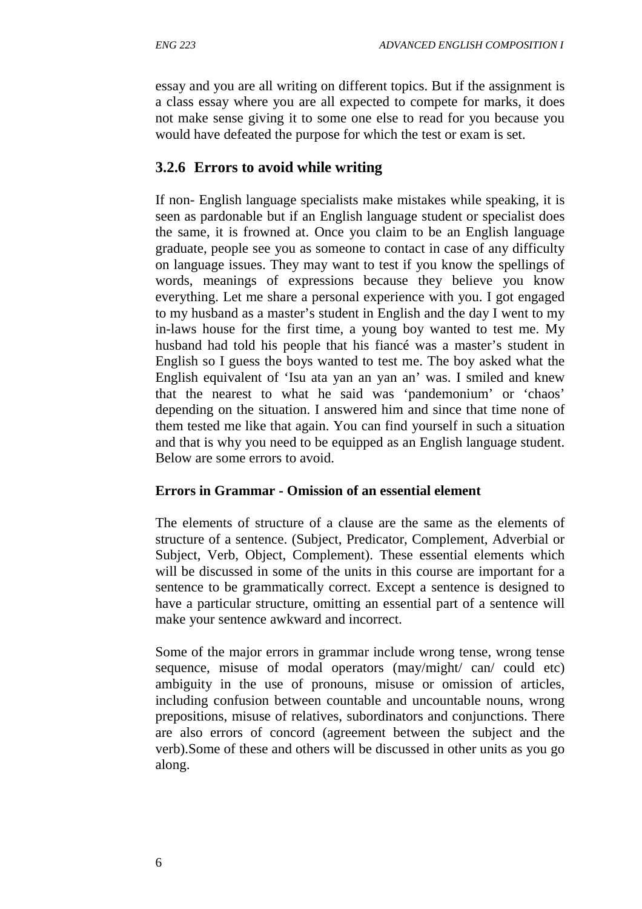essay and you are all writing on different topics. But if the assignment is a class essay where you are all expected to compete for marks, it does not make sense giving it to some one else to read for you because you would have defeated the purpose for which the test or exam is set.

## **3.2.6 Errors to avoid while writing**

If non- English language specialists make mistakes while speaking, it is seen as pardonable but if an English language student or specialist does the same, it is frowned at. Once you claim to be an English language graduate, people see you as someone to contact in case of any difficulty on language issues. They may want to test if you know the spellings of words, meanings of expressions because they believe you know everything. Let me share a personal experience with you. I got engaged to my husband as a master's student in English and the day I went to my in-laws house for the first time, a young boy wanted to test me. My husband had told his people that his fiancé was a master's student in English so I guess the boys wanted to test me. The boy asked what the English equivalent of 'Isu ata yan an yan an' was. I smiled and knew that the nearest to what he said was 'pandemonium' or 'chaos' depending on the situation. I answered him and since that time none of them tested me like that again. You can find yourself in such a situation and that is why you need to be equipped as an English language student. Below are some errors to avoid.

## **Errors in Grammar - Omission of an essential element**

The elements of structure of a clause are the same as the elements of structure of a sentence. (Subject, Predicator, Complement, Adverbial or Subject, Verb, Object, Complement). These essential elements which will be discussed in some of the units in this course are important for a sentence to be grammatically correct. Except a sentence is designed to have a particular structure, omitting an essential part of a sentence will make your sentence awkward and incorrect.

Some of the major errors in grammar include wrong tense, wrong tense sequence, misuse of modal operators (may/might/ can/ could etc) ambiguity in the use of pronouns, misuse or omission of articles, including confusion between countable and uncountable nouns, wrong prepositions, misuse of relatives, subordinators and conjunctions. There are also errors of concord (agreement between the subject and the verb).Some of these and others will be discussed in other units as you go along.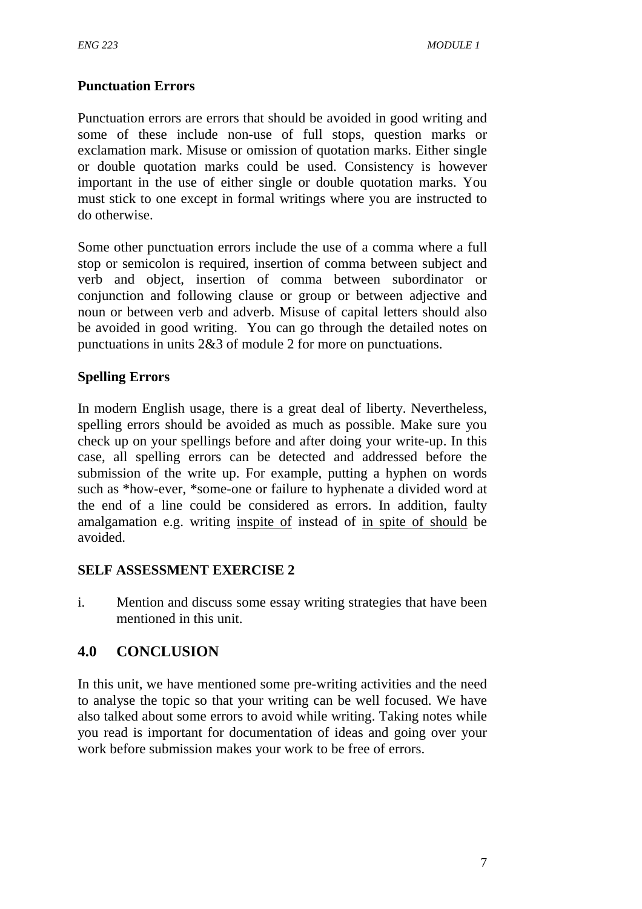## **Punctuation Errors**

Punctuation errors are errors that should be avoided in good writing and some of these include non-use of full stops, question marks or exclamation mark. Misuse or omission of quotation marks. Either single or double quotation marks could be used. Consistency is however important in the use of either single or double quotation marks. You must stick to one except in formal writings where you are instructed to do otherwise.

Some other punctuation errors include the use of a comma where a full stop or semicolon is required, insertion of comma between subject and verb and object, insertion of comma between subordinator or conjunction and following clause or group or between adjective and noun or between verb and adverb. Misuse of capital letters should also be avoided in good writing. You can go through the detailed notes on punctuations in units 2&3 of module 2 for more on punctuations.

## **Spelling Errors**

In modern English usage, there is a great deal of liberty. Nevertheless, spelling errors should be avoided as much as possible. Make sure you check up on your spellings before and after doing your write-up. In this case, all spelling errors can be detected and addressed before the submission of the write up. For example, putting a hyphen on words such as \*how-ever, \*some-one or failure to hyphenate a divided word at the end of a line could be considered as errors. In addition, faulty amalgamation e.g. writing inspite of instead of in spite of should be avoided.

## **SELF ASSESSMENT EXERCISE 2**

i. Mention and discuss some essay writing strategies that have been mentioned in this unit.

## **4.0 CONCLUSION**

In this unit, we have mentioned some pre-writing activities and the need to analyse the topic so that your writing can be well focused. We have also talked about some errors to avoid while writing. Taking notes while you read is important for documentation of ideas and going over your work before submission makes your work to be free of errors.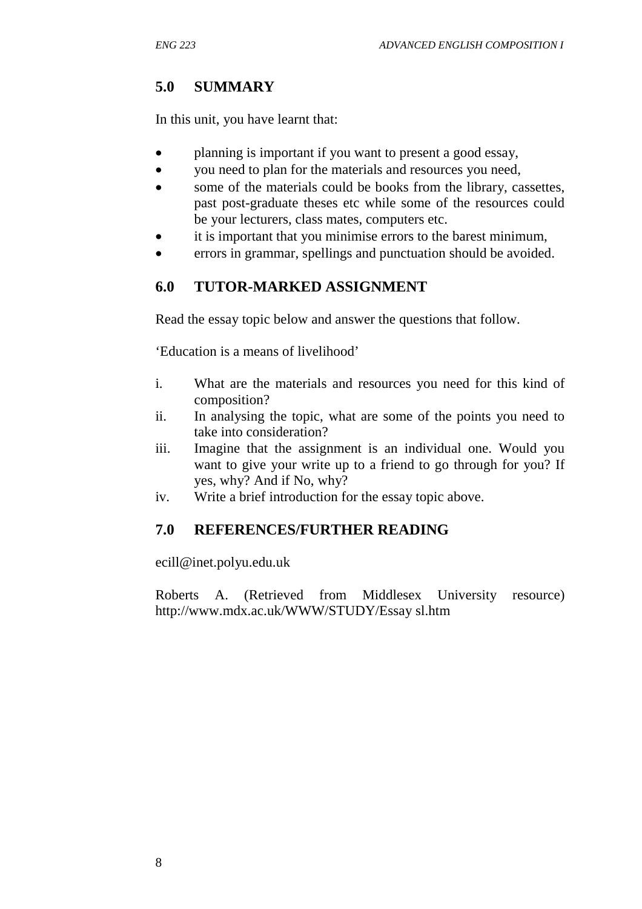# **5.0 SUMMARY**

In this unit, you have learnt that:

- planning is important if you want to present a good essay,
- vou need to plan for the materials and resources you need,
- some of the materials could be books from the library, cassettes, past post-graduate theses etc while some of the resources could be your lecturers, class mates, computers etc.
- it is important that you minimise errors to the barest minimum,
- errors in grammar, spellings and punctuation should be avoided.

# **6.0 TUTOR-MARKED ASSIGNMENT**

Read the essay topic below and answer the questions that follow.

'Education is a means of livelihood'

- i. What are the materials and resources you need for this kind of composition?
- ii. In analysing the topic, what are some of the points you need to take into consideration?
- iii. Imagine that the assignment is an individual one. Would you want to give your write up to a friend to go through for you? If yes, why? And if No, why?
- iv. Write a brief introduction for the essay topic above.

# **7.0 REFERENCES/FURTHER READING**

ecill@inet.polyu.edu.uk

Roberts A. (Retrieved from Middlesex University resource) http://www.mdx.ac.uk/WWW/STUDY/Essay sl.htm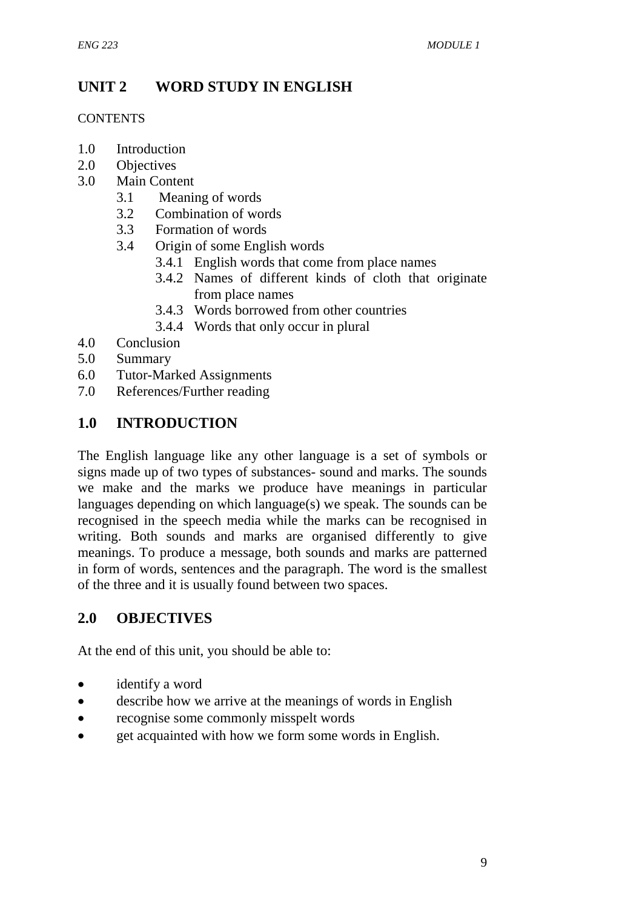# **UNIT 2 WORD STUDY IN ENGLISH**

#### **CONTENTS**

- 1.0 Introduction
- 2.0 Objectives
- 3.0 Main Content
	- 3.1 Meaning of words
	- 3.2 Combination of words
	- 3.3 Formation of words
	- 3.4 Origin of some English words
		- 3.4.1 English words that come from place names
		- 3.4.2 Names of different kinds of cloth that originate from place names
		- 3.4.3 Words borrowed from other countries
		- 3.4.4 Words that only occur in plural
- 4.0 Conclusion
- 5.0 Summary
- 6.0 Tutor-Marked Assignments
- 7.0 References/Further reading

## **1.0 INTRODUCTION**

The English language like any other language is a set of symbols or signs made up of two types of substances- sound and marks. The sounds we make and the marks we produce have meanings in particular languages depending on which language(s) we speak. The sounds can be recognised in the speech media while the marks can be recognised in writing. Both sounds and marks are organised differently to give meanings. To produce a message, both sounds and marks are patterned in form of words, sentences and the paragraph. The word is the smallest of the three and it is usually found between two spaces.

## **2.0 OBJECTIVES**

At the end of this unit, you should be able to:

- identify a word
- describe how we arrive at the meanings of words in English
- recognise some commonly misspelt words
- get acquainted with how we form some words in English.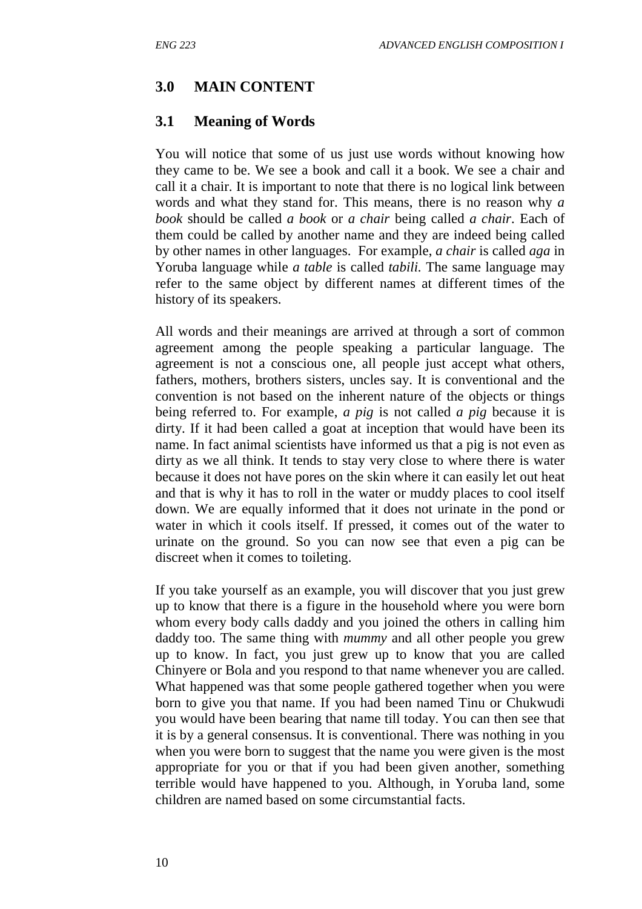## **3.0 MAIN CONTENT**

### **3.1 Meaning of Words**

You will notice that some of us just use words without knowing how they came to be. We see a book and call it a book. We see a chair and call it a chair. It is important to note that there is no logical link between words and what they stand for. This means, there is no reason why *a book* should be called *a book* or *a chair* being called *a chair*. Each of them could be called by another name and they are indeed being called by other names in other languages. For example, *a chair* is called *aga* in Yoruba language while *a table* is called *tabili.* The same language may refer to the same object by different names at different times of the history of its speakers.

All words and their meanings are arrived at through a sort of common agreement among the people speaking a particular language. The agreement is not a conscious one, all people just accept what others, fathers, mothers, brothers sisters, uncles say. It is conventional and the convention is not based on the inherent nature of the objects or things being referred to. For example, *a pig* is not called *a pig* because it is dirty. If it had been called a goat at inception that would have been its name. In fact animal scientists have informed us that a pig is not even as dirty as we all think. It tends to stay very close to where there is water because it does not have pores on the skin where it can easily let out heat and that is why it has to roll in the water or muddy places to cool itself down. We are equally informed that it does not urinate in the pond or water in which it cools itself. If pressed, it comes out of the water to urinate on the ground. So you can now see that even a pig can be discreet when it comes to toileting.

If you take yourself as an example, you will discover that you just grew up to know that there is a figure in the household where you were born whom every body calls daddy and you joined the others in calling him daddy too. The same thing with *mummy* and all other people you grew up to know. In fact, you just grew up to know that you are called Chinyere or Bola and you respond to that name whenever you are called. What happened was that some people gathered together when you were born to give you that name. If you had been named Tinu or Chukwudi you would have been bearing that name till today. You can then see that it is by a general consensus. It is conventional. There was nothing in you when you were born to suggest that the name you were given is the most appropriate for you or that if you had been given another, something terrible would have happened to you. Although, in Yoruba land, some children are named based on some circumstantial facts.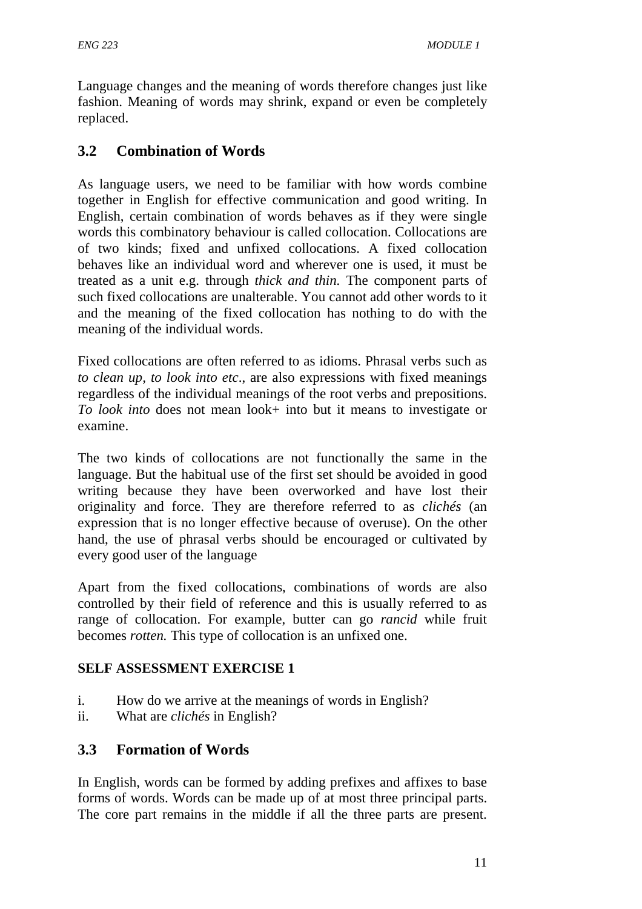Language changes and the meaning of words therefore changes just like fashion. Meaning of words may shrink, expand or even be completely replaced.

## **3.2 Combination of Words**

As language users, we need to be familiar with how words combine together in English for effective communication and good writing. In English, certain combination of words behaves as if they were single words this combinatory behaviour is called collocation. Collocations are of two kinds; fixed and unfixed collocations. A fixed collocation behaves like an individual word and wherever one is used, it must be treated as a unit e.g. through *thick and thin.* The component parts of such fixed collocations are unalterable. You cannot add other words to it and the meaning of the fixed collocation has nothing to do with the meaning of the individual words.

Fixed collocations are often referred to as idioms. Phrasal verbs such as *to clean up, to look into etc*., are also expressions with fixed meanings regardless of the individual meanings of the root verbs and prepositions. *To look into* does not mean look+ into but it means to investigate or examine.

The two kinds of collocations are not functionally the same in the language. But the habitual use of the first set should be avoided in good writing because they have been overworked and have lost their originality and force. They are therefore referred to as *clichés* (an expression that is no longer effective because of overuse). On the other hand, the use of phrasal verbs should be encouraged or cultivated by every good user of the language

Apart from the fixed collocations, combinations of words are also controlled by their field of reference and this is usually referred to as range of collocation. For example, butter can go *rancid* while fruit becomes *rotten.* This type of collocation is an unfixed one.

## **SELF ASSESSMENT EXERCISE 1**

- i. How do we arrive at the meanings of words in English?
- ii. What are *clichés* in English?

## **3.3 Formation of Words**

In English, words can be formed by adding prefixes and affixes to base forms of words. Words can be made up of at most three principal parts. The core part remains in the middle if all the three parts are present.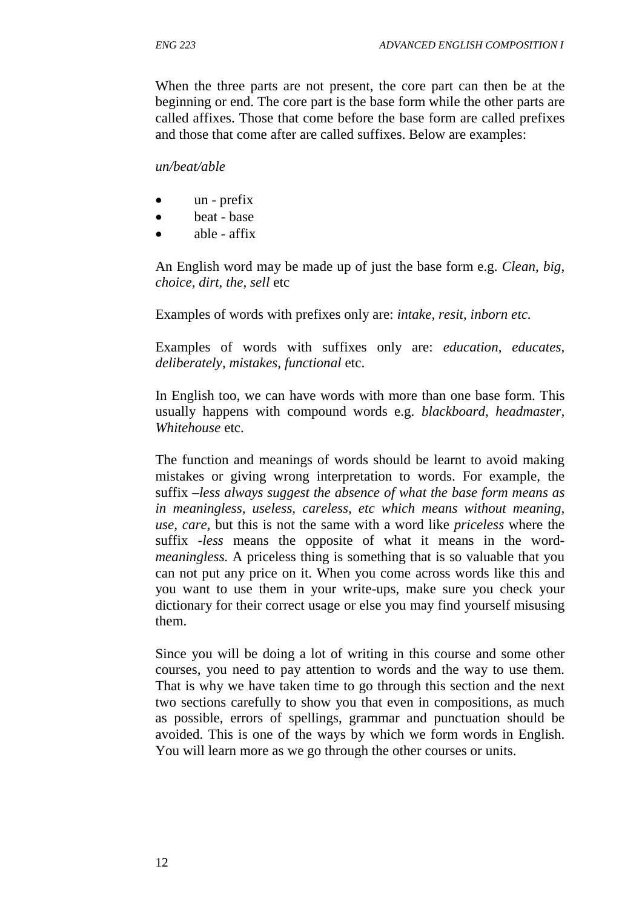When the three parts are not present, the core part can then be at the beginning or end. The core part is the base form while the other parts are called affixes. Those that come before the base form are called prefixes and those that come after are called suffixes. Below are examples:

### *un/beat/able*

- un prefix
- beat base
- able affix

An English word may be made up of just the base form e.g. *Clean, big, choice, dirt, the, sell* etc

Examples of words with prefixes only are: *intake, resit, inborn etc.*

Examples of words with suffixes only are: *education, educates, deliberately, mistakes, functional* etc.

In English too, we can have words with more than one base form. This usually happens with compound words e.g. *blackboard, headmaster, Whitehouse* etc.

The function and meanings of words should be learnt to avoid making mistakes or giving wrong interpretation to words. For example, the suffix –*less always suggest the absence of what the base form means as in meaningless, useless, careless, etc which means without meaning, use, care,* but this is not the same with a word like *priceless* where the suffix *-less* means the opposite of what it means in the word*meaningless.* A priceless thing is something that is so valuable that you can not put any price on it. When you come across words like this and you want to use them in your write-ups, make sure you check your dictionary for their correct usage or else you may find yourself misusing them.

Since you will be doing a lot of writing in this course and some other courses, you need to pay attention to words and the way to use them. That is why we have taken time to go through this section and the next two sections carefully to show you that even in compositions, as much as possible, errors of spellings, grammar and punctuation should be avoided. This is one of the ways by which we form words in English. You will learn more as we go through the other courses or units.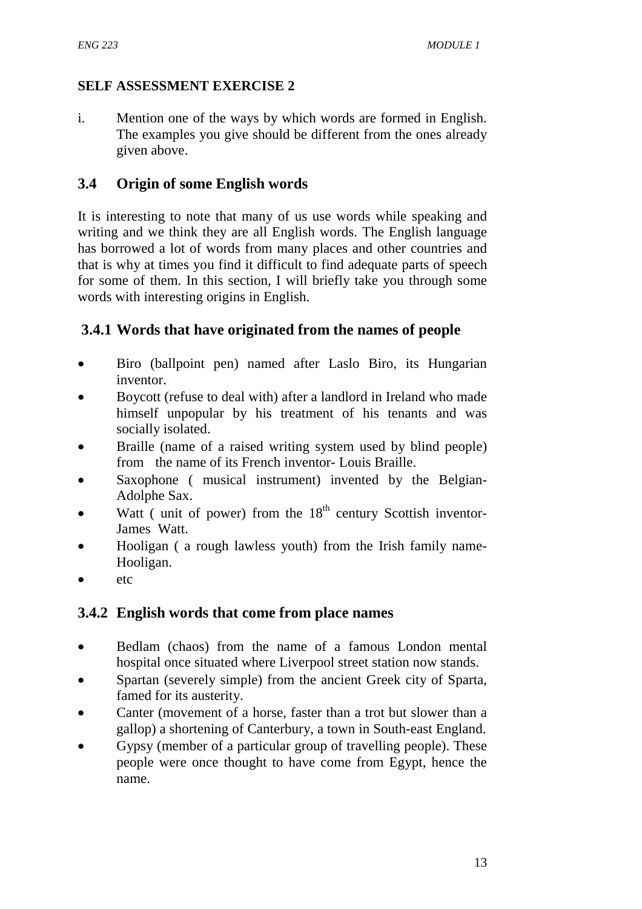## **SELF ASSESSMENT EXERCISE 2**

i. Mention one of the ways by which words are formed in English. The examples you give should be different from the ones already given above.

## **3.4 Origin of some English words**

It is interesting to note that many of us use words while speaking and writing and we think they are all English words. The English language has borrowed a lot of words from many places and other countries and that is why at times you find it difficult to find adequate parts of speech for some of them. In this section, I will briefly take you through some words with interesting origins in English.

# **3.4.1 Words that have originated from the names of people**

- Biro (ballpoint pen) named after Laslo Biro, its Hungarian inventor.
- Boycott (refuse to deal with) after a landlord in Ireland who made himself unpopular by his treatment of his tenants and was socially isolated.
- Braille (name of a raised writing system used by blind people) from the name of its French inventor- Louis Braille.
- Saxophone (musical instrument) invented by the Belgian-Adolphe Sax.
- Watt ( unit of power) from the  $18<sup>th</sup>$  century Scottish inventor-James Watt.
- Hooligan ( a rough lawless youth) from the Irish family name-Hooligan.
- etc

# **3.4.2 English words that come from place names**

- Bedlam (chaos) from the name of a famous London mental hospital once situated where Liverpool street station now stands.
- Spartan (severely simple) from the ancient Greek city of Sparta, famed for its austerity.
- Canter (movement of a horse, faster than a trot but slower than a gallop) a shortening of Canterbury, a town in South-east England.
- Gypsy (member of a particular group of travelling people). These people were once thought to have come from Egypt, hence the name.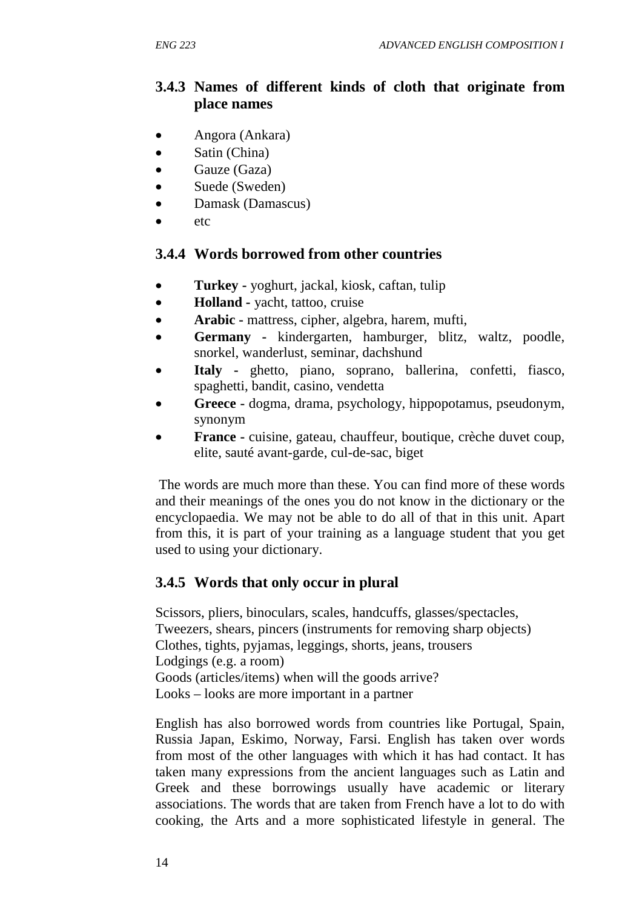## **3.4.3 Names of different kinds of cloth that originate from place names**

- Angora (Ankara)
- Satin (China)
- Gauze (Gaza)
- Suede (Sweden)
- Damask (Damascus)
- etc

## **3.4.4 Words borrowed from other countries**

- **Turkey** yoghurt, jackal, kiosk, caftan, tulip
- **Holland** vacht, tattoo, cruise
- **Arabic mattress, cipher, algebra, harem, mufti,**
- **Germany** kindergarten, hamburger, blitz, waltz, poodle, snorkel, wanderlust, seminar, dachshund
- **Italy** ghetto, piano, soprano, ballerina, confetti, fiasco, spaghetti, bandit, casino, vendetta
- **Greece** dogma, drama, psychology, hippopotamus, pseudonym, synonym
- **France** cuisine, gateau, chauffeur, boutique, crèche duvet coup, elite, sauté avant-garde, cul-de-sac, biget

 The words are much more than these. You can find more of these words and their meanings of the ones you do not know in the dictionary or the encyclopaedia. We may not be able to do all of that in this unit. Apart from this, it is part of your training as a language student that you get used to using your dictionary.

## **3.4.5 Words that only occur in plural**

Scissors, pliers, binoculars, scales, handcuffs, glasses/spectacles, Tweezers, shears, pincers (instruments for removing sharp objects) Clothes, tights, pyjamas, leggings, shorts, jeans, trousers Lodgings (e.g. a room) Goods (articles/items) when will the goods arrive? Looks – looks are more important in a partner

English has also borrowed words from countries like Portugal, Spain, Russia Japan, Eskimo, Norway, Farsi. English has taken over words from most of the other languages with which it has had contact. It has taken many expressions from the ancient languages such as Latin and Greek and these borrowings usually have academic or literary associations. The words that are taken from French have a lot to do with cooking, the Arts and a more sophisticated lifestyle in general. The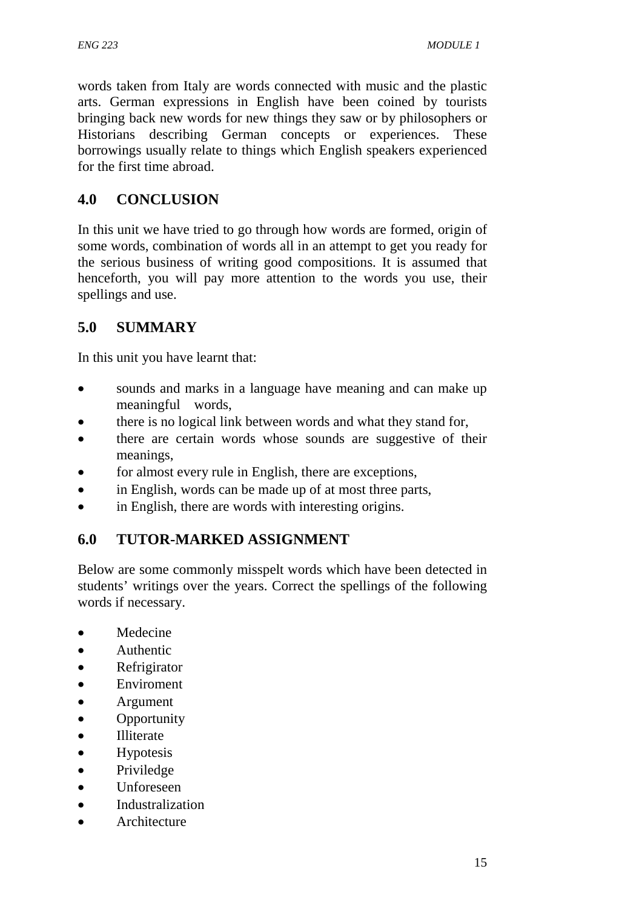words taken from Italy are words connected with music and the plastic arts. German expressions in English have been coined by tourists bringing back new words for new things they saw or by philosophers or Historians describing German concepts or experiences. These borrowings usually relate to things which English speakers experienced for the first time abroad.

# **4.0 CONCLUSION**

In this unit we have tried to go through how words are formed, origin of some words, combination of words all in an attempt to get you ready for the serious business of writing good compositions. It is assumed that henceforth, you will pay more attention to the words you use, their spellings and use.

# **5.0 SUMMARY**

In this unit you have learnt that:

- sounds and marks in a language have meaning and can make up meaningful words,
- there is no logical link between words and what they stand for,
- there are certain words whose sounds are suggestive of their meanings,
- for almost every rule in English, there are exceptions,
- in English, words can be made up of at most three parts,
- in English, there are words with interesting origins.

# **6.0 TUTOR-MARKED ASSIGNMENT**

Below are some commonly misspelt words which have been detected in students' writings over the years. Correct the spellings of the following words if necessary.

- **Medecine**
- Authentic
- **Refrigirator**
- **Enviroment**
- Argument
- **Opportunity**
- Illiterate
- **Hypotesis**
- Priviledge
- Unforeseen
- Industralization
- **Architecture**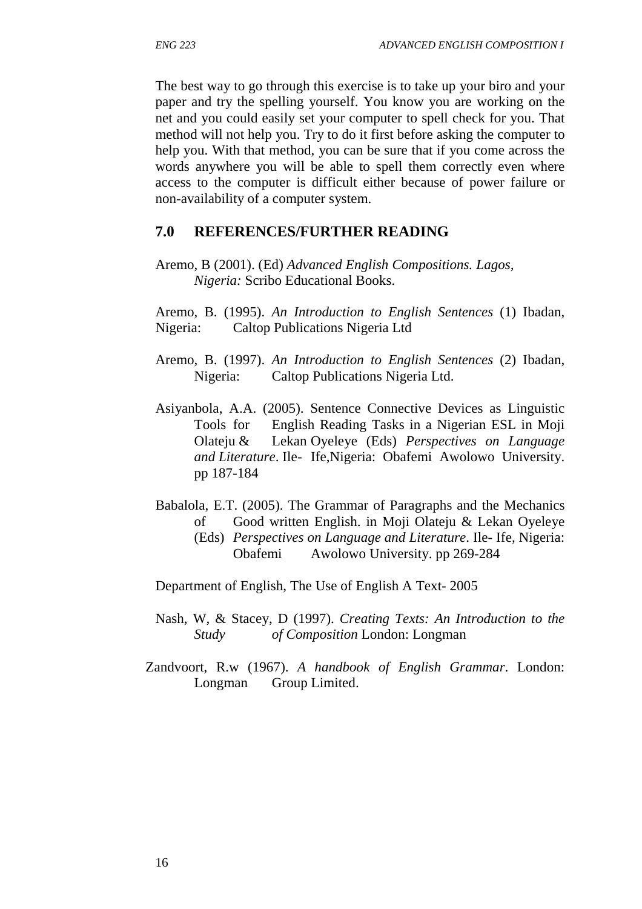The best way to go through this exercise is to take up your biro and your paper and try the spelling yourself. You know you are working on the net and you could easily set your computer to spell check for you. That method will not help you. Try to do it first before asking the computer to help you. With that method, you can be sure that if you come across the words anywhere you will be able to spell them correctly even where access to the computer is difficult either because of power failure or non-availability of a computer system.

### **7.0 REFERENCES/FURTHER READING**

Aremo, B (2001). (Ed) *Advanced English Compositions. Lagos, Nigeria:* Scribo Educational Books.

Aremo, B. (1995). *An Introduction to English Sentences* (1) Ibadan, Nigeria: Caltop Publications Nigeria Ltd

- Aremo, B. (1997). *An Introduction to English Sentences* (2) Ibadan, Nigeria: Caltop Publications Nigeria Ltd.
- Asiyanbola, A.A. (2005). Sentence Connective Devices as Linguistic Tools for English Reading Tasks in a Nigerian ESL in Moji Olateju & Lekan Oyeleye (Eds) *Perspectives on Language and Literature*. Ile- Ife,Nigeria: Obafemi Awolowo University. pp 187-184
- Babalola, E.T. (2005). The Grammar of Paragraphs and the Mechanics of Good written English. in Moji Olateju & Lekan Oyeleye
	- (Eds) *Perspectives on Language and Literature*. Ile- Ife, Nigeria: Obafemi Awolowo University. pp 269-284

Department of English, The Use of English A Text- 2005

- Nash, W, & Stacey, D (1997). *Creating Texts: An Introduction to the Study of Composition* London: Longman
- Zandvoort, R.w (1967). *A handbook of English Grammar*. London: Longman Group Limited.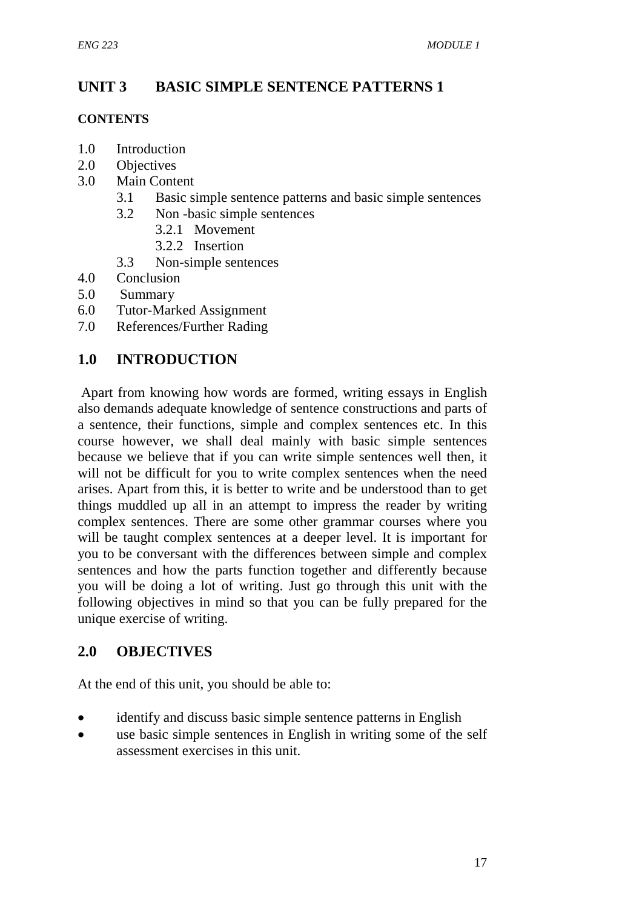## **UNIT 3 BASIC SIMPLE SENTENCE PATTERNS 1**

#### **CONTENTS**

- 1.0 Introduction
- 2.0 Objectives
- 3.0 Main Content
	- 3.1 Basic simple sentence patterns and basic simple sentences
	- 3.2 Non -basic simple sentences
		- 3.2.1 Movement
		- 3.2.2 Insertion
	- 3.3 Non-simple sentences
- 4.0 Conclusion
- 5.0 Summary
- 6.0 Tutor-Marked Assignment
- 7.0 References/Further Rading

## **1.0 INTRODUCTION**

 Apart from knowing how words are formed, writing essays in English also demands adequate knowledge of sentence constructions and parts of a sentence, their functions, simple and complex sentences etc. In this course however, we shall deal mainly with basic simple sentences because we believe that if you can write simple sentences well then, it will not be difficult for you to write complex sentences when the need arises. Apart from this, it is better to write and be understood than to get things muddled up all in an attempt to impress the reader by writing complex sentences. There are some other grammar courses where you will be taught complex sentences at a deeper level. It is important for you to be conversant with the differences between simple and complex sentences and how the parts function together and differently because you will be doing a lot of writing. Just go through this unit with the following objectives in mind so that you can be fully prepared for the unique exercise of writing.

# **2.0 OBJECTIVES**

At the end of this unit, you should be able to:

- identify and discuss basic simple sentence patterns in English
- use basic simple sentences in English in writing some of the self assessment exercises in this unit.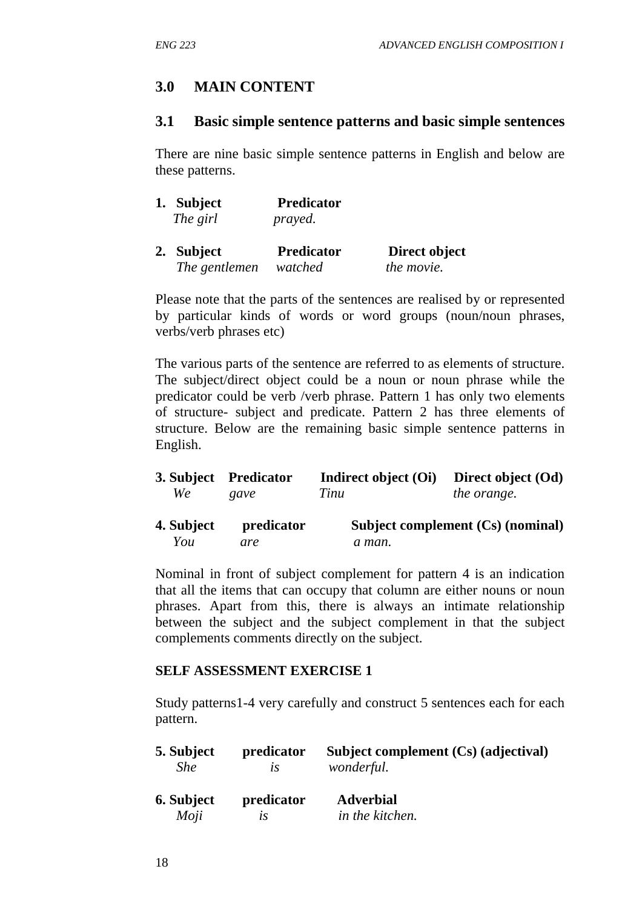## **3.0 MAIN CONTENT**

### **3.1 Basic simple sentence patterns and basic simple sentences**

There are nine basic simple sentence patterns in English and below are these patterns.

| 1. Subject    | <b>Predicator</b> |               |
|---------------|-------------------|---------------|
| The girl      | prayed.           |               |
| 2. Subject    | <b>Predicator</b> | Direct object |
| The gentlemen | watched           | the movie.    |

Please note that the parts of the sentences are realised by or represented by particular kinds of words or word groups (noun/noun phrases, verbs/verb phrases etc)

The various parts of the sentence are referred to as elements of structure. The subject/direct object could be a noun or noun phrase while the predicator could be verb /verb phrase. Pattern 1 has only two elements of structure- subject and predicate. Pattern 2 has three elements of structure. Below are the remaining basic simple sentence patterns in English.

| We <i>We</i> | 3. Subject Predicator<br>gave | Indirect object (Oi) Direct object (Od)<br>Tinu | <i>the orange.</i>                                                          |
|--------------|-------------------------------|-------------------------------------------------|-----------------------------------------------------------------------------|
| 4 Subject    | nredicator                    |                                                 | $\mathbf{C}_v$ and $\mathbf{C}_v$ (no $\mathbf{C}_v$ ) (no $\mathbf{C}_v$ ) |

**4. Subject predicator Subject complement (Cs) (nominal)**  *You are a man.* 

Nominal in front of subject complement for pattern 4 is an indication that all the items that can occupy that column are either nouns or noun phrases. Apart from this, there is always an intimate relationship between the subject and the subject complement in that the subject complements comments directly on the subject.

## **SELF ASSESSMENT EXERCISE 1**

Study patterns1-4 very carefully and construct 5 sentences each for each pattern.

| 5. Subject        | predicator | Subject complement (Cs) (adjectival) |
|-------------------|------------|--------------------------------------|
| <b>She</b>        | lS         | wonderful.                           |
| <b>6. Subject</b> | predicator | <b>Adverbial</b>                     |
| Moji              | lS         | in the kitchen.                      |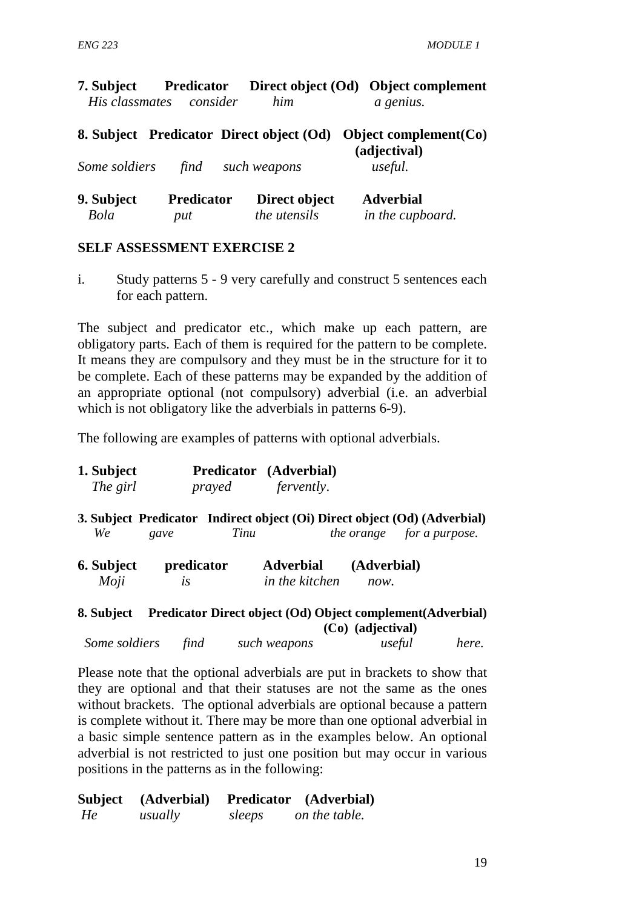| 7. Subject                | <b>Predicator</b>        |                                          | Direct object (Od) Object complement     |
|---------------------------|--------------------------|------------------------------------------|------------------------------------------|
| His classmates            | consider                 | him                                      | a genius.                                |
|                           |                          | 8. Subject Predicator Direct object (Od) | Object complement $(Co)$<br>(adjectival) |
| Some soldiers             | find                     | such weapons                             | useful.                                  |
| 9. Subject<br><b>Bola</b> | <b>Predicator</b><br>put | Direct object<br>the utensils            | <b>Adverbial</b><br>in the cupboard.     |

### **SELF ASSESSMENT EXERCISE 2**

i. Study patterns 5 - 9 very carefully and construct 5 sentences each for each pattern.

The subject and predicator etc., which make up each pattern, are obligatory parts. Each of them is required for the pattern to be complete. It means they are compulsory and they must be in the structure for it to be complete. Each of these patterns may be expanded by the addition of an appropriate optional (not compulsory) adverbial (i.e. an adverbial which is not obligatory like the adverbials in patterns 6-9).

The following are examples of patterns with optional adverbials.

| 1. Subject |        | Predicator (Adverbial) |
|------------|--------|------------------------|
| The girl   | prayed | <i>fervently.</i>      |

**3. Subject Predicator Indirect object (Oi) Direct object (Od) (Adverbial)**  *We gave Tinu the orange for a purpose.* 

| 6. Subject | predicator | <b>Adverbial</b>      | (Adverbial) |
|------------|------------|-----------------------|-------------|
| Moji       | lS         | <i>in the kitchen</i> | now.        |

#### **8. Subject Predicator Direct object (Od) Object complement(Adverbial) (Co) (adjectival)**

| Some soldiers | find | such weapons | useful | here. |
|---------------|------|--------------|--------|-------|
|---------------|------|--------------|--------|-------|

Please note that the optional adverbials are put in brackets to show that they are optional and that their statuses are not the same as the ones without brackets. The optional adverbials are optional because a pattern is complete without it. There may be more than one optional adverbial in a basic simple sentence pattern as in the examples below. An optional adverbial is not restricted to just one position but may occur in various positions in the patterns as in the following:

| <b>Subject</b> | (Adverbial) |        | Predicator (Adverbial) |
|----------------|-------------|--------|------------------------|
| He             | usually     | sleeps | on the table.          |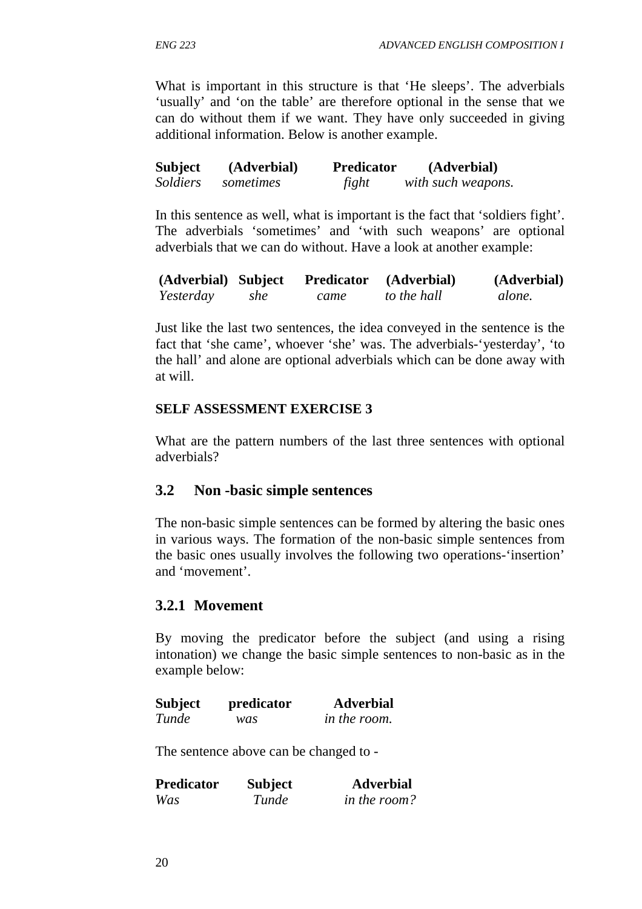What is important in this structure is that 'He sleeps'. The adverbials 'usually' and 'on the table' are therefore optional in the sense that we can do without them if we want. They have only succeeded in giving additional information. Below is another example.

| <b>Subject</b> | (Adverbial) | <b>Predicator</b> | (Adverbial)        |
|----------------|-------------|-------------------|--------------------|
| Soldiers       | sometimes   | fight             | with such weapons. |

In this sentence as well, what is important is the fact that 'soldiers fight'. The adverbials 'sometimes' and 'with such weapons' are optional adverbials that we can do without. Have a look at another example:

| (Adverbial) Subject |     | <b>Predicator</b> | (Adverbial) | (Adverbial) |
|---------------------|-----|-------------------|-------------|-------------|
| Yesterday           | she | came              | to the hall | alone.      |

Just like the last two sentences, the idea conveyed in the sentence is the fact that 'she came', whoever 'she' was. The adverbials-'yesterday', 'to the hall' and alone are optional adverbials which can be done away with at will.

## **SELF ASSESSMENT EXERCISE 3**

What are the pattern numbers of the last three sentences with optional adverbials?

## **3.2 Non -basic simple sentences**

The non-basic simple sentences can be formed by altering the basic ones in various ways. The formation of the non-basic simple sentences from the basic ones usually involves the following two operations-'insertion' and 'movement'.

## **3.2.1 Movement**

By moving the predicator before the subject (and using a rising intonation) we change the basic simple sentences to non-basic as in the example below:

| <b>Subject</b> | predicator | <b>Adverbial</b>    |
|----------------|------------|---------------------|
| Tunde          | was        | <i>in the room.</i> |

The sentence above can be changed to -

| Predicator | <b>Subject</b> | <b>Adverbial</b> |
|------------|----------------|------------------|
| Was        | Tunde          | in the room?     |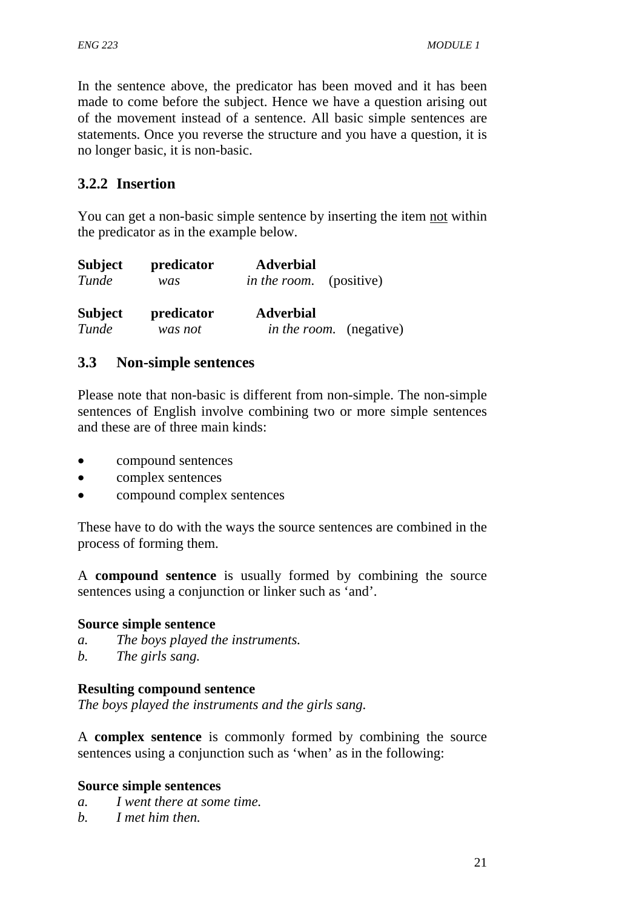In the sentence above, the predicator has been moved and it has been made to come before the subject. Hence we have a question arising out of the movement instead of a sentence. All basic simple sentences are statements. Once you reverse the structure and you have a question, it is no longer basic, it is non-basic.

## **3.2.2 Insertion**

You can get a non-basic simple sentence by inserting the item not within the predicator as in the example below.

| <b>Subject</b> | predicator | <b>Adverbial</b>               |
|----------------|------------|--------------------------------|
| Tunde          | was        | <i>in the room.</i> (positive) |
| <b>Subject</b> | predicator | <b>Adverbial</b>               |
| Tunde          | was not    | <i>in the room.</i> (negative) |

## **3.3 Non-simple sentences**

Please note that non-basic is different from non-simple. The non-simple sentences of English involve combining two or more simple sentences and these are of three main kinds:

- compound sentences
- complex sentences
- compound complex sentences

These have to do with the ways the source sentences are combined in the process of forming them.

A **compound sentence** is usually formed by combining the source sentences using a conjunction or linker such as 'and'.

## **Source simple sentence**

- *a. The boys played the instruments.*
- *b. The girls sang.*

## **Resulting compound sentence**

*The boys played the instruments and the girls sang.*

A **complex sentence** is commonly formed by combining the source sentences using a conjunction such as 'when' as in the following:

## **Source simple sentences**

- *a. I went there at some time.*
- *b. I met him then.*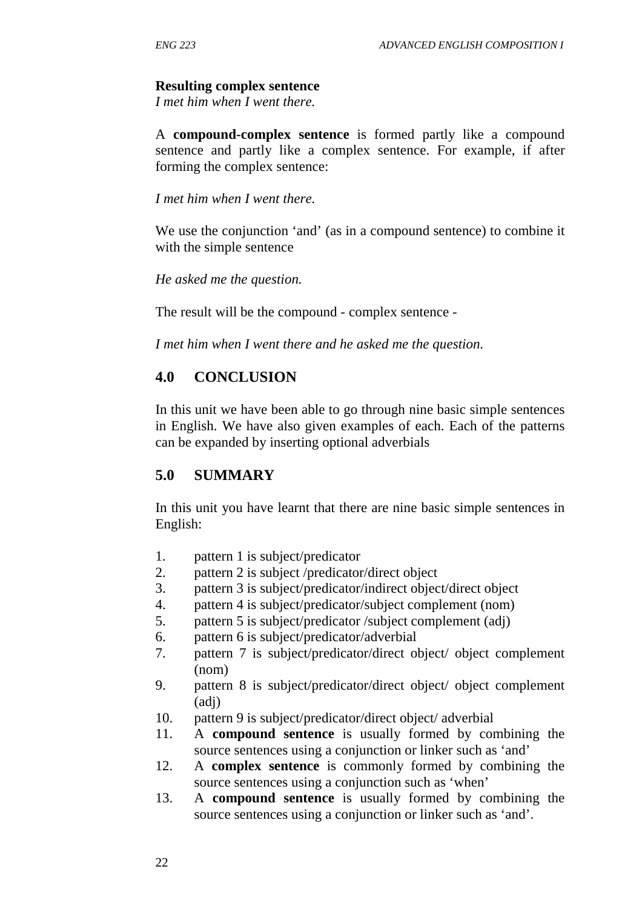## **Resulting complex sentence**

*I met him when I went there.* 

A **compound-complex sentence** is formed partly like a compound sentence and partly like a complex sentence. For example, if after forming the complex sentence:

*I met him when I went there.* 

We use the conjunction 'and' (as in a compound sentence) to combine it with the simple sentence

*He asked me the question.* 

The result will be the compound - complex sentence -

*I met him when I went there and he asked me the question.* 

## **4.0 CONCLUSION**

In this unit we have been able to go through nine basic simple sentences in English. We have also given examples of each. Each of the patterns can be expanded by inserting optional adverbials

## **5.0 SUMMARY**

In this unit you have learnt that there are nine basic simple sentences in English:

- 1. pattern 1 is subject/predicator
- 2. pattern 2 is subject /predicator/direct object
- 3. pattern 3 is subject/predicator/indirect object/direct object
- 4. pattern 4 is subject/predicator/subject complement (nom)
- 5. pattern 5 is subject/predicator /subject complement (adj)
- 6. pattern 6 is subject/predicator/adverbial
- 7. pattern 7 is subject/predicator/direct object/ object complement (nom)
- 9. pattern 8 is subject/predicator/direct object/ object complement (adj)
- 10. pattern 9 is subject/predicator/direct object/ adverbial
- 11. A **compound sentence** is usually formed by combining the source sentences using a conjunction or linker such as 'and'
- 12. A **complex sentence** is commonly formed by combining the source sentences using a conjunction such as 'when'
- 13. A **compound sentence** is usually formed by combining the source sentences using a conjunction or linker such as 'and'.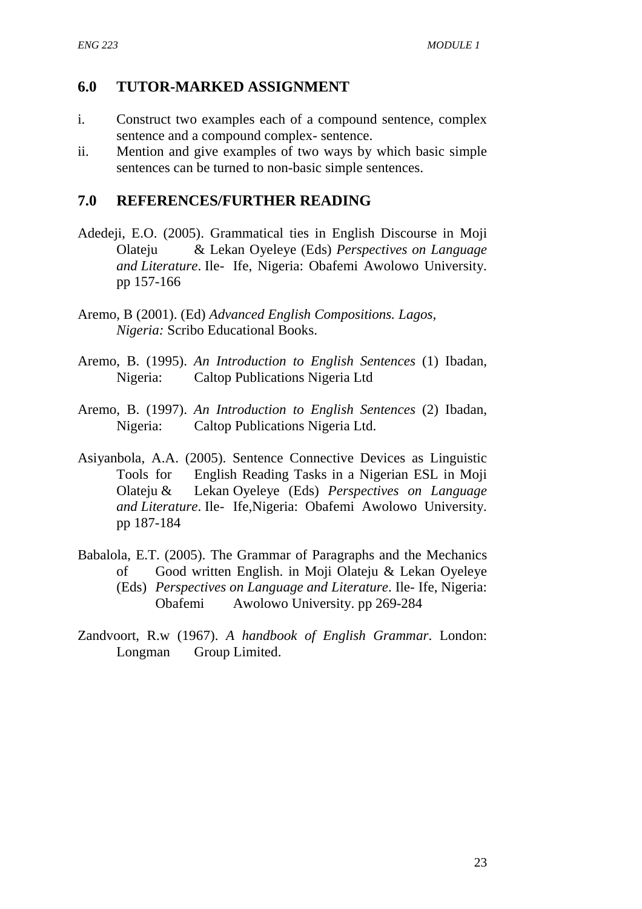## **6.0 TUTOR-MARKED ASSIGNMENT**

- i. Construct two examples each of a compound sentence, complex sentence and a compound complex- sentence.
- ii. Mention and give examples of two ways by which basic simple sentences can be turned to non-basic simple sentences.

## **7.0 REFERENCES/FURTHER READING**

- Adedeji, E.O. (2005). Grammatical ties in English Discourse in Moji Olateju & Lekan Oyeleye (Eds) *Perspectives on Language and Literature*. Ile- Ife, Nigeria: Obafemi Awolowo University. pp 157-166
- Aremo, B (2001). (Ed) *Advanced English Compositions. Lagos, Nigeria:* Scribo Educational Books.
- Aremo, B. (1995). *An Introduction to English Sentences* (1) Ibadan, Nigeria: Caltop Publications Nigeria Ltd
- Aremo, B. (1997). *An Introduction to English Sentences* (2) Ibadan, Nigeria: Caltop Publications Nigeria Ltd.
- Asiyanbola, A.A. (2005). Sentence Connective Devices as Linguistic Tools for English Reading Tasks in a Nigerian ESL in Moji Olateju & Lekan Oyeleye (Eds) *Perspectives on Language and Literature*. Ile- Ife,Nigeria: Obafemi Awolowo University. pp 187-184
- Babalola, E.T. (2005). The Grammar of Paragraphs and the Mechanics of Good written English. in Moji Olateju & Lekan Oyeleye (Eds) *Perspectives on Language and Literature*. Ile- Ife, Nigeria: Obafemi Awolowo University. pp 269-284
- Zandvoort, R.w (1967). *A handbook of English Grammar*. London: Longman Group Limited.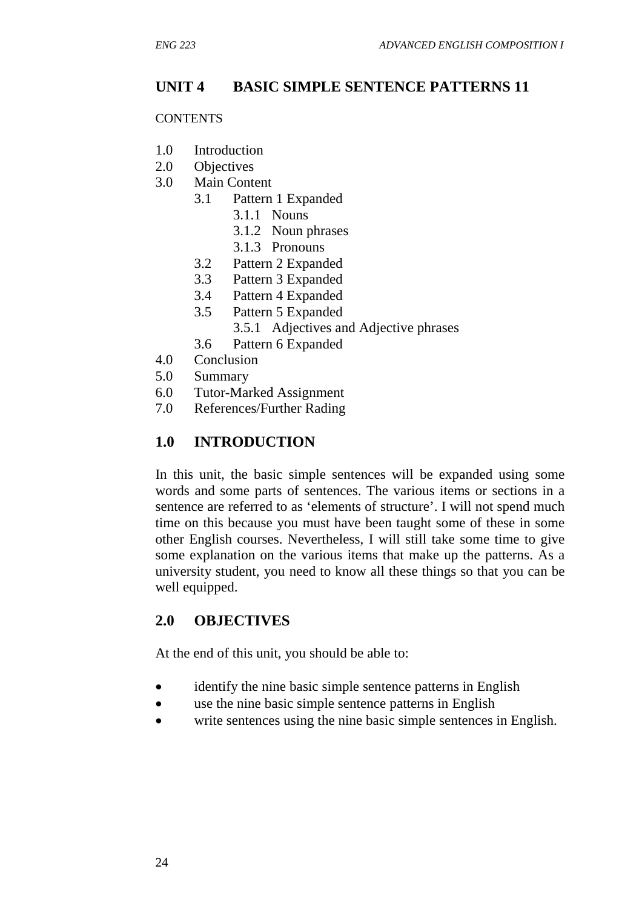# **UNIT 4 BASIC SIMPLE SENTENCE PATTERNS 11**

#### **CONTENTS**

- 1.0 Introduction
- 2.0 Objectives
- 3.0 Main Content
	- 3.1 Pattern 1 Expanded
		- 3.1.1 Nouns
		- 3.1.2 Noun phrases
		- 3.1.3 Pronouns
		- 3.2 Pattern 2 Expanded
		- 3.3 Pattern 3 Expanded
		- 3.4 Pattern 4 Expanded
		- 3.5 Pattern 5 Expanded
			- 3.5.1 Adjectives and Adjective phrases
		- 3.6 Pattern 6 Expanded
- 4.0 Conclusion
- 5.0 Summary
- 6.0 Tutor-Marked Assignment
- 7.0 References/Further Rading

## **1.0 INTRODUCTION**

In this unit, the basic simple sentences will be expanded using some words and some parts of sentences. The various items or sections in a sentence are referred to as 'elements of structure'. I will not spend much time on this because you must have been taught some of these in some other English courses. Nevertheless, I will still take some time to give some explanation on the various items that make up the patterns. As a university student, you need to know all these things so that you can be well equipped.

# **2.0 OBJECTIVES**

At the end of this unit, you should be able to:

- identify the nine basic simple sentence patterns in English
- use the nine basic simple sentence patterns in English
- write sentences using the nine basic simple sentences in English.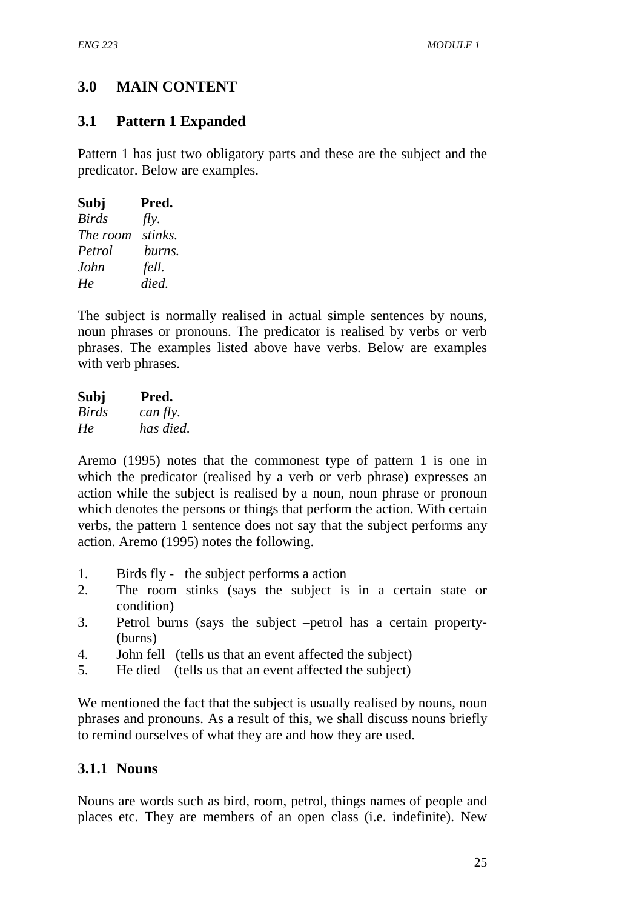# **3.0 MAIN CONTENT**

## **3.1 Pattern 1 Expanded**

Pattern 1 has just two obligatory parts and these are the subject and the predicator. Below are examples.

| Subj         | Pred.   |
|--------------|---------|
| <b>Birds</b> | fly.    |
| The room     | stinks. |
| Petrol       | burns.  |
| John         | fell.   |
| He           | died.   |

The subject is normally realised in actual simple sentences by nouns, noun phrases or pronouns. The predicator is realised by verbs or verb phrases. The examples listed above have verbs. Below are examples with verb phrases.

| Subj  | Pred.     |
|-------|-----------|
| Birds | can fly.  |
| He    | has died. |

Aremo (1995) notes that the commonest type of pattern 1 is one in which the predicator (realised by a verb or verb phrase) expresses an action while the subject is realised by a noun, noun phrase or pronoun which denotes the persons or things that perform the action. With certain verbs, the pattern 1 sentence does not say that the subject performs any action. Aremo (1995) notes the following.

- 1. Birds fly the subject performs a action
- 2. The room stinks (says the subject is in a certain state or condition)
- 3. Petrol burns (says the subject –petrol has a certain property- (burns)
- 4. John fell (tells us that an event affected the subject)
- 5. He died (tells us that an event affected the subject)

We mentioned the fact that the subject is usually realised by nouns, noun phrases and pronouns. As a result of this, we shall discuss nouns briefly to remind ourselves of what they are and how they are used.

## **3.1.1 Nouns**

Nouns are words such as bird, room, petrol, things names of people and places etc. They are members of an open class (i.e. indefinite). New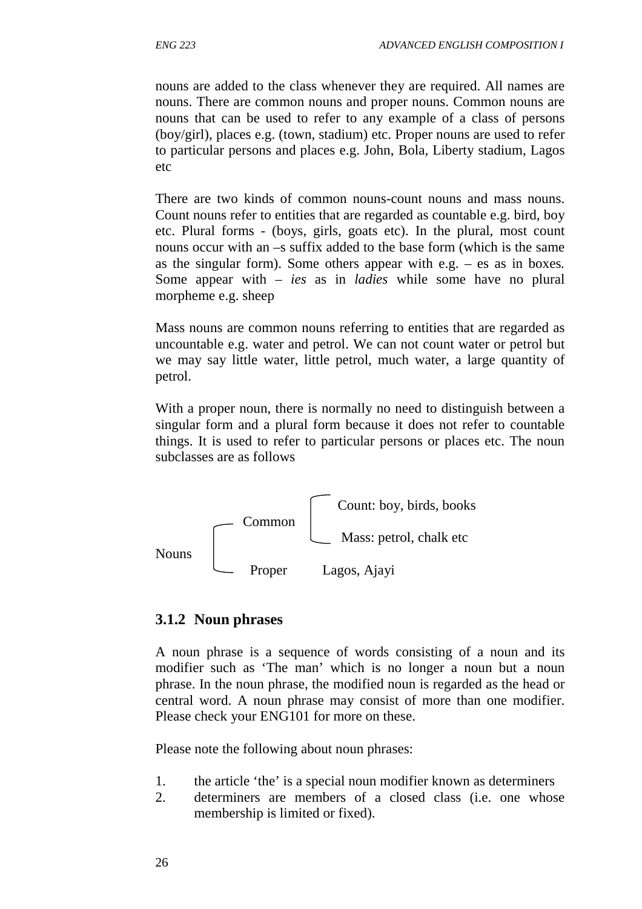nouns are added to the class whenever they are required. All names are nouns. There are common nouns and proper nouns. Common nouns are nouns that can be used to refer to any example of a class of persons (boy/girl), places e.g. (town, stadium) etc. Proper nouns are used to refer to particular persons and places e.g. John, Bola, Liberty stadium, Lagos etc

There are two kinds of common nouns-count nouns and mass nouns. Count nouns refer to entities that are regarded as countable e.g. bird, boy etc. Plural forms - (boys, girls, goats etc). In the plural, most count nouns occur with an –s suffix added to the base form (which is the same as the singular form). Some others appear with e.g. – es as in boxes*.*  Some appear with *– ies* as in *ladies* while some have no plural morpheme e.g. sheep

Mass nouns are common nouns referring to entities that are regarded as uncountable e.g. water and petrol. We can not count water or petrol but we may say little water, little petrol, much water, a large quantity of petrol.

With a proper noun, there is normally no need to distinguish between a singular form and a plural form because it does not refer to countable things. It is used to refer to particular persons or places etc. The noun subclasses are as follows



## **3.1.2 Noun phrases**

A noun phrase is a sequence of words consisting of a noun and its modifier such as 'The man' which is no longer a noun but a noun phrase. In the noun phrase, the modified noun is regarded as the head or central word. A noun phrase may consist of more than one modifier. Please check your ENG101 for more on these.

Please note the following about noun phrases:

- 1. the article 'the' is a special noun modifier known as determiners
- 2. determiners are members of a closed class (i.e. one whose membership is limited or fixed).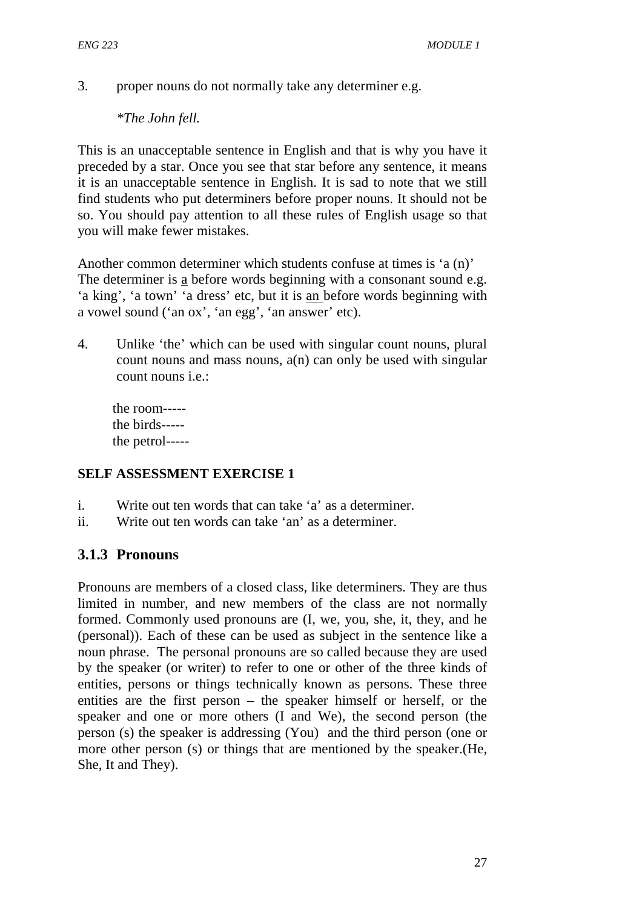3. proper nouns do not normally take any determiner e.g.

*\*The John fell.* 

This is an unacceptable sentence in English and that is why you have it preceded by a star. Once you see that star before any sentence, it means it is an unacceptable sentence in English. It is sad to note that we still find students who put determiners before proper nouns. It should not be so. You should pay attention to all these rules of English usage so that you will make fewer mistakes.

Another common determiner which students confuse at times is 'a (n)' The determiner is a before words beginning with a consonant sound e.g. 'a king', 'a town' 'a dress' etc, but it is an before words beginning with a vowel sound ('an ox', 'an egg', 'an answer' etc).

4. Unlike 'the' which can be used with singular count nouns, plural count nouns and mass nouns,  $a(n)$  can only be used with singular count nouns i.e.:

the room---- the birds---- the petrol-----

## **SELF ASSESSMENT EXERCISE 1**

- i. Write out ten words that can take 'a' as a determiner.
- ii. Write out ten words can take 'an' as a determiner.

# **3.1.3 Pronouns**

Pronouns are members of a closed class, like determiners. They are thus limited in number, and new members of the class are not normally formed. Commonly used pronouns are (I, we, you, she, it, they, and he (personal)). Each of these can be used as subject in the sentence like a noun phrase. The personal pronouns are so called because they are used by the speaker (or writer) to refer to one or other of the three kinds of entities, persons or things technically known as persons. These three entities are the first person – the speaker himself or herself, or the speaker and one or more others (I and We), the second person (the person (s) the speaker is addressing (You) and the third person (one or more other person (s) or things that are mentioned by the speaker.(He, She, It and They).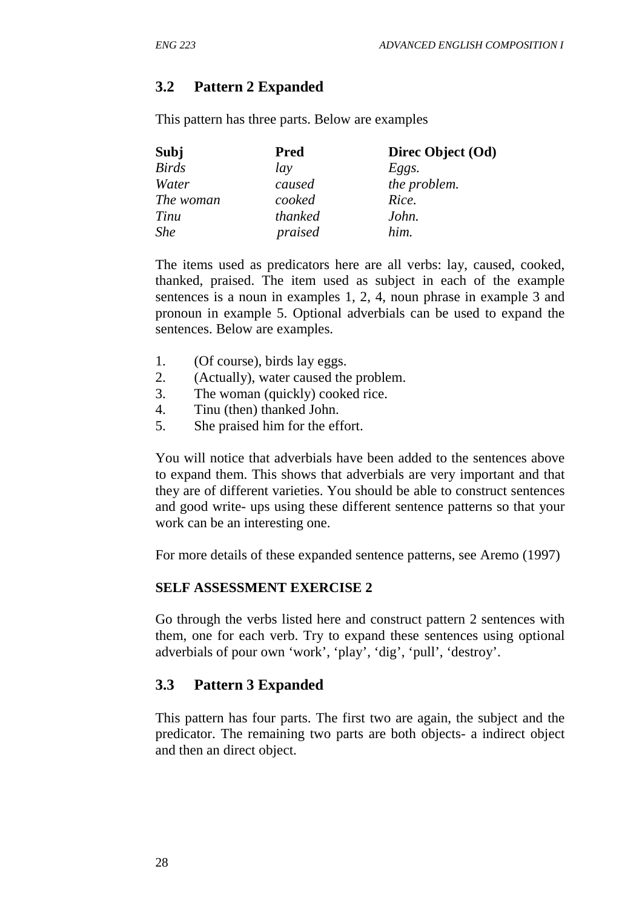# **3.2 Pattern 2 Expanded**

This pattern has three parts. Below are examples

| Subj         | <b>Pred</b> | Direc Object (Od) |
|--------------|-------------|-------------------|
| <b>Birds</b> | lay         | Eggs.             |
| Water        | caused      | the problem.      |
| The woman    | cooked      | Rice.             |
| Tinu         | thanked     | John.             |
| <b>She</b>   | praised     | him.              |

The items used as predicators here are all verbs: lay, caused, cooked, thanked, praised. The item used as subject in each of the example sentences is a noun in examples 1, 2, 4, noun phrase in example 3 and pronoun in example 5. Optional adverbials can be used to expand the sentences. Below are examples.

- 1. (Of course), birds lay eggs.
- 2. (Actually), water caused the problem.
- 3. The woman (quickly) cooked rice.
- 4. Tinu (then) thanked John.
- 5. She praised him for the effort.

You will notice that adverbials have been added to the sentences above to expand them. This shows that adverbials are very important and that they are of different varieties. You should be able to construct sentences and good write- ups using these different sentence patterns so that your work can be an interesting one.

For more details of these expanded sentence patterns, see Aremo (1997)

## **SELF ASSESSMENT EXERCISE 2**

Go through the verbs listed here and construct pattern 2 sentences with them, one for each verb. Try to expand these sentences using optional adverbials of pour own 'work', 'play', 'dig', 'pull', 'destroy'.

# **3.3 Pattern 3 Expanded**

This pattern has four parts. The first two are again, the subject and the predicator. The remaining two parts are both objects- a indirect object and then an direct object.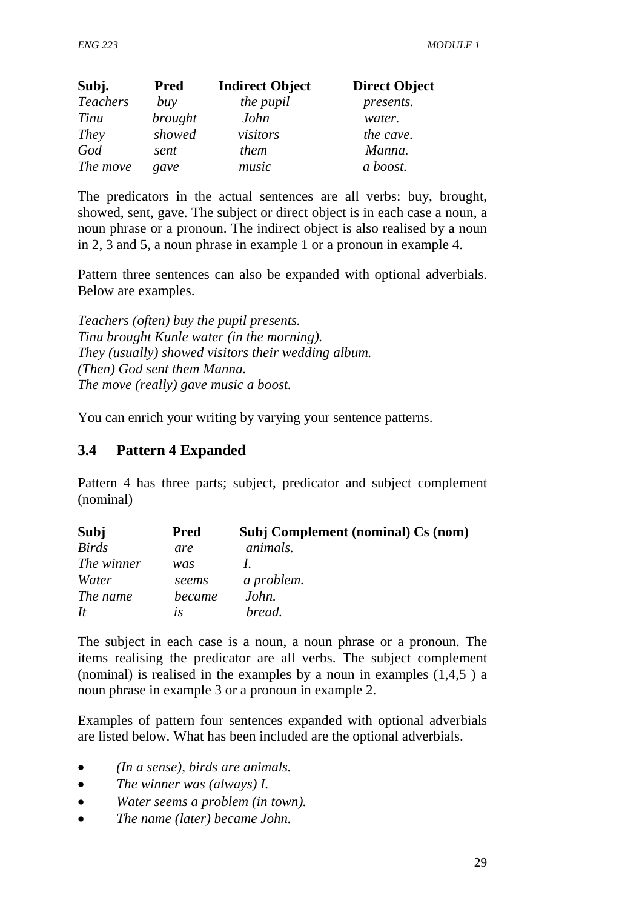| Subj.           | <b>Pred</b>    | <b>Indirect Object</b> | <b>Direct Object</b> |
|-----------------|----------------|------------------------|----------------------|
| <b>Teachers</b> | buy            | the pupil              | presents.            |
| Tinu            | <i>brought</i> | John                   | water.               |
| They            | showed         | visitors               | the cave.            |
| God             | sent           | them                   | Manna.               |
| The move        | gave           | music                  | a boost.             |

The predicators in the actual sentences are all verbs: buy, brought, showed, sent, gave. The subject or direct object is in each case a noun, a noun phrase or a pronoun. The indirect object is also realised by a noun in 2, 3 and 5, a noun phrase in example 1 or a pronoun in example 4.

Pattern three sentences can also be expanded with optional adverbials. Below are examples.

*Teachers (often) buy the pupil presents. Tinu brought Kunle water (in the morning). They (usually) showed visitors their wedding album. (Then) God sent them Manna. The move (really) gave music a boost.* 

You can enrich your writing by varying your sentence patterns.

# **3.4 Pattern 4 Expanded**

Pattern 4 has three parts; subject, predicator and subject complement (nominal)

| Subj         | <b>Pred</b> | Subj Complement (nominal) Cs (nom) |
|--------------|-------------|------------------------------------|
| <b>Birds</b> | are         | animals.                           |
| The winner   | was         |                                    |
| Water        | seems       | a problem.                         |
| The name     | became      | John.                              |
| It           | lS          | bread.                             |

The subject in each case is a noun, a noun phrase or a pronoun. The items realising the predicator are all verbs. The subject complement (nominal) is realised in the examples by a noun in examples  $(1,4,5)$  a noun phrase in example 3 or a pronoun in example 2.

Examples of pattern four sentences expanded with optional adverbials are listed below. What has been included are the optional adverbials.

- *(In a sense), birds are animals.*
- *The winner was (always) I.*
- *Water seems a problem (in town).*
- *The name (later) became John.*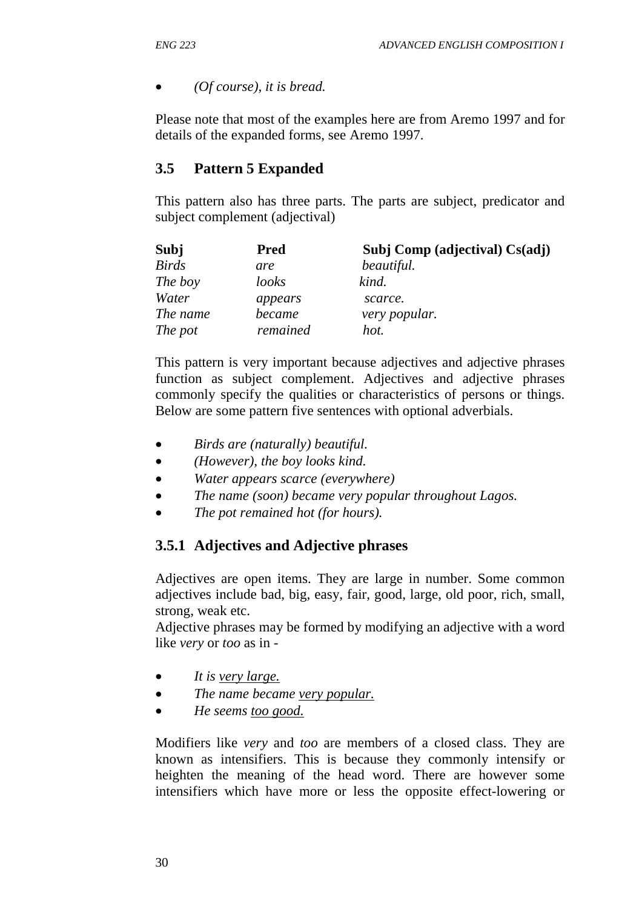## • *(Of course), it is bread.*

Please note that most of the examples here are from Aremo 1997 and for details of the expanded forms, see Aremo 1997.

# **3.5 Pattern 5 Expanded**

This pattern also has three parts. The parts are subject, predicator and subject complement (adjectival)

| Subj         | <b>Pred</b> | Subj Comp (adjectival) Cs(adj) |
|--------------|-------------|--------------------------------|
| <b>Birds</b> | are         | beautiful.                     |
| The boy      | looks       | kind.                          |
| Water        | appears     | scarce.                        |
| The name     | became      | very popular.                  |
| The pot      | remained    | hot.                           |

This pattern is very important because adjectives and adjective phrases function as subject complement. Adjectives and adjective phrases commonly specify the qualities or characteristics of persons or things. Below are some pattern five sentences with optional adverbials.

- *Birds are (naturally) beautiful.*
- *(However), the boy looks kind.*
- *Water appears scarce (everywhere)*
- *The name (soon) became very popular throughout Lagos.*
- *The pot remained hot (for hours).*

# **3.5.1 Adjectives and Adjective phrases**

Adjectives are open items. They are large in number. Some common adjectives include bad, big, easy, fair, good, large, old poor, rich, small, strong, weak etc.

Adjective phrases may be formed by modifying an adjective with a word like *very* or *too* as in -

- *It is very large.*
- *The name became very popular.*
- *He seems too good.*

Modifiers like *very* and *too* are members of a closed class. They are known as intensifiers. This is because they commonly intensify or heighten the meaning of the head word. There are however some intensifiers which have more or less the opposite effect-lowering or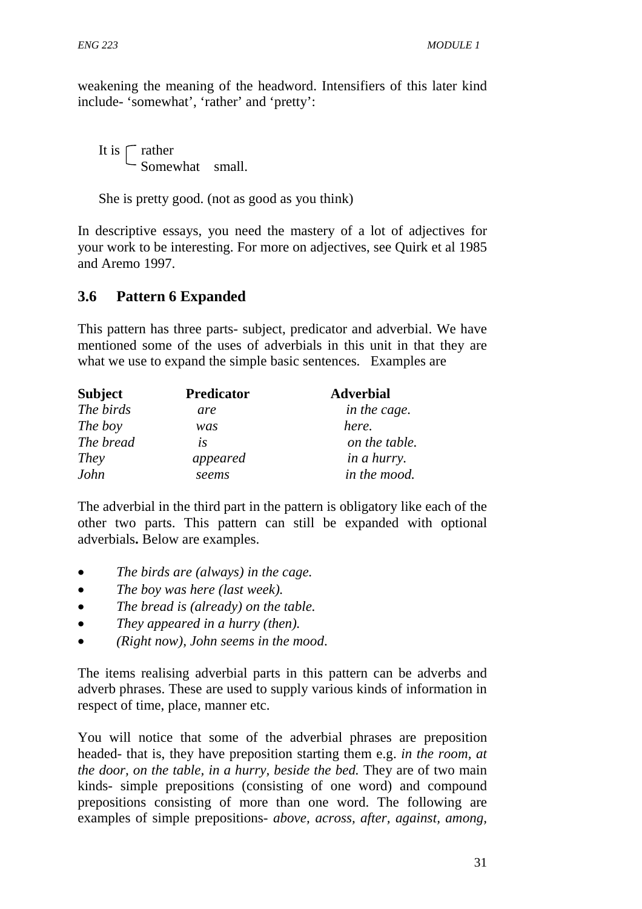weakening the meaning of the headword. Intensifiers of this later kind include- 'somewhat', 'rather' and 'pretty':

It is  $\Gamma$  rather Somewhat small.

She is pretty good. (not as good as you think)

In descriptive essays, you need the mastery of a lot of adjectives for your work to be interesting. For more on adjectives, see Quirk et al 1985 and Aremo 1997.

# **3.6 Pattern 6 Expanded**

This pattern has three parts- subject, predicator and adverbial. We have mentioned some of the uses of adverbials in this unit in that they are what we use to expand the simple basic sentences. Examples are

| <b>Subject</b> | <b>Predicator</b> | <b>Adverbial</b>   |
|----------------|-------------------|--------------------|
| The birds      | are               | in the cage.       |
| The boy        | was               | here.              |
| The bread      | is                | on the table.      |
| They           | appeared          | <i>in a hurry.</i> |
| John           | seems             | in the mood.       |

The adverbial in the third part in the pattern is obligatory like each of the other two parts. This pattern can still be expanded with optional adverbials**.** Below are examples.

- *The birds are (always) in the cage.*
- *The boy was here (last week).*
- *The bread is (already) on the table.*
- *They appeared in a hurry (then).*
- *(Right now), John seems in the mood*.

The items realising adverbial parts in this pattern can be adverbs and adverb phrases. These are used to supply various kinds of information in respect of time, place, manner etc.

You will notice that some of the adverbial phrases are preposition headed- that is, they have preposition starting them e.g. *in the room, at the door, on the table, in a hurry, beside the bed.* They are of two main kinds- simple prepositions (consisting of one word) and compound prepositions consisting of more than one word. The following are examples of simple prepositions- *above, across, after, against, among,*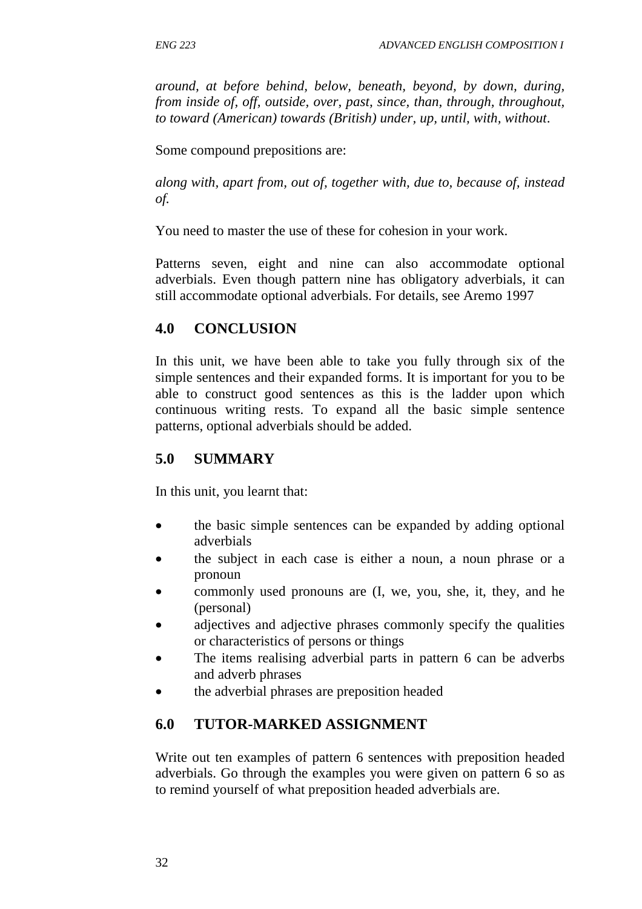*around, at before behind, below, beneath, beyond, by down, during, from inside of, off, outside, over, past, since, than, through, throughout, to toward (American) towards (British) under, up, until, with, without*.

Some compound prepositions are:

*along with, apart from, out of, together with, due to, because of, instead of.* 

You need to master the use of these for cohesion in your work.

Patterns seven, eight and nine can also accommodate optional adverbials. Even though pattern nine has obligatory adverbials, it can still accommodate optional adverbials. For details, see Aremo 1997

## **4.0 CONCLUSION**

In this unit, we have been able to take you fully through six of the simple sentences and their expanded forms. It is important for you to be able to construct good sentences as this is the ladder upon which continuous writing rests. To expand all the basic simple sentence patterns, optional adverbials should be added.

## **5.0 SUMMARY**

In this unit, you learnt that:

- the basic simple sentences can be expanded by adding optional adverbials
- the subject in each case is either a noun, a noun phrase or a pronoun
- commonly used pronouns are (I, we, you, she, it, they, and he (personal)
- adjectives and adjective phrases commonly specify the qualities or characteristics of persons or things
- The items realising adverbial parts in pattern 6 can be adverbs and adverb phrases
- the adverbial phrases are preposition headed

# **6.0 TUTOR-MARKED ASSIGNMENT**

Write out ten examples of pattern 6 sentences with preposition headed adverbials. Go through the examples you were given on pattern 6 so as to remind yourself of what preposition headed adverbials are.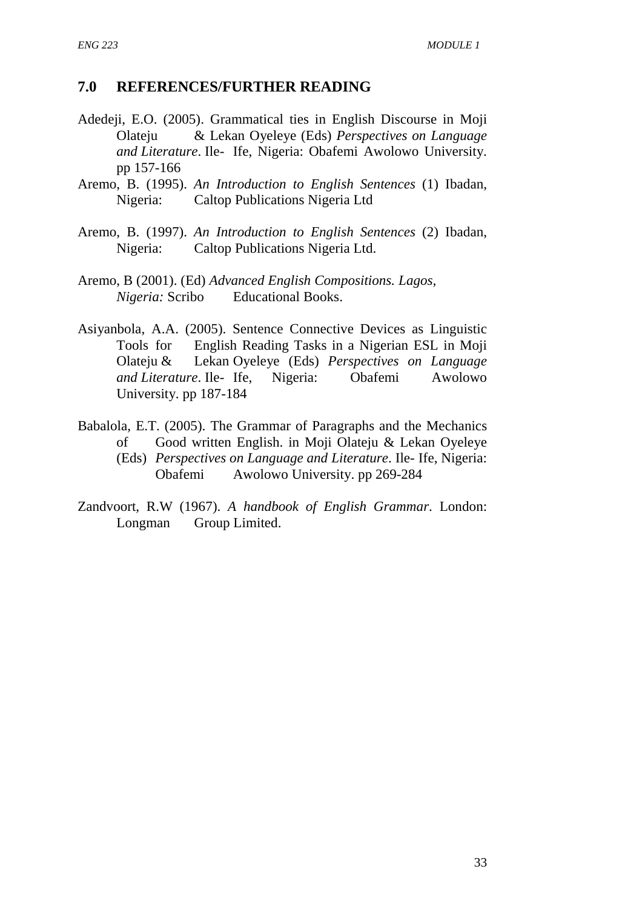## **7.0 REFERENCES/FURTHER READING**

- Adedeji, E.O. (2005). Grammatical ties in English Discourse in Moji Olateju & Lekan Oyeleye (Eds) *Perspectives on Language and Literature*. Ile- Ife, Nigeria: Obafemi Awolowo University. pp 157-166
- Aremo, B. (1995). *An Introduction to English Sentences* (1) Ibadan, Nigeria: Caltop Publications Nigeria Ltd
- Aremo, B. (1997). *An Introduction to English Sentences* (2) Ibadan, Nigeria: Caltop Publications Nigeria Ltd.
- Aremo, B (2001). (Ed) *Advanced English Compositions. Lagos, Nigeria:* Scribo Educational Books.
- Asiyanbola, A.A. (2005). Sentence Connective Devices as Linguistic Tools for English Reading Tasks in a Nigerian ESL in Moji Olateju & Lekan Oyeleye (Eds) *Perspectives on Language and Literature*. Ile- Ife, Nigeria: Obafemi Awolowo University. pp 187-184
- Babalola, E.T. (2005). The Grammar of Paragraphs and the Mechanics of Good written English. in Moji Olateju & Lekan Oyeleye (Eds) *Perspectives on Language and Literature*. Ile- Ife, Nigeria: Obafemi Awolowo University. pp 269-284
- Zandvoort, R.W (1967). *A handbook of English Grammar*. London: Longman Group Limited.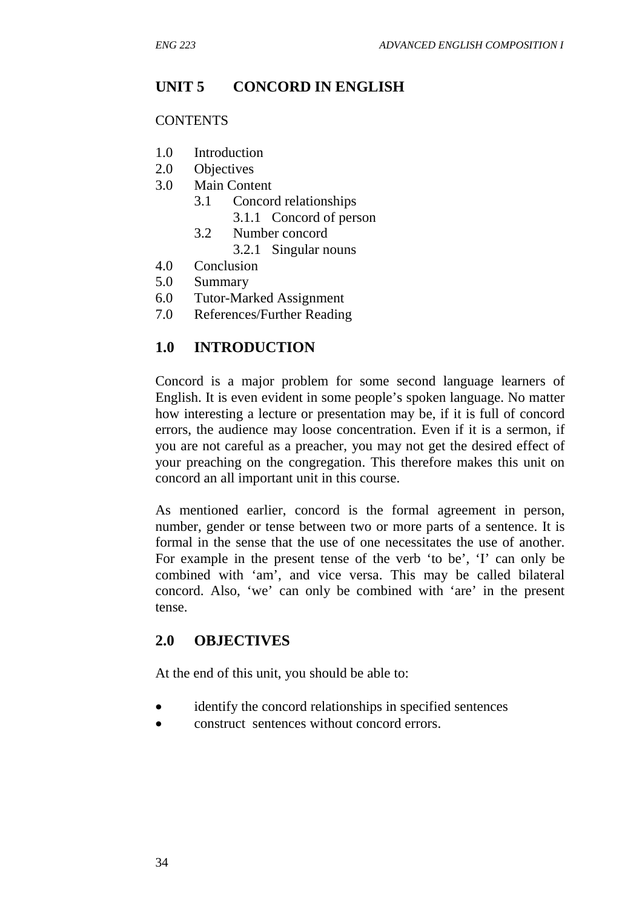# **UNIT 5 CONCORD IN ENGLISH**

#### **CONTENTS**

- 1.0 Introduction
- 2.0 Objectives
- 3.0 Main Content
	- 3.1 Concord relationships
		- 3.1.1 Concord of person
	- 3.2 Number concord
		- 3.2.1 Singular nouns
- 4.0 Conclusion
- 5.0 Summary
- 6.0 Tutor-Marked Assignment
- 7.0 References/Further Reading

# **1.0 INTRODUCTION**

Concord is a major problem for some second language learners of English. It is even evident in some people's spoken language. No matter how interesting a lecture or presentation may be, if it is full of concord errors, the audience may loose concentration. Even if it is a sermon, if you are not careful as a preacher, you may not get the desired effect of your preaching on the congregation. This therefore makes this unit on concord an all important unit in this course.

As mentioned earlier, concord is the formal agreement in person, number, gender or tense between two or more parts of a sentence. It is formal in the sense that the use of one necessitates the use of another. For example in the present tense of the verb 'to be', 'I' can only be combined with 'am', and vice versa. This may be called bilateral concord. Also, 'we' can only be combined with 'are' in the present tense.

## **2.0 OBJECTIVES**

At the end of this unit, you should be able to:

- identify the concord relationships in specified sentences
- construct sentences without concord errors.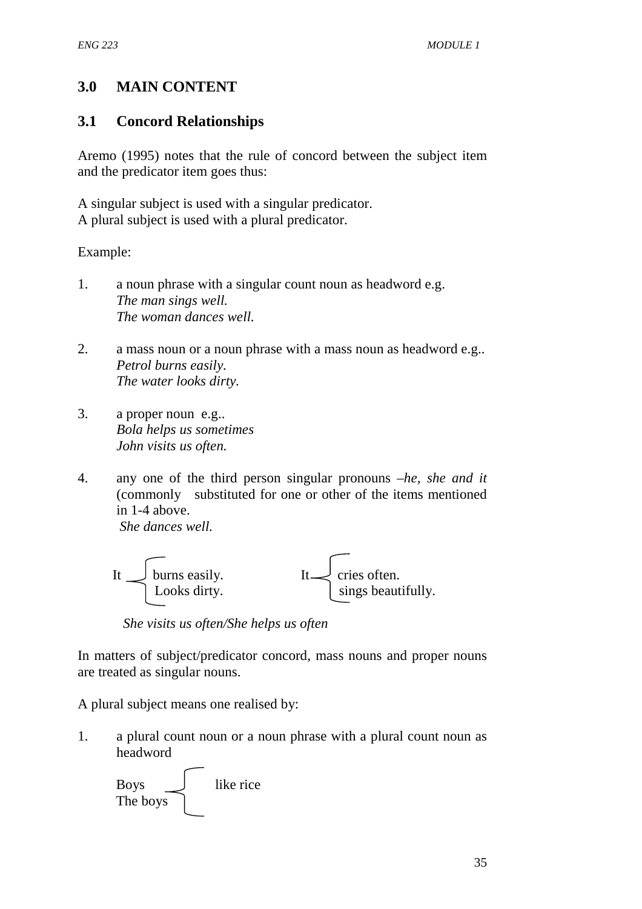# **3.0 MAIN CONTENT**

# **3.1 Concord Relationships**

Aremo (1995) notes that the rule of concord between the subject item and the predicator item goes thus:

A singular subject is used with a singular predicator. A plural subject is used with a plural predicator.

Example:

- 1. a noun phrase with a singular count noun as headword e.g. *The man sings well. The woman dances well.*
- 2. a mass noun or a noun phrase with a mass noun as headword e.g.. *Petrol burns easily. The water looks dirty.*
- 3. a proper noun e.g.. *Bola helps us sometimes John visits us often.*
- 4. any one of the third person singular pronouns –*he, she and it* (commonly substituted for one or other of the items mentioned in 1-4 above. *She dances well.*



 *She visits us often/She helps us often*

In matters of subject/predicator concord, mass nouns and proper nouns are treated as singular nouns.

A plural subject means one realised by:

1. a plural count noun or a noun phrase with a plural count noun as headword

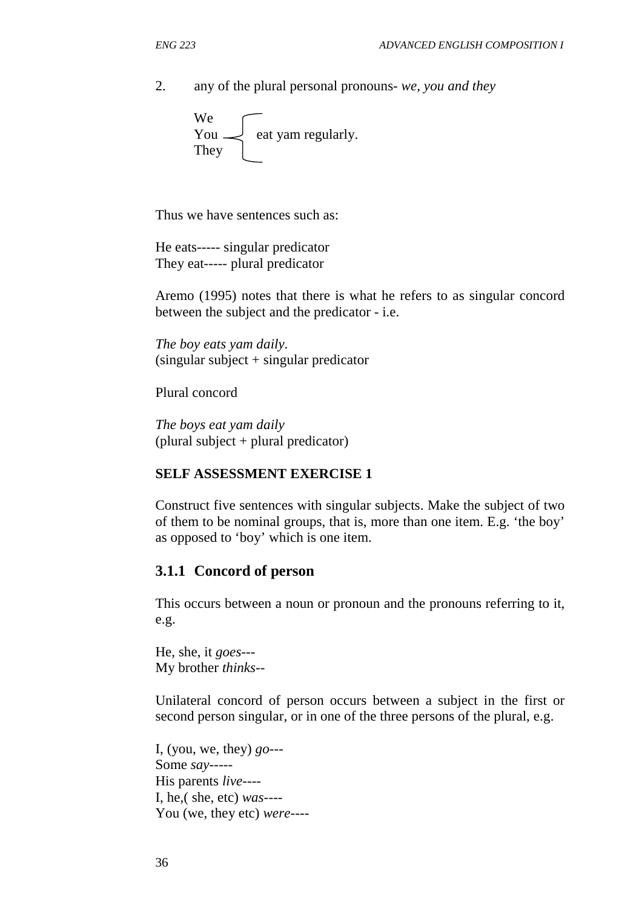2. any of the plural personal pronouns- *we, you and they*

We You  $\leq$  eat yam regularly. **They** 

Thus we have sentences such as:

He eats----- singular predicator They eat----- plural predicator

Aremo (1995) notes that there is what he refers to as singular concord between the subject and the predicator - i.e.

*The boy eats yam daily.*  (singular subject + singular predicator

Plural concord

*The boys eat yam daily*  (plural subject + plural predicator)

#### **SELF ASSESSMENT EXERCISE 1**

Construct five sentences with singular subjects. Make the subject of two of them to be nominal groups, that is, more than one item. E.g. 'the boy' as opposed to 'boy' which is one item.

#### **3.1.1 Concord of person**

This occurs between a noun or pronoun and the pronouns referring to it, e.g.

He, she, it *goes---* My brother *thinks*--

Unilateral concord of person occurs between a subject in the first or second person singular, or in one of the three persons of the plural, e.g.

I, (you, we, they) *go-*-- Some *say-*---- His parents *live*---- I, he,( she, etc) *was*---- You (we, they etc) *were*----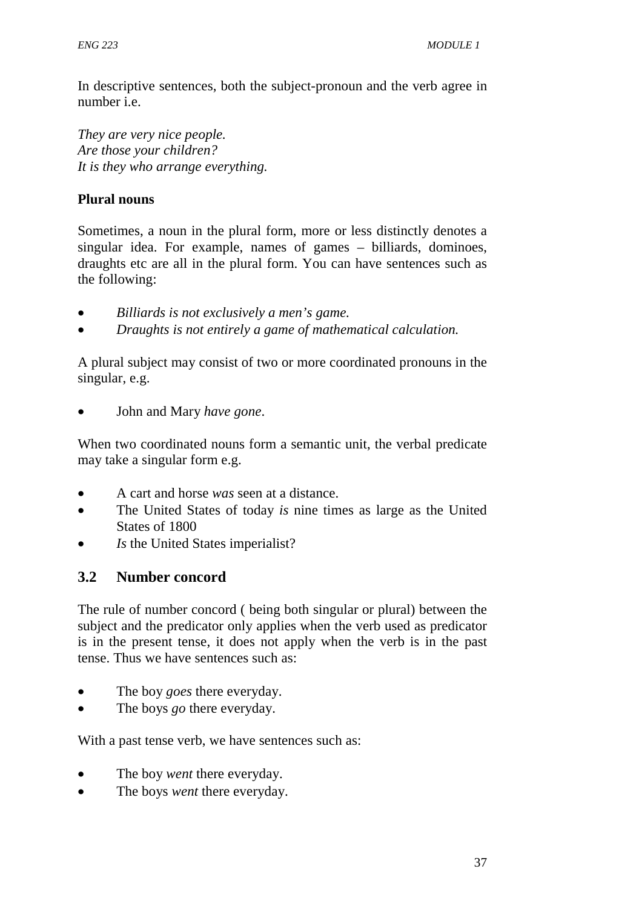In descriptive sentences, both the subject-pronoun and the verb agree in number i.e.

*They are very nice people. Are those your children? It is they who arrange everything.* 

# **Plural nouns**

Sometimes, a noun in the plural form, more or less distinctly denotes a singular idea. For example, names of games – billiards, dominoes, draughts etc are all in the plural form. You can have sentences such as the following:

- *Billiards is not exclusively a men's game.*
- *Draughts is not entirely a game of mathematical calculation.*

A plural subject may consist of two or more coordinated pronouns in the singular, e.g.

• John and Mary *have gone*.

When two coordinated nouns form a semantic unit, the verbal predicate may take a singular form e.g.

- A cart and horse *was* seen at a distance.
- The United States of today *is* nine times as large as the United States of 1800
- *Is* the United States imperialist?

# **3.2 Number concord**

The rule of number concord ( being both singular or plural) between the subject and the predicator only applies when the verb used as predicator is in the present tense, it does not apply when the verb is in the past tense. Thus we have sentences such as:

- The boy *goes* there everyday.
- The boys *go* there everyday.

With a past tense verb, we have sentences such as:

- The boy *went* there everyday.
- The boys *went* there everyday.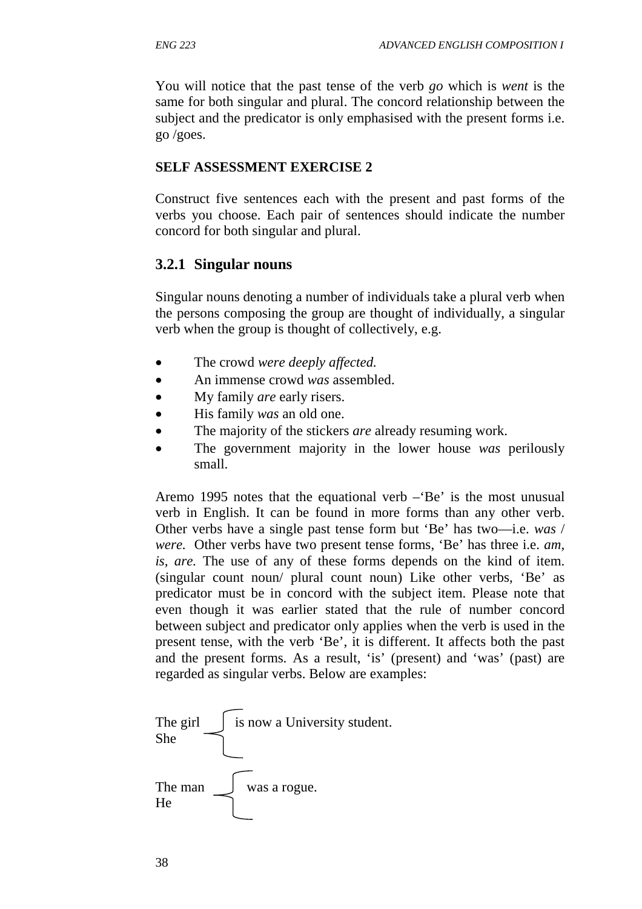You will notice that the past tense of the verb *go* which is *went* is the same for both singular and plural. The concord relationship between the subject and the predicator is only emphasised with the present forms i.e. go /goes.

#### **SELF ASSESSMENT EXERCISE 2**

Construct five sentences each with the present and past forms of the verbs you choose. Each pair of sentences should indicate the number concord for both singular and plural.

### **3.2.1 Singular nouns**

Singular nouns denoting a number of individuals take a plural verb when the persons composing the group are thought of individually, a singular verb when the group is thought of collectively, e.g.

- The crowd *were deeply affected.*
- An immense crowd *was* assembled.
- My family *are* early risers.
- His family *was* an old one.
- The majority of the stickers *are* already resuming work.
- The government majority in the lower house *was* perilously small.

Aremo 1995 notes that the equational verb –'Be' is the most unusual verb in English. It can be found in more forms than any other verb. Other verbs have a single past tense form but 'Be' has two—i.e. *was* / *were.* Other verbs have two present tense forms, 'Be' has three i.e. *am, is, are.* The use of any of these forms depends on the kind of item. (singular count noun/ plural count noun) Like other verbs, 'Be' as predicator must be in concord with the subject item. Please note that even though it was earlier stated that the rule of number concord between subject and predicator only applies when the verb is used in the present tense, with the verb 'Be', it is different. It affects both the past and the present forms. As a result, 'is' (present) and 'was' (past) are regarded as singular verbs. Below are examples:

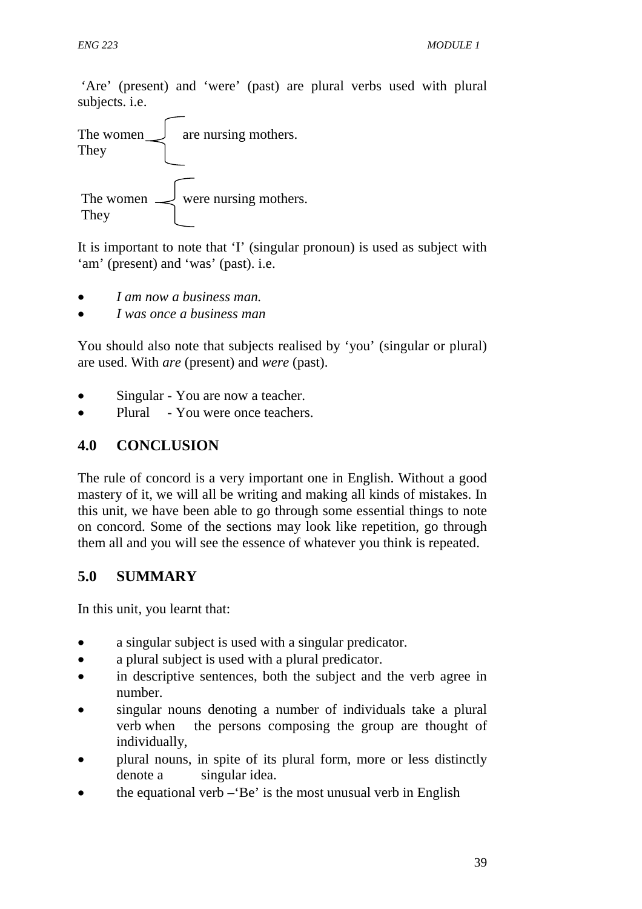'Are' (present) and 'were' (past) are plural verbs used with plural subjects. i.e.



It is important to note that 'I' (singular pronoun) is used as subject with 'am' (present) and 'was' (past). i.e.

- *I am now a business man.*
- *I was once a business man*

You should also note that subjects realised by 'you' (singular or plural) are used. With *are* (present) and *were* (past).

- Singular You are now a teacher.
- Plural You were once teachers.

# **4.0 CONCLUSION**

The rule of concord is a very important one in English. Without a good mastery of it, we will all be writing and making all kinds of mistakes. In this unit, we have been able to go through some essential things to note on concord. Some of the sections may look like repetition, go through them all and you will see the essence of whatever you think is repeated.

# **5.0 SUMMARY**

In this unit, you learnt that:

- a singular subject is used with a singular predicator.
- a plural subject is used with a plural predicator.
- in descriptive sentences, both the subject and the verb agree in number.
- singular nouns denoting a number of individuals take a plural verb when the persons composing the group are thought of individually,
- plural nouns, in spite of its plural form, more or less distinctly denote a singular idea.
- the equational verb  $-$ 'Be' is the most unusual verb in English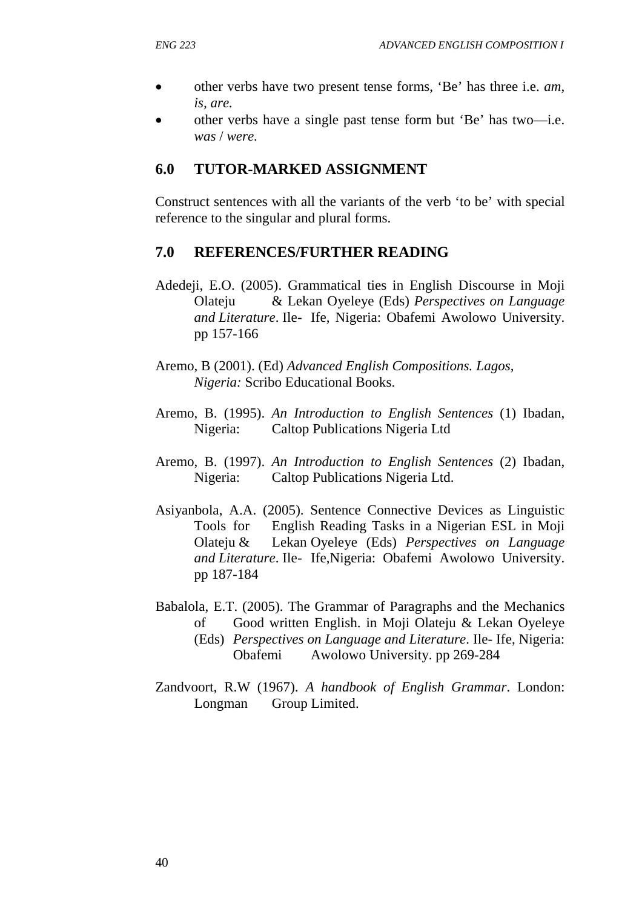- other verbs have two present tense forms, 'Be' has three i.e. *am, is, are.*
- other verbs have a single past tense form but 'Be' has two—i.e. *was* / *were.*

#### **6.0 TUTOR-MARKED ASSIGNMENT**

Construct sentences with all the variants of the verb 'to be' with special reference to the singular and plural forms.

#### **7.0 REFERENCES/FURTHER READING**

- Adedeji, E.O. (2005). Grammatical ties in English Discourse in Moji Olateju & Lekan Oyeleye (Eds) *Perspectives on Language and Literature*. Ile- Ife, Nigeria: Obafemi Awolowo University. pp 157-166
- Aremo, B (2001). (Ed) *Advanced English Compositions. Lagos, Nigeria:* Scribo Educational Books.
- Aremo, B. (1995). *An Introduction to English Sentences* (1) Ibadan, Nigeria: Caltop Publications Nigeria Ltd
- Aremo, B. (1997). *An Introduction to English Sentences* (2) Ibadan, Nigeria: Caltop Publications Nigeria Ltd.
- Asiyanbola, A.A. (2005). Sentence Connective Devices as Linguistic Tools for English Reading Tasks in a Nigerian ESL in Moji Olateju & Lekan Oyeleye (Eds) *Perspectives on Language and Literature*. Ile- Ife,Nigeria: Obafemi Awolowo University. pp 187-184
- Babalola, E.T. (2005). The Grammar of Paragraphs and the Mechanics of Good written English. in Moji Olateju & Lekan Oyeleye (Eds) *Perspectives on Language and Literature*. Ile- Ife, Nigeria: Obafemi Awolowo University. pp 269-284
- Zandvoort, R.W (1967). *A handbook of English Grammar*. London: Longman Group Limited.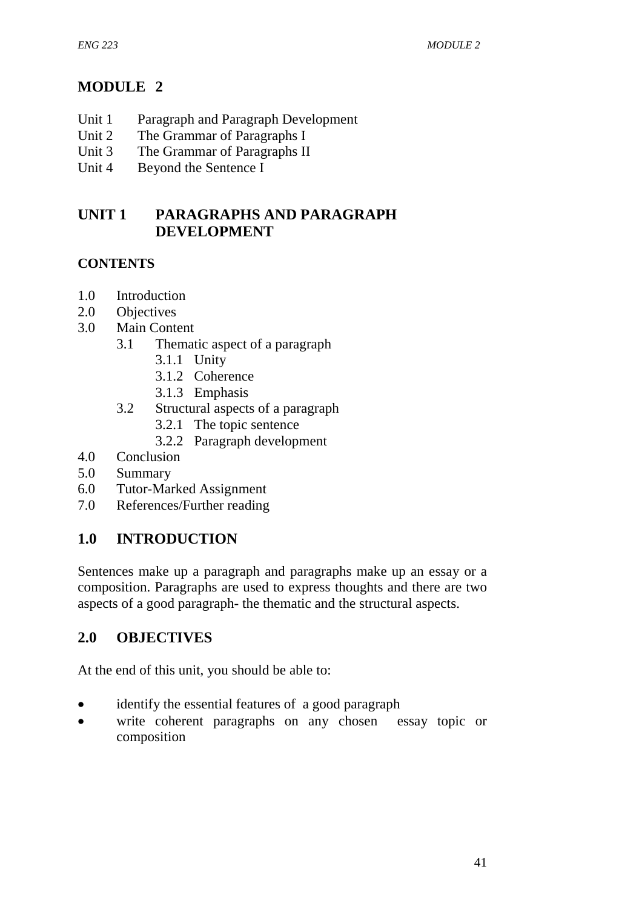# **MODULE 2**

- Unit 1 Paragraph and Paragraph Development
- Unit 2 The Grammar of Paragraphs I
- Unit 3 The Grammar of Paragraphs II
- Unit 4 Beyond the Sentence I

# **UNIT 1 PARAGRAPHS AND PARAGRAPH DEVELOPMENT**

# **CONTENTS**

- 1.0 Introduction
- 2.0 Objectives
- 3.0 Main Content
	- 3.1 Thematic aspect of a paragraph
		- 3.1.1 Unity
		- 3.1.2 Coherence
		- 3.1.3 Emphasis
	- 3.2 Structural aspects of a paragraph
		- 3.2.1 The topic sentence
		- 3.2.2 Paragraph development
- 4.0 Conclusion
- 5.0 Summary
- 6.0 Tutor-Marked Assignment
- 7.0 References/Further reading

# **1.0 INTRODUCTION**

Sentences make up a paragraph and paragraphs make up an essay or a composition. Paragraphs are used to express thoughts and there are two aspects of a good paragraph- the thematic and the structural aspects.

# **2.0 OBJECTIVES**

At the end of this unit, you should be able to:

- identify the essential features of a good paragraph
- write coherent paragraphs on any chosen essay topic or composition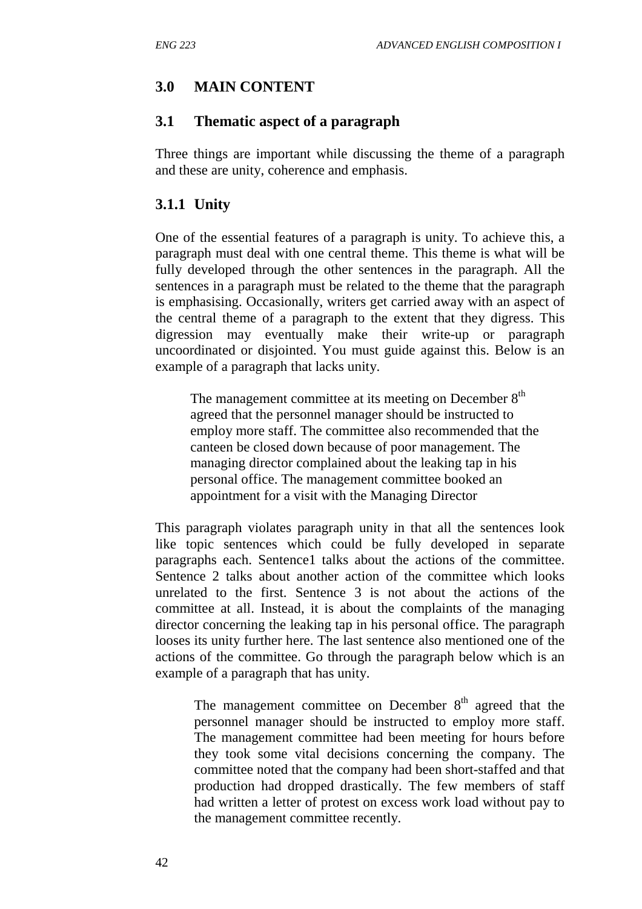# **3.0 MAIN CONTENT**

## **3.1 Thematic aspect of a paragraph**

Three things are important while discussing the theme of a paragraph and these are unity, coherence and emphasis.

## **3.1.1 Unity**

One of the essential features of a paragraph is unity. To achieve this, a paragraph must deal with one central theme. This theme is what will be fully developed through the other sentences in the paragraph. All the sentences in a paragraph must be related to the theme that the paragraph is emphasising. Occasionally, writers get carried away with an aspect of the central theme of a paragraph to the extent that they digress. This digression may eventually make their write-up or paragraph uncoordinated or disjointed. You must guide against this. Below is an example of a paragraph that lacks unity.

The management committee at its meeting on December  $8<sup>th</sup>$  agreed that the personnel manager should be instructed to employ more staff. The committee also recommended that the canteen be closed down because of poor management. The managing director complained about the leaking tap in his personal office. The management committee booked an appointment for a visit with the Managing Director

This paragraph violates paragraph unity in that all the sentences look like topic sentences which could be fully developed in separate paragraphs each. Sentence1 talks about the actions of the committee. Sentence 2 talks about another action of the committee which looks unrelated to the first. Sentence 3 is not about the actions of the committee at all. Instead, it is about the complaints of the managing director concerning the leaking tap in his personal office. The paragraph looses its unity further here. The last sentence also mentioned one of the actions of the committee. Go through the paragraph below which is an example of a paragraph that has unity.

The management committee on December  $8<sup>th</sup>$  agreed that the personnel manager should be instructed to employ more staff. The management committee had been meeting for hours before they took some vital decisions concerning the company. The committee noted that the company had been short-staffed and that production had dropped drastically. The few members of staff had written a letter of protest on excess work load without pay to the management committee recently.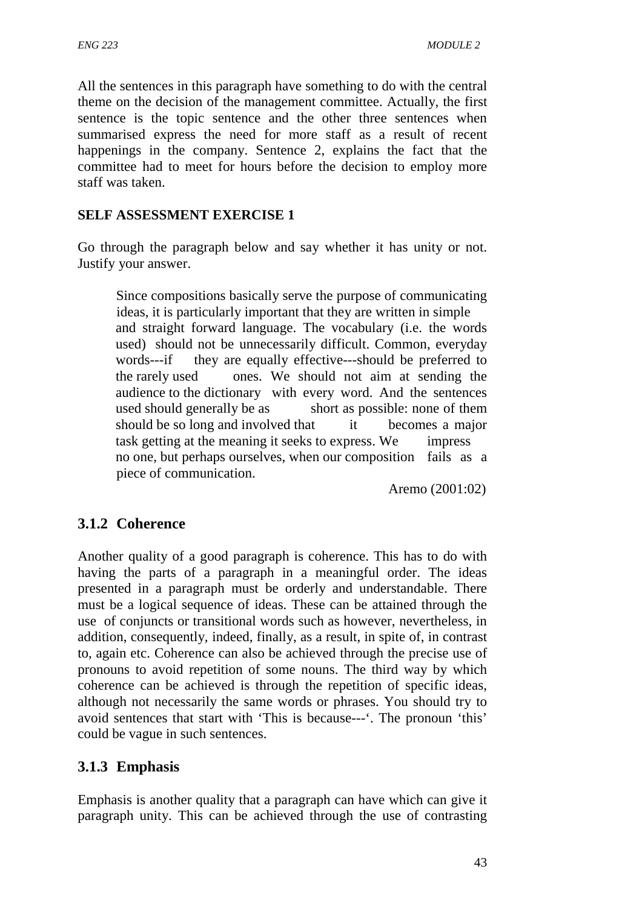All the sentences in this paragraph have something to do with the central theme on the decision of the management committee. Actually, the first sentence is the topic sentence and the other three sentences when summarised express the need for more staff as a result of recent happenings in the company. Sentence 2, explains the fact that the committee had to meet for hours before the decision to employ more staff was taken.

### **SELF ASSESSMENT EXERCISE 1**

Go through the paragraph below and say whether it has unity or not. Justify your answer.

 Since compositions basically serve the purpose of communicating ideas, it is particularly important that they are written in simple and straight forward language. The vocabulary (i.e. the words used) should not be unnecessarily difficult. Common, everyday words---if they are equally effective---should be preferred to the rarely used ones. We should not aim at sending the audience to the dictionary with every word. And the sentences used should generally be as short as possible: none of them should be so long and involved that it becomes a major task getting at the meaning it seeks to express. We impress no one, but perhaps ourselves, when our composition fails as a piece of communication.

Aremo (2001:02)

# **3.1.2 Coherence**

Another quality of a good paragraph is coherence. This has to do with having the parts of a paragraph in a meaningful order. The ideas presented in a paragraph must be orderly and understandable. There must be a logical sequence of ideas. These can be attained through the use of conjuncts or transitional words such as however, nevertheless, in addition, consequently, indeed, finally, as a result, in spite of, in contrast to, again etc. Coherence can also be achieved through the precise use of pronouns to avoid repetition of some nouns. The third way by which coherence can be achieved is through the repetition of specific ideas, although not necessarily the same words or phrases. You should try to avoid sentences that start with 'This is because---'. The pronoun 'this' could be vague in such sentences.

## **3.1.3 Emphasis**

Emphasis is another quality that a paragraph can have which can give it paragraph unity. This can be achieved through the use of contrasting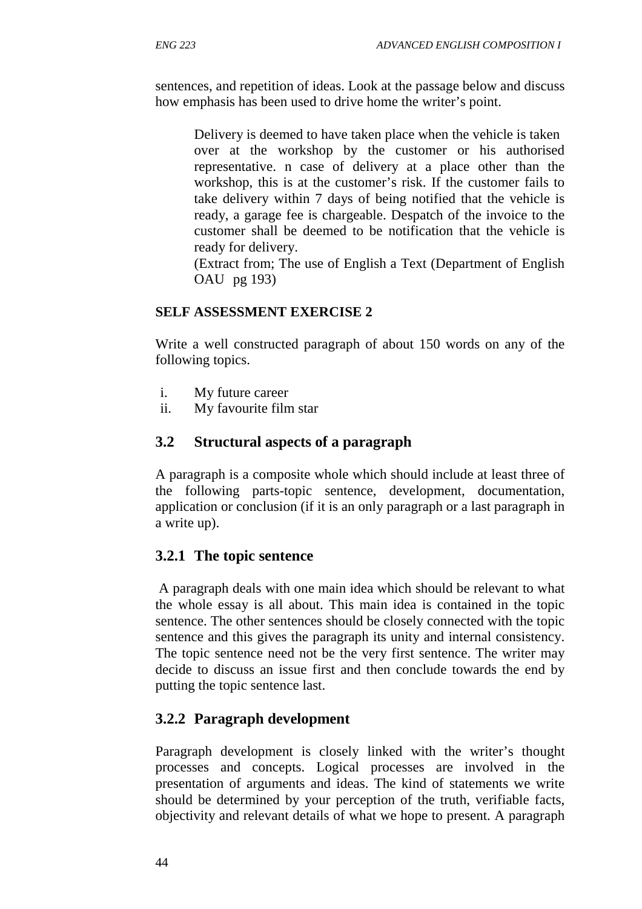sentences, and repetition of ideas. Look at the passage below and discuss how emphasis has been used to drive home the writer's point.

 Delivery is deemed to have taken place when the vehicle is taken over at the workshop by the customer or his authorised representative. n case of delivery at a place other than the workshop, this is at the customer's risk. If the customer fails to take delivery within 7 days of being notified that the vehicle is ready, a garage fee is chargeable. Despatch of the invoice to the customer shall be deemed to be notification that the vehicle is ready for delivery.

(Extract from; The use of English a Text (Department of English OAU pg 193)

## **SELF ASSESSMENT EXERCISE 2**

Write a well constructed paragraph of about 150 words on any of the following topics.

- i. My future career
- ii. My favourite film star

# **3.2 Structural aspects of a paragraph**

A paragraph is a composite whole which should include at least three of the following parts-topic sentence, development, documentation, application or conclusion (if it is an only paragraph or a last paragraph in a write up).

# **3.2.1 The topic sentence**

 A paragraph deals with one main idea which should be relevant to what the whole essay is all about. This main idea is contained in the topic sentence. The other sentences should be closely connected with the topic sentence and this gives the paragraph its unity and internal consistency. The topic sentence need not be the very first sentence. The writer may decide to discuss an issue first and then conclude towards the end by putting the topic sentence last.

# **3.2.2 Paragraph development**

Paragraph development is closely linked with the writer's thought processes and concepts. Logical processes are involved in the presentation of arguments and ideas. The kind of statements we write should be determined by your perception of the truth, verifiable facts, objectivity and relevant details of what we hope to present. A paragraph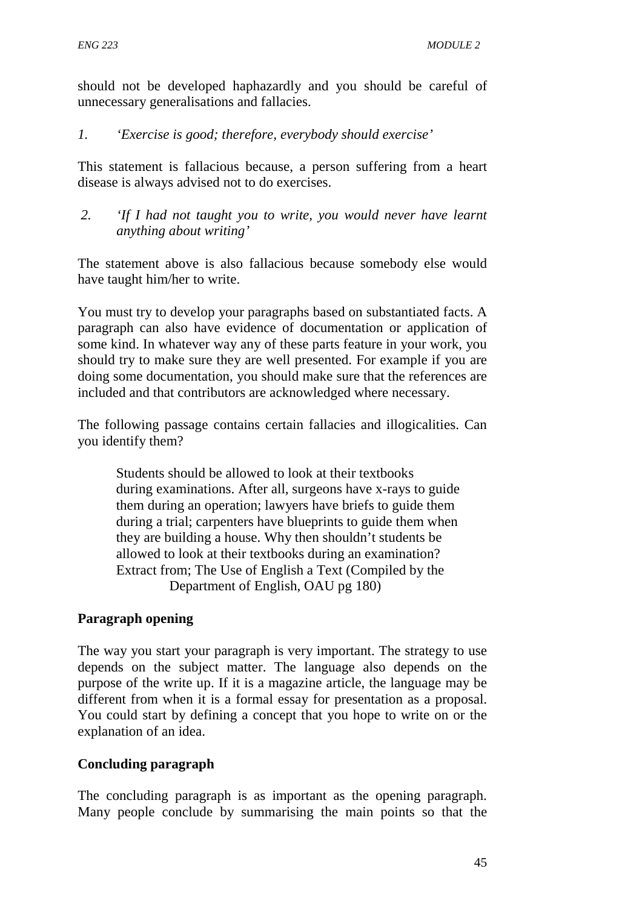should not be developed haphazardly and you should be careful of unnecessary generalisations and fallacies.

### *1. 'Exercise is good; therefore, everybody should exercise'*

This statement is fallacious because, a person suffering from a heart disease is always advised not to do exercises.

*2. 'If I had not taught you to write, you would never have learnt anything about writing'* 

The statement above is also fallacious because somebody else would have taught him/her to write.

You must try to develop your paragraphs based on substantiated facts. A paragraph can also have evidence of documentation or application of some kind. In whatever way any of these parts feature in your work, you should try to make sure they are well presented. For example if you are doing some documentation, you should make sure that the references are included and that contributors are acknowledged where necessary.

The following passage contains certain fallacies and illogicalities. Can you identify them?

 Students should be allowed to look at their textbooks during examinations. After all, surgeons have x-rays to guide them during an operation; lawyers have briefs to guide them during a trial; carpenters have blueprints to guide them when they are building a house. Why then shouldn't students be allowed to look at their textbooks during an examination? Extract from; The Use of English a Text (Compiled by the Department of English, OAU pg 180)

## **Paragraph opening**

The way you start your paragraph is very important. The strategy to use depends on the subject matter. The language also depends on the purpose of the write up. If it is a magazine article, the language may be different from when it is a formal essay for presentation as a proposal. You could start by defining a concept that you hope to write on or the explanation of an idea.

## **Concluding paragraph**

The concluding paragraph is as important as the opening paragraph. Many people conclude by summarising the main points so that the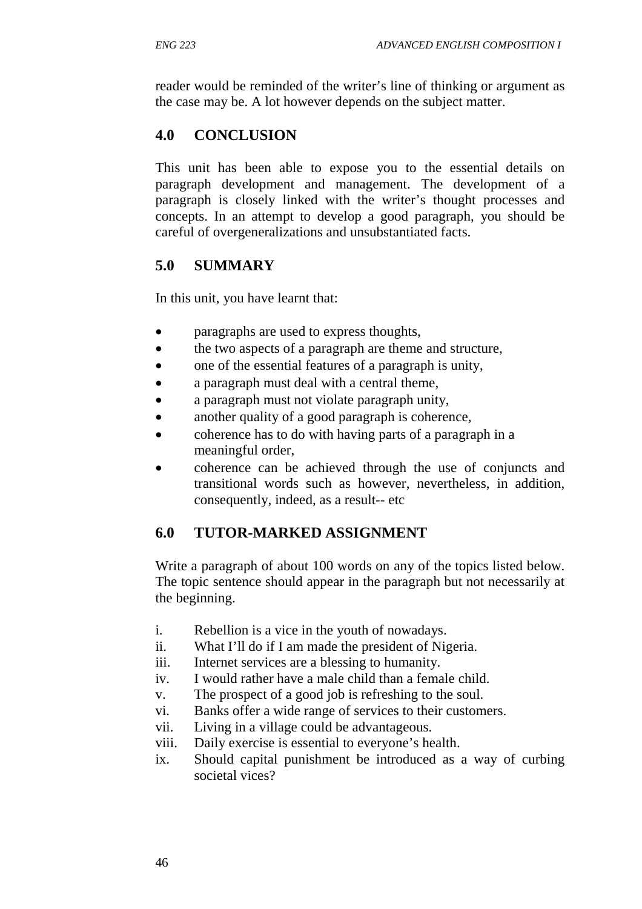reader would be reminded of the writer's line of thinking or argument as the case may be. A lot however depends on the subject matter.

# **4.0 CONCLUSION**

This unit has been able to expose you to the essential details on paragraph development and management. The development of a paragraph is closely linked with the writer's thought processes and concepts. In an attempt to develop a good paragraph, you should be careful of overgeneralizations and unsubstantiated facts.

# **5.0 SUMMARY**

In this unit, you have learnt that:

- paragraphs are used to express thoughts,
- the two aspects of a paragraph are theme and structure,
- one of the essential features of a paragraph is unity,
- a paragraph must deal with a central theme,
- a paragraph must not violate paragraph unity,
- another quality of a good paragraph is coherence,
- coherence has to do with having parts of a paragraph in a meaningful order,
- coherence can be achieved through the use of conjuncts and transitional words such as however, nevertheless, in addition, consequently, indeed, as a result-- etc

# **6.0 TUTOR-MARKED ASSIGNMENT**

Write a paragraph of about 100 words on any of the topics listed below. The topic sentence should appear in the paragraph but not necessarily at the beginning.

- i. Rebellion is a vice in the youth of nowadays.
- ii. What I'll do if I am made the president of Nigeria.
- iii. Internet services are a blessing to humanity.
- iv. I would rather have a male child than a female child.
- v. The prospect of a good job is refreshing to the soul.
- vi. Banks offer a wide range of services to their customers.
- vii. Living in a village could be advantageous.
- viii. Daily exercise is essential to everyone's health.
- ix. Should capital punishment be introduced as a way of curbing societal vices?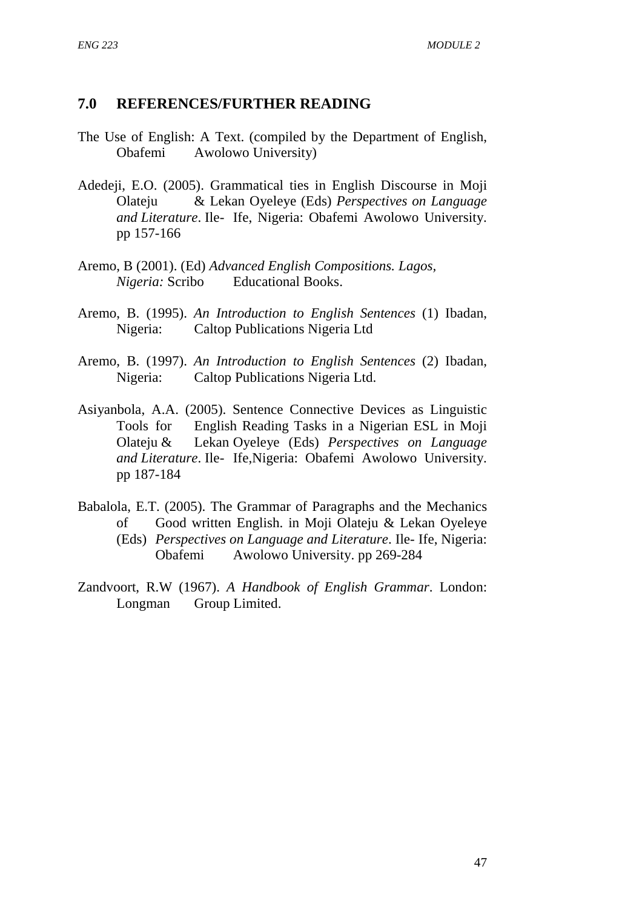## **7.0 REFERENCES/FURTHER READING**

- The Use of English: A Text. (compiled by the Department of English, Obafemi Awolowo University)
- Adedeji, E.O. (2005). Grammatical ties in English Discourse in Moji Olateju & Lekan Oyeleye (Eds) *Perspectives on Language and Literature*. Ile- Ife, Nigeria: Obafemi Awolowo University. pp 157-166
- Aremo, B (2001). (Ed) *Advanced English Compositions. Lagos, Nigeria:* Scribo Educational Books.
- Aremo, B. (1995). *An Introduction to English Sentences* (1) Ibadan, Nigeria: Caltop Publications Nigeria Ltd
- Aremo, B. (1997). *An Introduction to English Sentences* (2) Ibadan, Nigeria: Caltop Publications Nigeria Ltd.
- Asiyanbola, A.A. (2005). Sentence Connective Devices as Linguistic Tools for English Reading Tasks in a Nigerian ESL in Moji Olateju & Lekan Oyeleye (Eds) *Perspectives on Language and Literature*. Ile- Ife,Nigeria: Obafemi Awolowo University. pp 187-184
- Babalola, E.T. (2005). The Grammar of Paragraphs and the Mechanics of Good written English. in Moji Olateju & Lekan Oyeleye (Eds) *Perspectives on Language and Literature*. Ile- Ife, Nigeria: Obafemi Awolowo University. pp 269-284
- Zandvoort, R.W (1967). *A Handbook of English Grammar*. London: Longman Group Limited.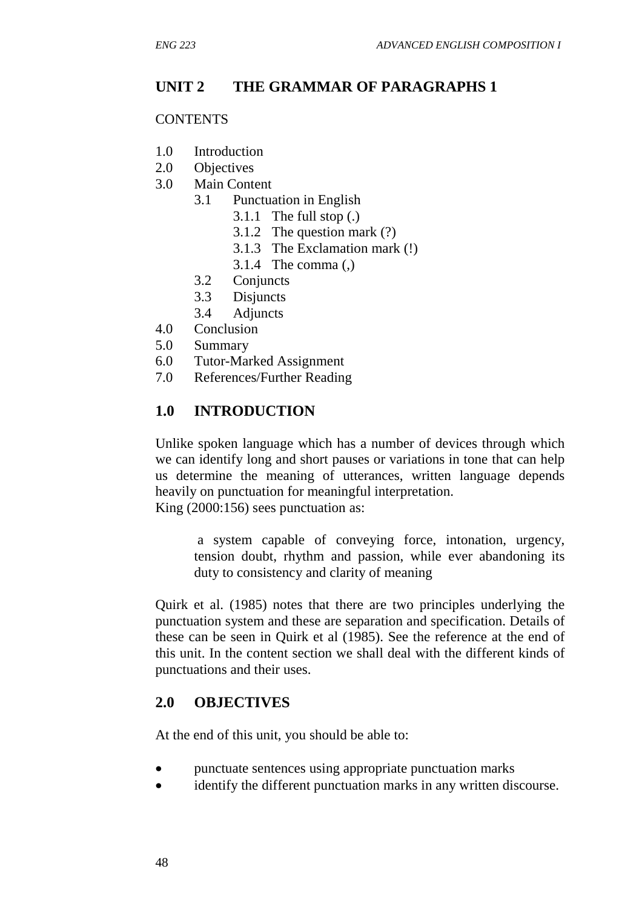# **UNIT 2 THE GRAMMAR OF PARAGRAPHS 1**

### **CONTENTS**

- 1.0 Introduction
- 2.0 Objectives
- 3.0 Main Content
	- 3.1 Punctuation in English
		- 3.1.1 The full stop (.)
		- 3.1.2 The question mark (?)
		- 3.1.3 The Exclamation mark (!)
		- 3.1.4 The comma (,)
	- 3.2 Conjuncts
	- 3.3 Disjuncts
	- 3.4 Adjuncts
- 4.0 Conclusion
- 5.0 Summary
- 6.0 Tutor-Marked Assignment
- 7.0 References/Further Reading

# **1.0 INTRODUCTION**

Unlike spoken language which has a number of devices through which we can identify long and short pauses or variations in tone that can help us determine the meaning of utterances, written language depends heavily on punctuation for meaningful interpretation. King (2000:156) sees punctuation as:

a system capable of conveying force, intonation, urgency, tension doubt, rhythm and passion, while ever abandoning its duty to consistency and clarity of meaning

Quirk et al. (1985) notes that there are two principles underlying the punctuation system and these are separation and specification. Details of these can be seen in Quirk et al (1985). See the reference at the end of this unit. In the content section we shall deal with the different kinds of punctuations and their uses.

# **2.0 OBJECTIVES**

At the end of this unit, you should be able to:

- punctuate sentences using appropriate punctuation marks
- identify the different punctuation marks in any written discourse.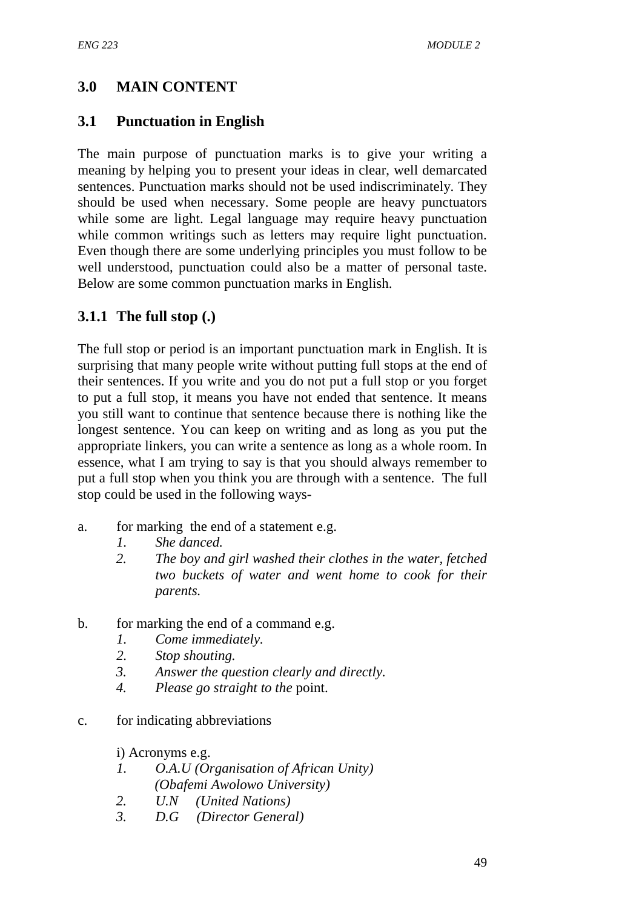# **3.0 MAIN CONTENT**

# **3.1 Punctuation in English**

The main purpose of punctuation marks is to give your writing a meaning by helping you to present your ideas in clear, well demarcated sentences. Punctuation marks should not be used indiscriminately. They should be used when necessary. Some people are heavy punctuators while some are light. Legal language may require heavy punctuation while common writings such as letters may require light punctuation. Even though there are some underlying principles you must follow to be well understood, punctuation could also be a matter of personal taste. Below are some common punctuation marks in English.

# **3.1.1 The full stop (.)**

The full stop or period is an important punctuation mark in English. It is surprising that many people write without putting full stops at the end of their sentences. If you write and you do not put a full stop or you forget to put a full stop, it means you have not ended that sentence. It means you still want to continue that sentence because there is nothing like the longest sentence. You can keep on writing and as long as you put the appropriate linkers, you can write a sentence as long as a whole room. In essence, what I am trying to say is that you should always remember to put a full stop when you think you are through with a sentence. The full stop could be used in the following ways-

- a. for marking the end of a statement e.g.
	- *1. She danced.*
	- *2. The boy and girl washed their clothes in the water, fetched two buckets of water and went home to cook for their parents.*
- b. for marking the end of a command e.g.
	- *1. Come immediately.*
	- *2. Stop shouting.*
	- *3. Answer the question clearly and directly.*
	- *4. Please go straight to the* point.
- c. for indicating abbreviations

i) Acronyms e.g.

- *1. O.A.U (Organisation of African Unity) (Obafemi Awolowo University)*
- *2. U.N (United Nations)*
- *3. D.G (Director General)*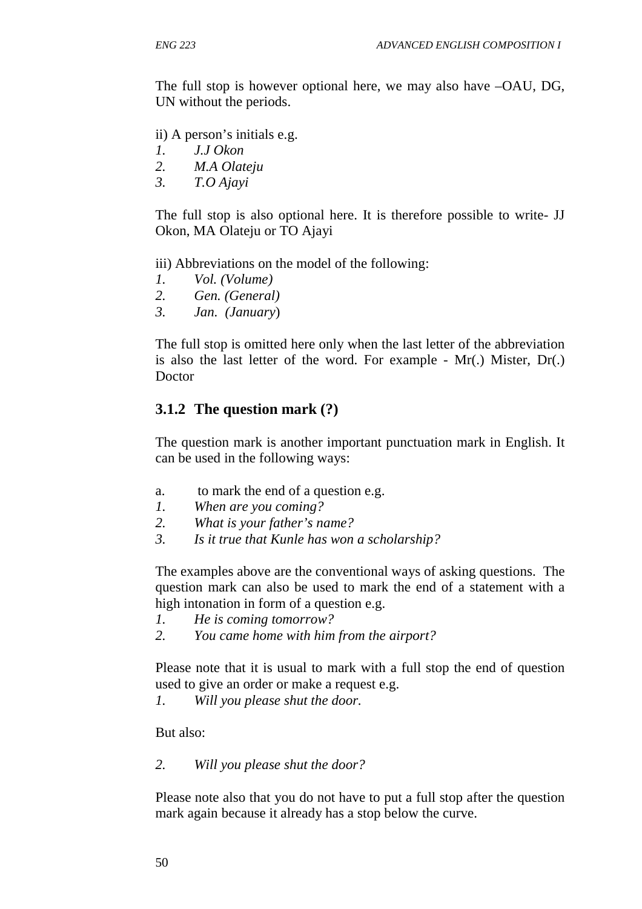The full stop is however optional here, we may also have –OAU, DG, UN without the periods.

ii) A person's initials e.g.

- *1. J.J Okon*
- *2. M.A Olateju*
- *3. T.O Ajayi*

The full stop is also optional here. It is therefore possible to write- JJ Okon, MA Olateju or TO Ajayi

iii) Abbreviations on the model of the following:

- *1. Vol. (Volume)*
- *2. Gen. (General)*
- *3. Jan. (January*)

The full stop is omitted here only when the last letter of the abbreviation is also the last letter of the word. For example - Mr(.) Mister, Dr(.) Doctor

## **3.1.2 The question mark (?)**

The question mark is another important punctuation mark in English. It can be used in the following ways:

- a. to mark the end of a question e.g.
- *1. When are you coming?*
- *2. What is your father's name?*
- *3. Is it true that Kunle has won a scholarship?*

The examples above are the conventional ways of asking questions. The question mark can also be used to mark the end of a statement with a high intonation in form of a question e.g.

- *1. He is coming tomorrow?*
- *2. You came home with him from the airport?*

Please note that it is usual to mark with a full stop the end of question used to give an order or make a request e.g.

*1. Will you please shut the door.* 

But also:

*2. Will you please shut the door?* 

Please note also that you do not have to put a full stop after the question mark again because it already has a stop below the curve.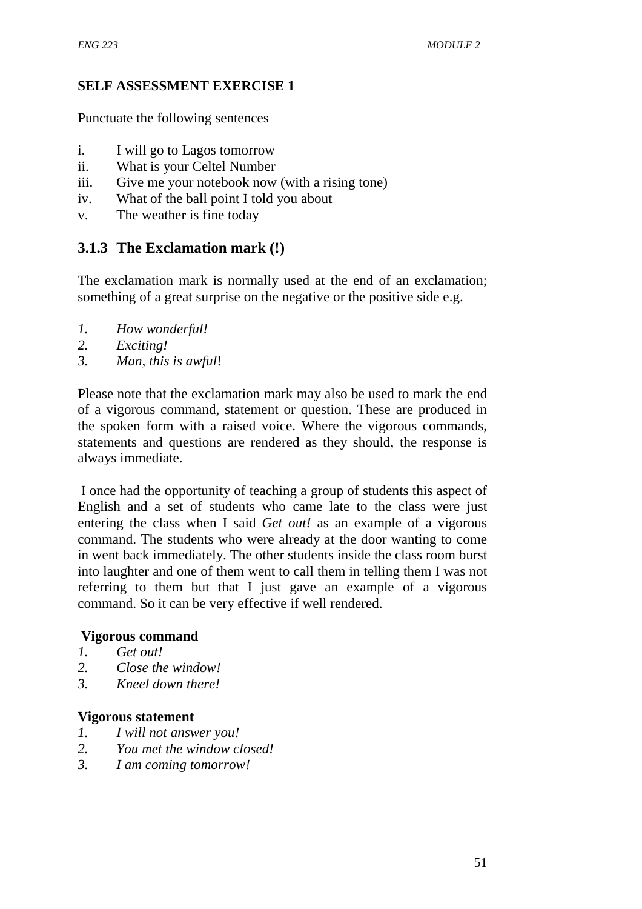## **SELF ASSESSMENT EXERCISE 1**

Punctuate the following sentences

- i. I will go to Lagos tomorrow
- ii. What is your Celtel Number
- iii. Give me your notebook now (with a rising tone)
- iv. What of the ball point I told you about
- v. The weather is fine today

# **3.1.3 The Exclamation mark (!)**

The exclamation mark is normally used at the end of an exclamation; something of a great surprise on the negative or the positive side e.g.

- *1. How wonderful!*
- *2. Exciting!*
- *3. Man, this is awful*!

Please note that the exclamation mark may also be used to mark the end of a vigorous command, statement or question. These are produced in the spoken form with a raised voice. Where the vigorous commands, statements and questions are rendered as they should, the response is always immediate.

 I once had the opportunity of teaching a group of students this aspect of English and a set of students who came late to the class were just entering the class when I said *Get out!* as an example of a vigorous command. The students who were already at the door wanting to come in went back immediately. The other students inside the class room burst into laughter and one of them went to call them in telling them I was not referring to them but that I just gave an example of a vigorous command. So it can be very effective if well rendered.

#### **Vigorous command**

- *1. Get out!*
- *2. Close the window!*
- *3. Kneel down there!*

#### **Vigorous statement**

- *1. I will not answer you!*
- *2. You met the window closed!*
- *3. I am coming tomorrow!*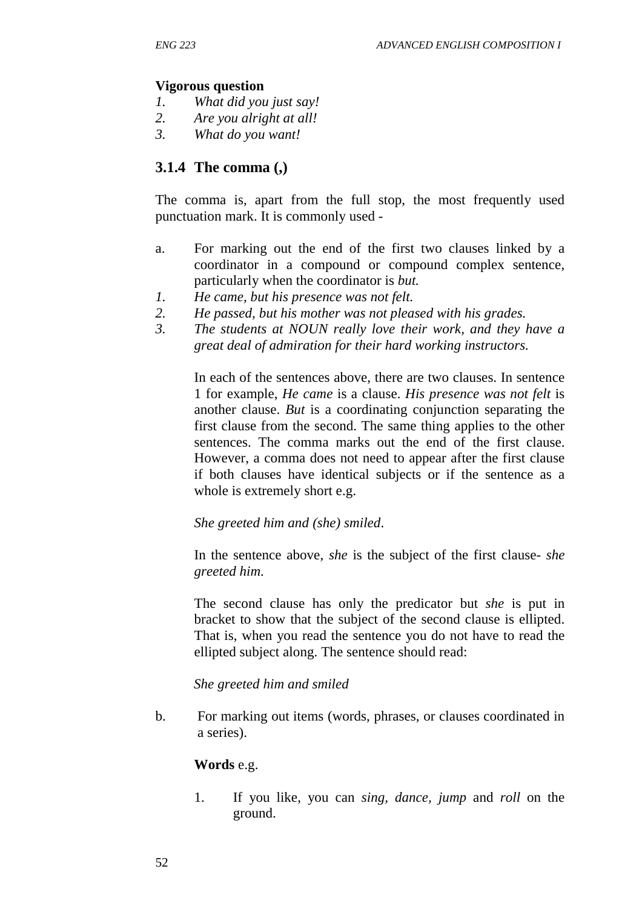#### **Vigorous question**

- *1. What did you just say!*
- *2. Are you alright at all!*
- *3. What do you want!*

### **3.1.4 The comma (,)**

The comma is, apart from the full stop, the most frequently used punctuation mark. It is commonly used -

- a. For marking out the end of the first two clauses linked by a coordinator in a compound or compound complex sentence, particularly when the coordinator is *but.*
- *1. He came, but his presence was not felt.*
- *2. He passed, but his mother was not pleased with his grades.*
- *3. The students at NOUN really love their work, and they have a great deal of admiration for their hard working instructors.*

In each of the sentences above, there are two clauses. In sentence 1 for example, *He came* is a clause. *His presence was not felt* is another clause. *But* is a coordinating conjunction separating the first clause from the second. The same thing applies to the other sentences. The comma marks out the end of the first clause. However, a comma does not need to appear after the first clause if both clauses have identical subjects or if the sentence as a whole is extremely short e.g.

*She greeted him and (she) smiled*.

In the sentence above, *she* is the subject of the first clause- *she greeted him.*

The second clause has only the predicator but *she* is put in bracket to show that the subject of the second clause is ellipted. That is, when you read the sentence you do not have to read the ellipted subject along. The sentence should read:

#### *She greeted him and smiled*

b. For marking out items (words, phrases, or clauses coordinated in a series).

#### **Words** e.g.

1. If you like, you can *sing, dance, jump* and *roll* on the ground.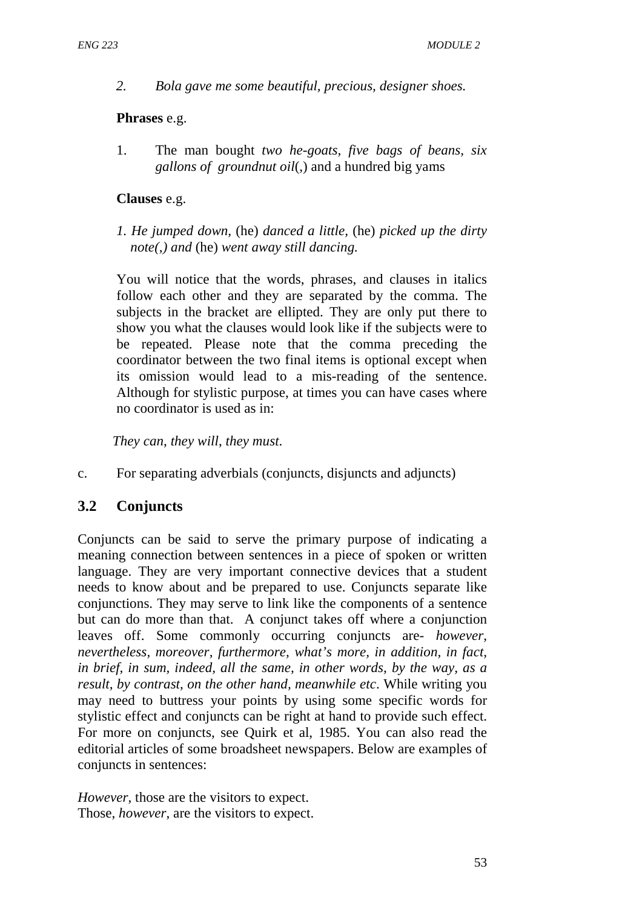*2. Bola gave me some beautiful, precious, designer shoes.*

#### **Phrases** e.g.

1. The man bought *two he-goats, five bags of beans, six gallons of groundnut oil*(,) and a hundred big yams

### **Clauses** e.g.

*1. He jumped down,* (he) *danced a little,* (he) *picked up the dirty note(,) and* (he) *went away still dancing.* 

You will notice that the words, phrases, and clauses in italics follow each other and they are separated by the comma. The subjects in the bracket are ellipted. They are only put there to show you what the clauses would look like if the subjects were to be repeated. Please note that the comma preceding the coordinator between the two final items is optional except when its omission would lead to a mis-reading of the sentence. Although for stylistic purpose, at times you can have cases where no coordinator is used as in:

*They can*, *they will*, *they must*.

c. For separating adverbials (conjuncts, disjuncts and adjuncts)

# **3.2 Conjuncts**

Conjuncts can be said to serve the primary purpose of indicating a meaning connection between sentences in a piece of spoken or written language. They are very important connective devices that a student needs to know about and be prepared to use. Conjuncts separate like conjunctions. They may serve to link like the components of a sentence but can do more than that. A conjunct takes off where a conjunction leaves off. Some commonly occurring conjuncts are- *however, nevertheless, moreover, furthermore, what's more, in addition, in fact, in brief, in sum, indeed, all the same, in other words, by the way, as a result, by contrast, on the other hand, meanwhile etc*. While writing you may need to buttress your points by using some specific words for stylistic effect and conjuncts can be right at hand to provide such effect. For more on conjuncts, see Quirk et al, 1985. You can also read the editorial articles of some broadsheet newspapers. Below are examples of conjuncts in sentences:

*However*, those are the visitors to expect. Those, *however*, are the visitors to expect.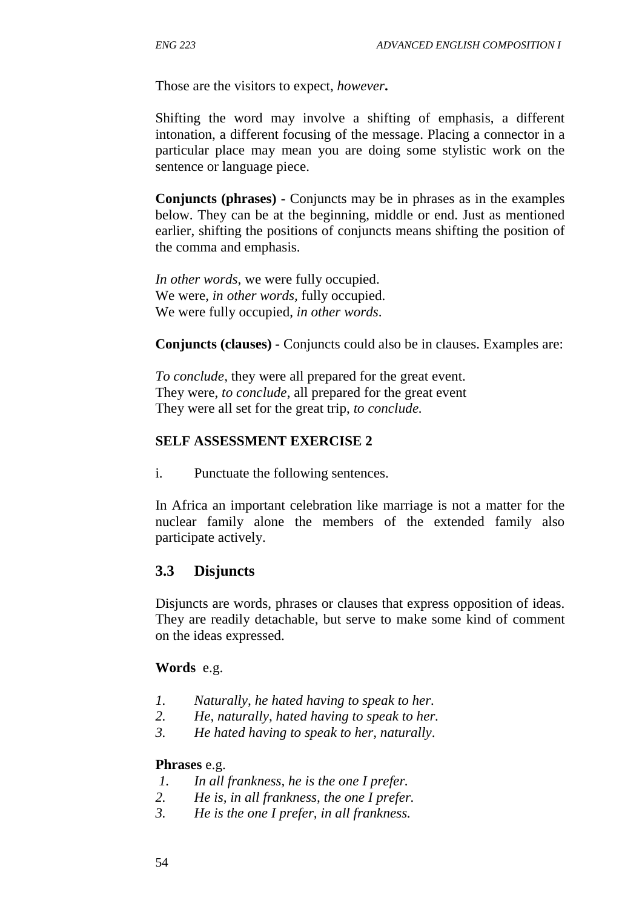Those are the visitors to expect, *however***.**

Shifting the word may involve a shifting of emphasis, a different intonation, a different focusing of the message. Placing a connector in a particular place may mean you are doing some stylistic work on the sentence or language piece.

**Conjuncts (phrases) -** Conjuncts may be in phrases as in the examples below. They can be at the beginning, middle or end. Just as mentioned earlier, shifting the positions of conjuncts means shifting the position of the comma and emphasis.

*In other words*, we were fully occupied. We were, *in other words,* fully occupied. We were fully occupied, *in other words*.

**Conjuncts (clauses) -** Conjuncts could also be in clauses. Examples are:

*To conclude*, they were all prepared for the great event. They were, *to conclude*, all prepared for the great event They were all set for the great trip, *to conclude.*

### **SELF ASSESSMENT EXERCISE 2**

i. Punctuate the following sentences.

In Africa an important celebration like marriage is not a matter for the nuclear family alone the members of the extended family also participate actively.

# **3.3 Disjuncts**

Disjuncts are words, phrases or clauses that express opposition of ideas. They are readily detachable, but serve to make some kind of comment on the ideas expressed.

## **Words** e.g.

- *1. Naturally, he hated having to speak to her.*
- *2. He, naturally, hated having to speak to her.*
- *3. He hated having to speak to her, naturally*.

#### **Phrases** e.g.

- *1. In all frankness, he is the one I prefer.*
- *2. He is, in all frankness, the one I prefer.*
- *3. He is the one I prefer, in all frankness.*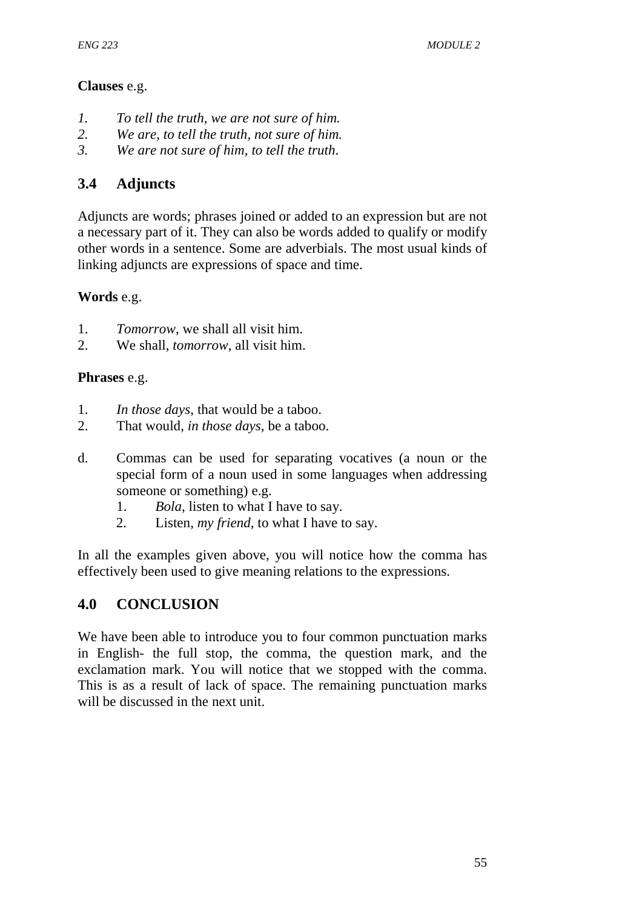## **Clauses** e.g.

- *1. To tell the truth, we are not sure of him.*
- *2. We are, to tell the truth, not sure of him.*
- *3. We are not sure of him, to tell the truth*.

# **3.4 Adjuncts**

Adjuncts are words; phrases joined or added to an expression but are not a necessary part of it. They can also be words added to qualify or modify other words in a sentence. Some are adverbials. The most usual kinds of linking adjuncts are expressions of space and time.

# **Words** e.g.

- 1. *Tomorrow*, we shall all visit him.
- 2. We shall, *tomorrow*, all visit him.

# **Phrases** e.g.

- 1. *In those days*, that would be a taboo.
- 2. That would, *in those days,* be a taboo.
- d. Commas can be used for separating vocatives (a noun or the special form of a noun used in some languages when addressing someone or something) e.g.
	- 1. *Bola,* listen to what I have to say.
	- 2. Listen, *my friend*, to what I have to say.

In all the examples given above, you will notice how the comma has effectively been used to give meaning relations to the expressions.

# **4.0 CONCLUSION**

We have been able to introduce you to four common punctuation marks in English- the full stop, the comma, the question mark, and the exclamation mark. You will notice that we stopped with the comma. This is as a result of lack of space. The remaining punctuation marks will be discussed in the next unit.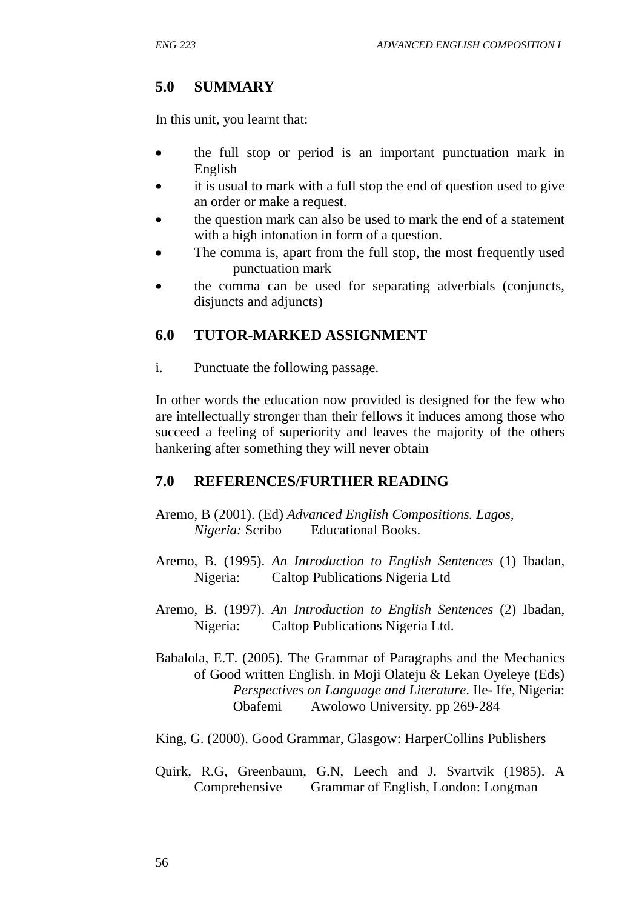## **5.0 SUMMARY**

In this unit, you learnt that:

- the full stop or period is an important punctuation mark in English
- it is usual to mark with a full stop the end of question used to give an order or make a request.
- the question mark can also be used to mark the end of a statement with a high intonation in form of a question.
- The comma is, apart from the full stop, the most frequently used punctuation mark
- the comma can be used for separating adverbials (conjuncts, disjuncts and adjuncts)

## **6.0 TUTOR-MARKED ASSIGNMENT**

i. Punctuate the following passage.

In other words the education now provided is designed for the few who are intellectually stronger than their fellows it induces among those who succeed a feeling of superiority and leaves the majority of the others hankering after something they will never obtain

## **7.0 REFERENCES/FURTHER READING**

- Aremo, B (2001). (Ed) *Advanced English Compositions. Lagos, Nigeria:* Scribo Educational Books.
- Aremo, B. (1995). *An Introduction to English Sentences* (1) Ibadan, Nigeria: Caltop Publications Nigeria Ltd
- Aremo, B. (1997). *An Introduction to English Sentences* (2) Ibadan, Nigeria: Caltop Publications Nigeria Ltd.
- Babalola, E.T. (2005). The Grammar of Paragraphs and the Mechanics of Good written English. in Moji Olateju & Lekan Oyeleye (Eds) *Perspectives on Language and Literature*. Ile- Ife, Nigeria: Obafemi Awolowo University. pp 269-284
- King, G. (2000). Good Grammar, Glasgow: HarperCollins Publishers
- Quirk, R.G, Greenbaum, G.N, Leech and J. Svartvik (1985). A Comprehensive Grammar of English, London: Longman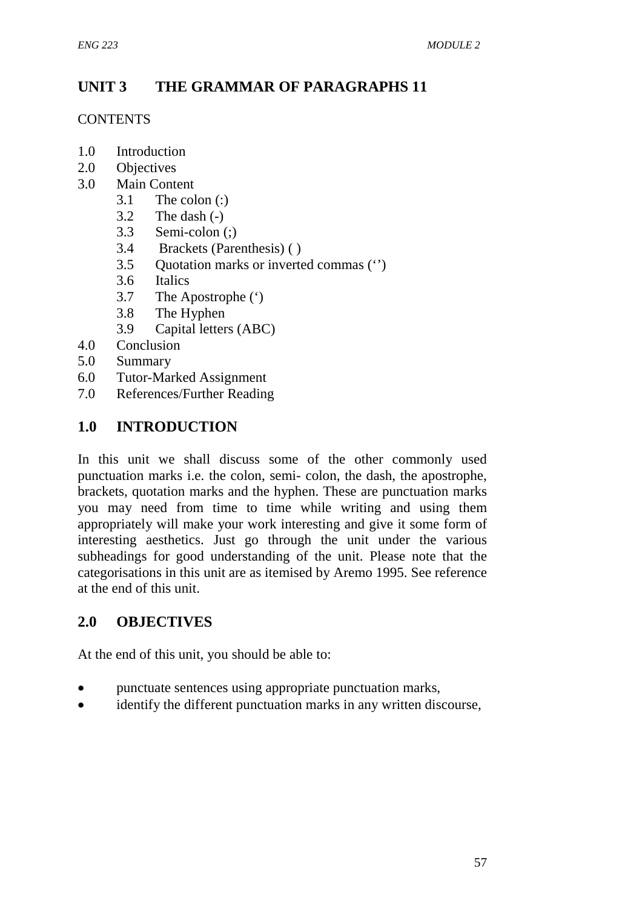# **UNIT 3 THE GRAMMAR OF PARAGRAPHS 11**

### **CONTENTS**

- 1.0 Introduction
- 2.0 Objectives
- 3.0 Main Content
	- $3.1$  The colon (:)
	- 3.2 The dash (-)
	- 3.3 Semi-colon (;)
	- 3.4 Brackets (Parenthesis) ( )
	- 3.5 Quotation marks or inverted commas ('')
	- 3.6 Italics
	- 3.7 The Apostrophe (')
	- 3.8 The Hyphen
	- 3.9 Capital letters (ABC)
- 4.0 Conclusion
- 5.0 Summary
- 6.0 Tutor-Marked Assignment
- 7.0 References/Further Reading

# **1.0 INTRODUCTION**

In this unit we shall discuss some of the other commonly used punctuation marks i.e. the colon, semi- colon, the dash, the apostrophe, brackets, quotation marks and the hyphen. These are punctuation marks you may need from time to time while writing and using them appropriately will make your work interesting and give it some form of interesting aesthetics. Just go through the unit under the various subheadings for good understanding of the unit. Please note that the categorisations in this unit are as itemised by Aremo 1995. See reference at the end of this unit.

# **2.0 OBJECTIVES**

At the end of this unit, you should be able to:

- punctuate sentences using appropriate punctuation marks,
- identify the different punctuation marks in any written discourse.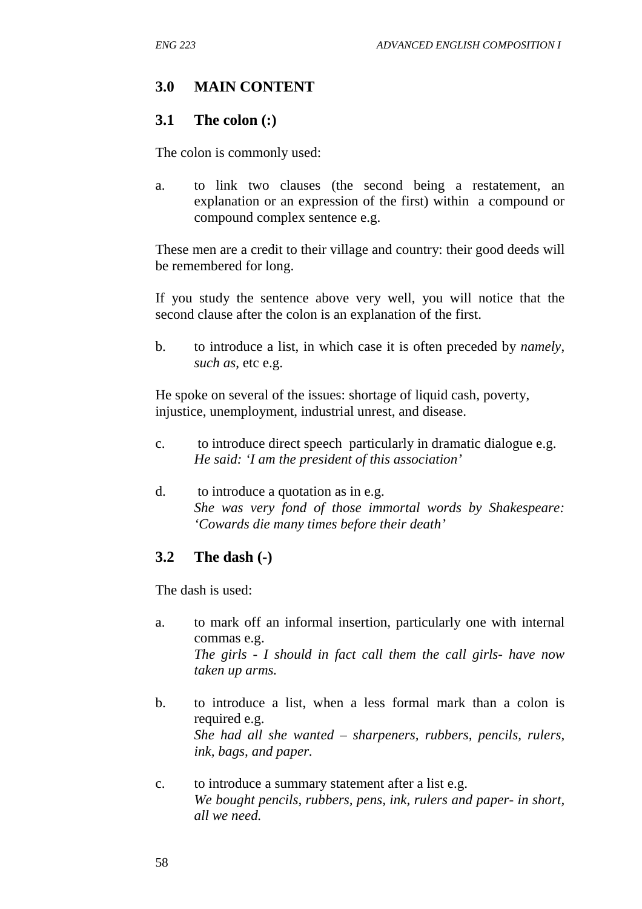# **3.0 MAIN CONTENT**

### **3.1 The colon (:)**

The colon is commonly used:

a. to link two clauses (the second being a restatement, an explanation or an expression of the first) within a compound or compound complex sentence e.g.

These men are a credit to their village and country: their good deeds will be remembered for long.

If you study the sentence above very well, you will notice that the second clause after the colon is an explanation of the first.

b. to introduce a list, in which case it is often preceded by *namely*, *such as*, etc e.g.

He spoke on several of the issues: shortage of liquid cash, poverty, injustice, unemployment, industrial unrest, and disease.

- c. to introduce direct speech particularly in dramatic dialogue e.g. *He said: 'I am the president of this association'*
- d. to introduce a quotation as in e.g. *She was very fond of those immortal words by Shakespeare: 'Cowards die many times before their death'*

## **3.2 The dash (-)**

The dash is used:

- a. to mark off an informal insertion, particularly one with internal commas e.g. *The girls - I should in fact call them the call girls- have now taken up arms.*
- b. to introduce a list, when a less formal mark than a colon is required e.g. *She had all she wanted – sharpeners, rubbers, pencils, rulers, ink, bags, and paper.*
- c. to introduce a summary statement after a list e.g. *We bought pencils, rubbers, pens, ink, rulers and paper- in short, all we need.*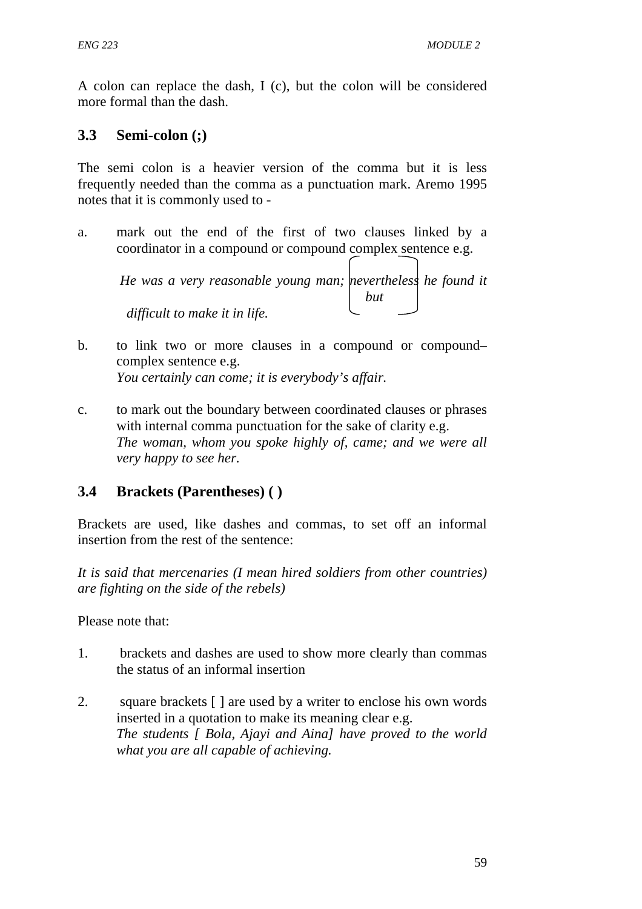A colon can replace the dash, I (c), but the colon will be considered more formal than the dash.

# **3.3 Semi-colon (;)**

The semi colon is a heavier version of the comma but it is less frequently needed than the comma as a punctuation mark. Aremo 1995 notes that it is commonly used to -

a. mark out the end of the first of two clauses linked by a coordinator in a compound or compound complex sentence e.g.  $\sqrt{2}$ 

|                               | He was a very reasonable young man; nevertheless he found it |  |
|-------------------------------|--------------------------------------------------------------|--|
|                               | but                                                          |  |
| difficult to make it in life. |                                                              |  |

- b. to link two or more clauses in a compound or compound– complex sentence e.g. *You certainly can come; it is everybody's affair.*
- c. to mark out the boundary between coordinated clauses or phrases with internal comma punctuation for the sake of clarity e.g. *The woman, whom you spoke highly of, came; and we were all very happy to see her.*

# **3.4 Brackets (Parentheses) ( )**

Brackets are used, like dashes and commas, to set off an informal insertion from the rest of the sentence:

*It is said that mercenaries (I mean hired soldiers from other countries) are fighting on the side of the rebels)* 

Please note that:

- 1. brackets and dashes are used to show more clearly than commas the status of an informal insertion
- 2. square brackets [ ] are used by a writer to enclose his own words inserted in a quotation to make its meaning clear e.g. *The students [ Bola, Ajayi and Aina] have proved to the world what you are all capable of achieving.*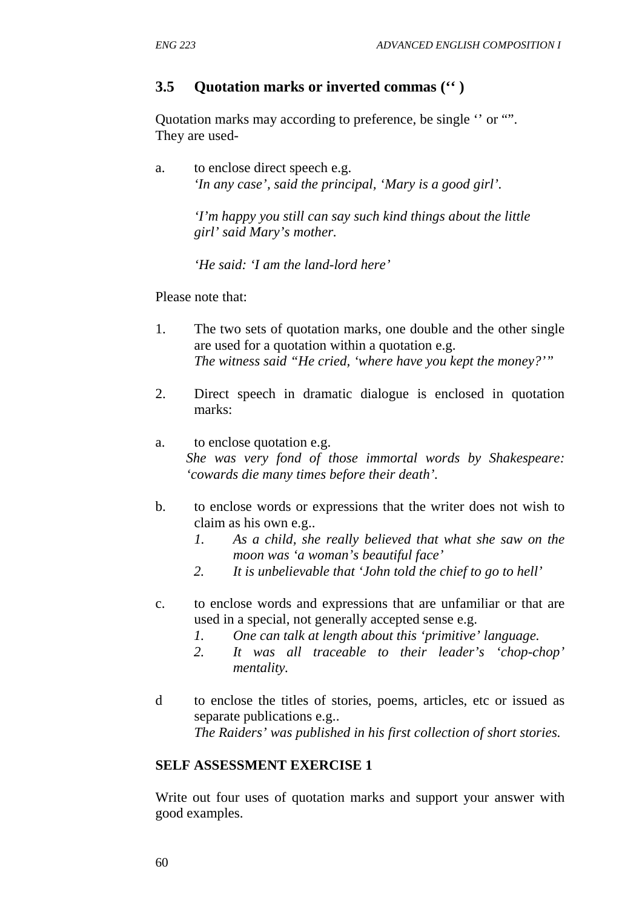# **3.5 Quotation marks or inverted commas ('' )**

Quotation marks may according to preference, be single '' or "". They are used-

a. to enclose direct speech e.g.  *'In any case', said the principal, 'Mary is a good girl'.* 

> *'I'm happy you still can say such kind things about the little girl' said Mary's mother.*

*'He said: 'I am the land-lord here'* 

Please note that:

- 1. The two sets of quotation marks, one double and the other single are used for a quotation within a quotation e.g. *The witness said "He cried, 'where have you kept the money?'"*
- 2. Direct speech in dramatic dialogue is enclosed in quotation marks:
- a. to enclose quotation e.g. *She was very fond of those immortal words by Shakespeare: 'cowards die many times before their death'.*
- b. to enclose words or expressions that the writer does not wish to claim as his own e.g..
	- *1. As a child, she really believed that what she saw on the moon was 'a woman's beautiful face'*
	- *2. It is unbelievable that 'John told the chief to go to hell'*
- c. to enclose words and expressions that are unfamiliar or that are used in a special, not generally accepted sense e.g.
	- *1. One can talk at length about this 'primitive' language.*
	- *2. It was all traceable to their leader's 'chop-chop' mentality.*
- d to enclose the titles of stories, poems, articles, etc or issued as separate publications e.g.. *The Raiders' was published in his first collection of short stories.*

## **SELF ASSESSMENT EXERCISE 1**

Write out four uses of quotation marks and support your answer with good examples.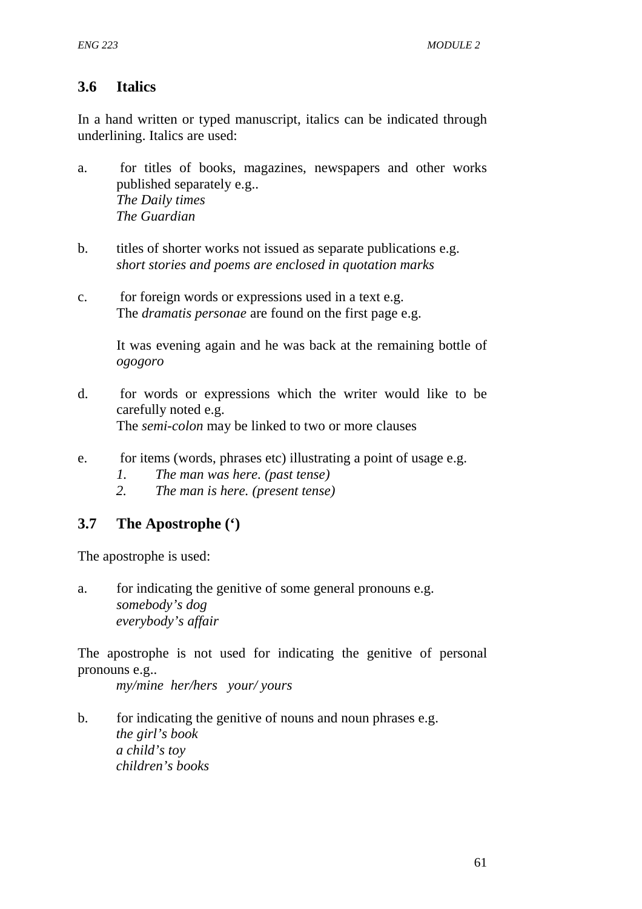## **3.6 Italics**

In a hand written or typed manuscript, italics can be indicated through underlining. Italics are used:

- a. for titles of books, magazines, newspapers and other works published separately e.g.. *The Daily times The Guardian*
- b. titles of shorter works not issued as separate publications e.g. *short stories and poems are enclosed in quotation marks*
- c. for foreign words or expressions used in a text e.g. The *dramatis personae* are found on the first page e.g.

It was evening again and he was back at the remaining bottle of *ogogoro*

- d. for words or expressions which the writer would like to be carefully noted e.g. The *semi-colon* may be linked to two or more clauses
- e. for items (words, phrases etc) illustrating a point of usage e.g.
	- *1. The man was here. (past tense)*
	- *2. The man is here. (present tense)*

## **3.7 The Apostrophe (')**

The apostrophe is used:

a. for indicating the genitive of some general pronouns e.g. *somebody's dog everybody's affair* 

The apostrophe is not used for indicating the genitive of personal pronouns e.g..

 *my/mine her/hers your/ yours* 

b. for indicating the genitive of nouns and noun phrases e.g. *the girl's book a child's toy children's books*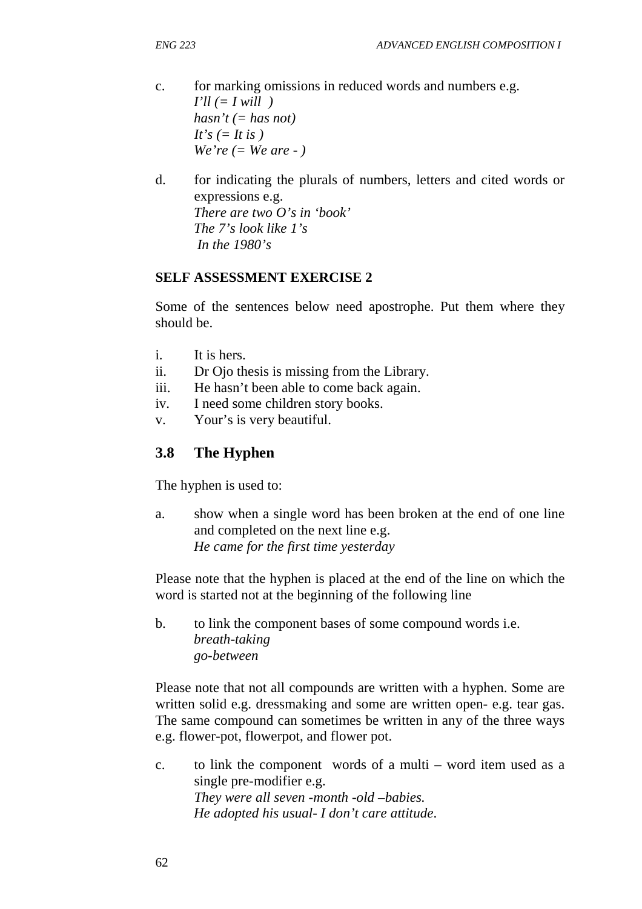- c. for marking omissions in reduced words and numbers e.g.  $I'll (= I will)$  $hasn't (= has not)$  $It's (= It is)$  *We're (= We are - )*
- d. for indicating the plurals of numbers, letters and cited words or expressions e.g. *There are two O's in 'book' The 7's look like 1's In the 1980's*

#### **SELF ASSESSMENT EXERCISE 2**

Some of the sentences below need apostrophe. Put them where they should be.

- i. It is hers.
- ii. Dr Ojo thesis is missing from the Library.
- iii. He hasn't been able to come back again.
- iv. I need some children story books.
- v. Your's is very beautiful.

## **3.8 The Hyphen**

The hyphen is used to:

a. show when a single word has been broken at the end of one line and completed on the next line e.g.  *He came for the first time yesterday* 

Please note that the hyphen is placed at the end of the line on which the word is started not at the beginning of the following line

b. to link the component bases of some compound words i.e.  *breath-taking go-between* 

Please note that not all compounds are written with a hyphen. Some are written solid e.g. dressmaking and some are written open- e.g. tear gas. The same compound can sometimes be written in any of the three ways e.g. flower-pot, flowerpot, and flower pot.

c. to link the component words of a multi – word item used as a single pre-modifier e.g. *They were all seven -month -old –babies. He adopted his usual- I don't care attitude*.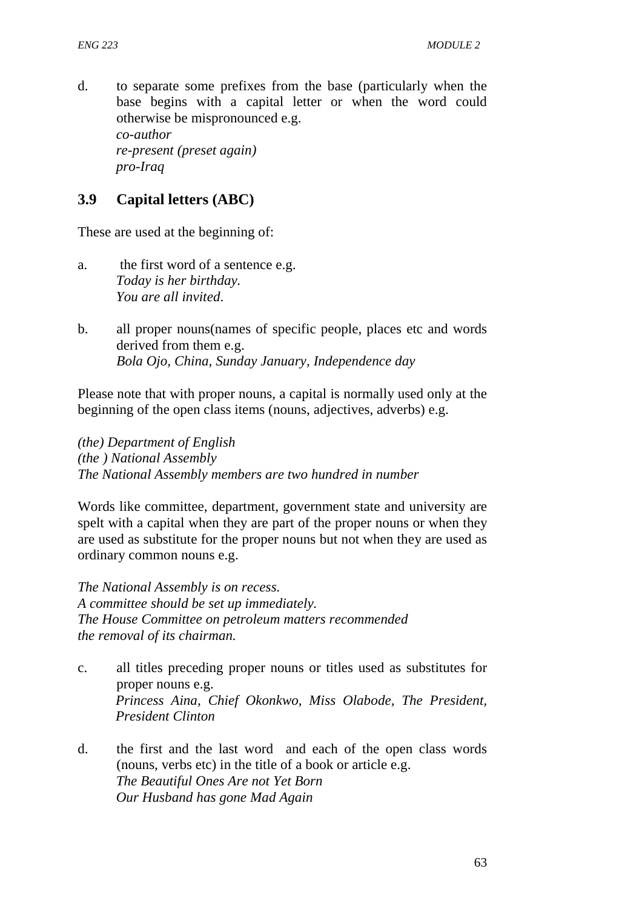d. to separate some prefixes from the base (particularly when the base begins with a capital letter or when the word could otherwise be mispronounced e.g. *co-author re-present (preset again) pro-Iraq* 

# **3.9 Capital letters (ABC)**

These are used at the beginning of:

- a. the first word of a sentence e.g. *Today is her birthday. You are all invited*.
- b. all proper nouns(names of specific people, places etc and words derived from them e.g. *Bola Ojo, China, Sunday January, Independence day*

Please note that with proper nouns, a capital is normally used only at the beginning of the open class items (nouns, adjectives, adverbs) e.g.

*(the) Department of English (the ) National Assembly The National Assembly members are two hundred in number* 

Words like committee, department, government state and university are spelt with a capital when they are part of the proper nouns or when they are used as substitute for the proper nouns but not when they are used as ordinary common nouns e.g.

*The National Assembly is on recess. A committee should be set up immediately. The House Committee on petroleum matters recommended the removal of its chairman.* 

- c. all titles preceding proper nouns or titles used as substitutes for proper nouns e.g. *Princess Aina, Chief Okonkwo, Miss Olabode, The President, President Clinton*
- d. the first and the last word and each of the open class words (nouns, verbs etc) in the title of a book or article e.g.  *The Beautiful Ones Are not Yet Born Our Husband has gone Mad Again*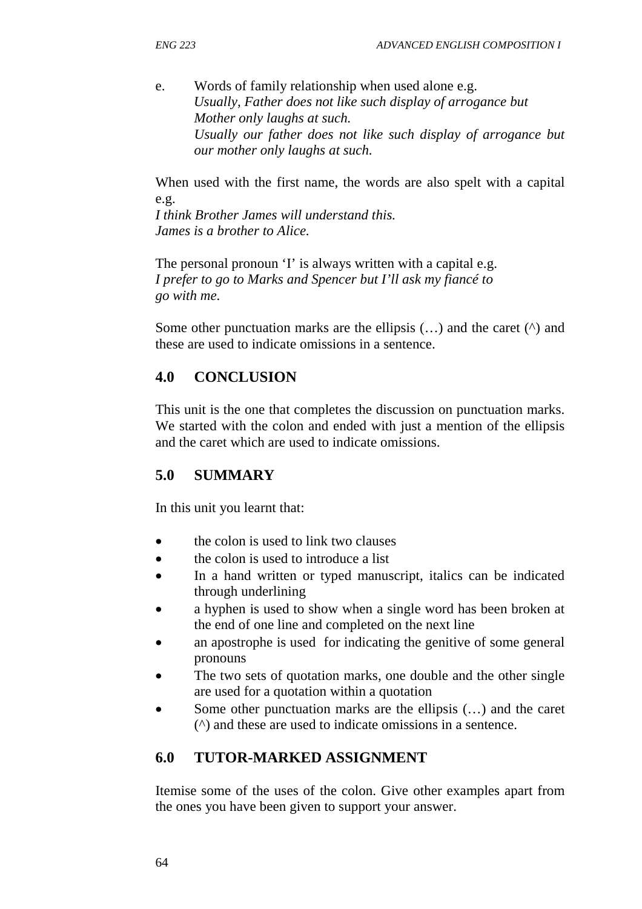e. Words of family relationship when used alone e.g.  *Usually, Father does not like such display of arrogance but Mother only laughs at such. Usually our father does not like such display of arrogance but our mother only laughs at such.* 

When used with the first name, the words are also spelt with a capital e.g.

*I think Brother James will understand this. James is a brother to Alice.* 

The personal pronoun 'I' is always written with a capital e.g. *I prefer to go to Marks and Spencer but I'll ask my fiancé to go with me.* 

Some other punctuation marks are the ellipsis  $(...)$  and the caret  $(')$  and these are used to indicate omissions in a sentence.

# **4.0 CONCLUSION**

This unit is the one that completes the discussion on punctuation marks. We started with the colon and ended with just a mention of the ellipsis and the caret which are used to indicate omissions.

# **5.0 SUMMARY**

In this unit you learnt that:

- the colon is used to link two clauses
- the colon is used to introduce a list
- In a hand written or typed manuscript, italics can be indicated through underlining
- a hyphen is used to show when a single word has been broken at the end of one line and completed on the next line
- an apostrophe is used for indicating the genitive of some general pronouns
- The two sets of quotation marks, one double and the other single are used for a quotation within a quotation
- Some other punctuation marks are the ellipsis  $(...)$  and the caret (^) and these are used to indicate omissions in a sentence.

# **6.0 TUTOR-MARKED ASSIGNMENT**

Itemise some of the uses of the colon. Give other examples apart from the ones you have been given to support your answer.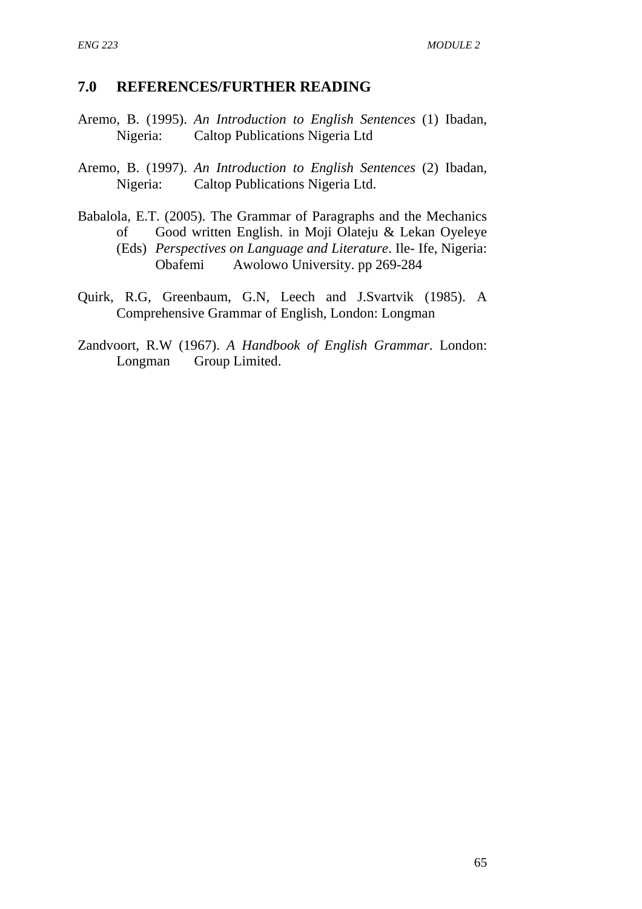## **7.0 REFERENCES/FURTHER READING**

- Aremo, B. (1995). *An Introduction to English Sentences* (1) Ibadan, Nigeria: Caltop Publications Nigeria Ltd
- Aremo, B. (1997). *An Introduction to English Sentences* (2) Ibadan, Nigeria: Caltop Publications Nigeria Ltd.
- Babalola, E.T. (2005). The Grammar of Paragraphs and the Mechanics of Good written English. in Moji Olateju & Lekan Oyeleye (Eds) *Perspectives on Language and Literature*. Ile- Ife, Nigeria:
	- Obafemi Awolowo University. pp 269-284
- Quirk, R.G, Greenbaum, G.N, Leech and J.Svartvik (1985). A Comprehensive Grammar of English, London: Longman
- Zandvoort, R.W (1967). *A Handbook of English Grammar*. London: Longman Group Limited.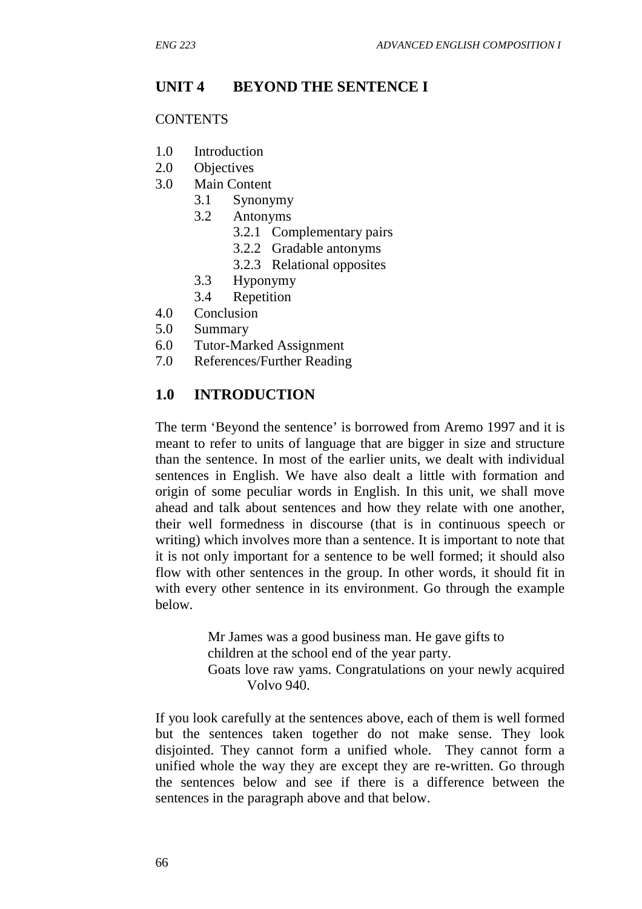## **UNIT 4 BEYOND THE SENTENCE I**

### **CONTENTS**

- 1.0 Introduction
- 2.0 Objectives
- 3.0 Main Content
	- 3.1 Synonymy
	- 3.2 Antonyms
		- 3.2.1 Complementary pairs
		- 3.2.2 Gradable antonyms
		- 3.2.3 Relational opposites
	- 3.3 Hyponymy
	- 3.4 Repetition
- 4.0 Conclusion
- 5.0 Summary
- 6.0 Tutor-Marked Assignment
- 7.0 References/Further Reading

## **1.0 INTRODUCTION**

The term 'Beyond the sentence' is borrowed from Aremo 1997 and it is meant to refer to units of language that are bigger in size and structure than the sentence. In most of the earlier units, we dealt with individual sentences in English. We have also dealt a little with formation and origin of some peculiar words in English. In this unit, we shall move ahead and talk about sentences and how they relate with one another, their well formedness in discourse (that is in continuous speech or writing) which involves more than a sentence. It is important to note that it is not only important for a sentence to be well formed; it should also flow with other sentences in the group. In other words, it should fit in with every other sentence in its environment. Go through the example below.

> Mr James was a good business man. He gave gifts to children at the school end of the year party. Goats love raw yams. Congratulations on your newly acquired Volvo 940.

If you look carefully at the sentences above, each of them is well formed but the sentences taken together do not make sense. They look disjointed. They cannot form a unified whole. They cannot form a unified whole the way they are except they are re-written. Go through the sentences below and see if there is a difference between the sentences in the paragraph above and that below.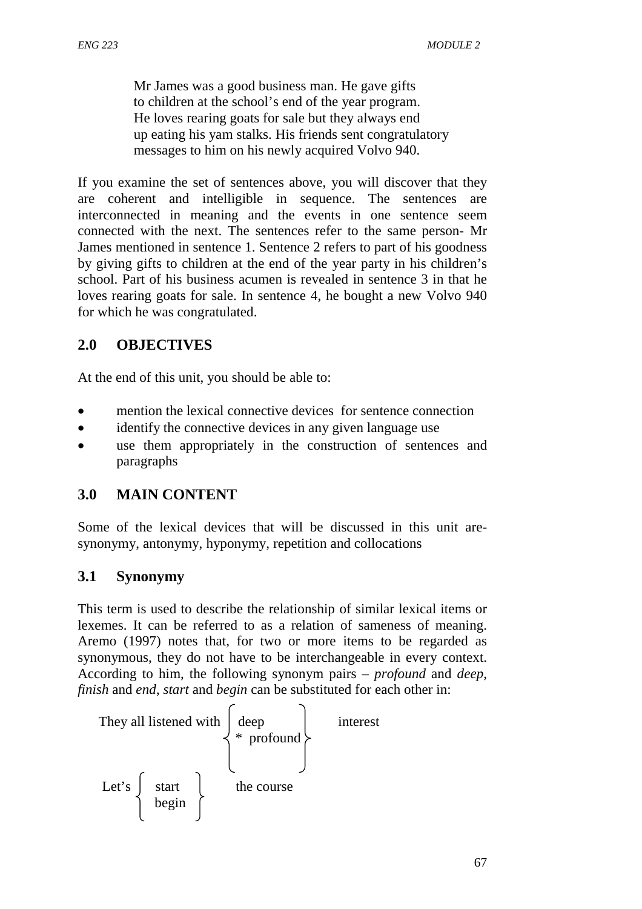Mr James was a good business man. He gave gifts to children at the school's end of the year program. He loves rearing goats for sale but they always end up eating his yam stalks. His friends sent congratulatory messages to him on his newly acquired Volvo 940.

If you examine the set of sentences above, you will discover that they are coherent and intelligible in sequence. The sentences are interconnected in meaning and the events in one sentence seem connected with the next. The sentences refer to the same person- Mr James mentioned in sentence 1. Sentence 2 refers to part of his goodness by giving gifts to children at the end of the year party in his children's school. Part of his business acumen is revealed in sentence 3 in that he loves rearing goats for sale. In sentence 4, he bought a new Volvo 940 for which he was congratulated.

## **2.0 OBJECTIVES**

At the end of this unit, you should be able to:

- mention the lexical connective devices for sentence connection
- identify the connective devices in any given language use
- use them appropriately in the construction of sentences and paragraphs

## **3.0 MAIN CONTENT**

Some of the lexical devices that will be discussed in this unit aresynonymy, antonymy, hyponymy, repetition and collocations

## **3.1 Synonymy**

This term is used to describe the relationship of similar lexical items or lexemes. It can be referred to as a relation of sameness of meaning. Aremo (1997) notes that, for two or more items to be regarded as synonymous, they do not have to be interchangeable in every context. According to him, the following synonym pairs – *profound* and *deep*, *finish* and *end*, *start* and *begin* can be substituted for each other in:

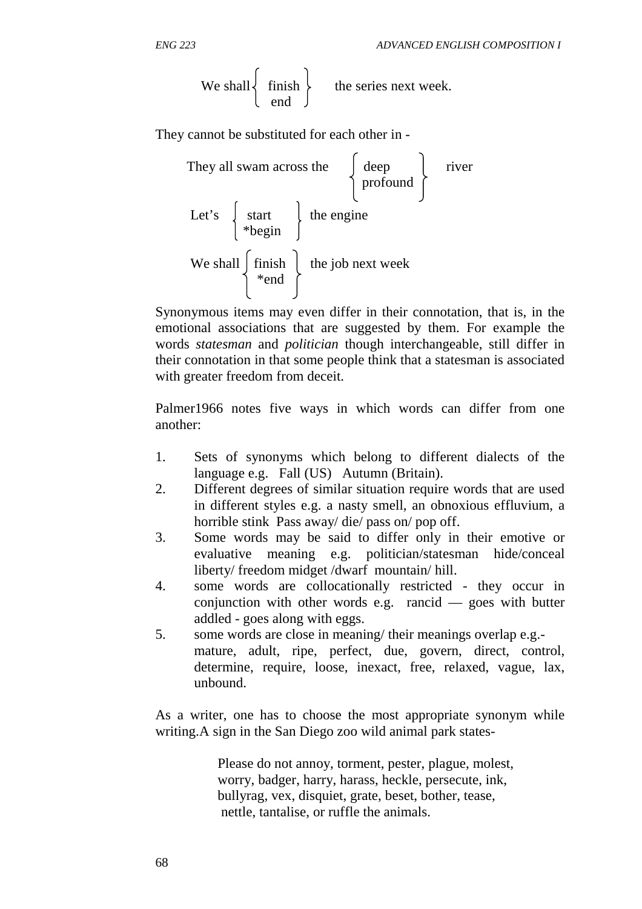$$
ENG\,223
$$

We shall 
$$
\left\{\n \begin{array}{c}\n \text{ finish} \\
\text{end}\n \end{array}\n \right\}
$$
 the series next week.

They cannot be substituted for each other in -



Synonymous items may even differ in their connotation, that is, in the emotional associations that are suggested by them. For example the words *statesman* and *politician* though interchangeable, still differ in their connotation in that some people think that a statesman is associated with greater freedom from deceit.

Palmer1966 notes five ways in which words can differ from one another:

- 1. Sets of synonyms which belong to different dialects of the language e.g. Fall (US) Autumn (Britain).
- 2. Different degrees of similar situation require words that are used in different styles e.g. a nasty smell, an obnoxious effluvium, a horrible stink Pass away/ die/ pass on/ pop off.
- 3. Some words may be said to differ only in their emotive or evaluative meaning e.g. politician/statesman hide/conceal liberty/ freedom midget /dwarf mountain/ hill.
- 4. some words are collocationally restricted they occur in conjunction with other words e.g. rancid — goes with butter addled - goes along with eggs.
- 5. some words are close in meaning/ their meanings overlap e.g. mature, adult, ripe, perfect, due, govern, direct, control, determine, require, loose, inexact, free, relaxed, vague, lax, unbound.

As a writer, one has to choose the most appropriate synonym while writing.A sign in the San Diego zoo wild animal park states-

> Please do not annoy, torment, pester, plague, molest, worry, badger, harry, harass, heckle, persecute, ink, bullyrag, vex, disquiet, grate, beset, bother, tease, nettle, tantalise, or ruffle the animals.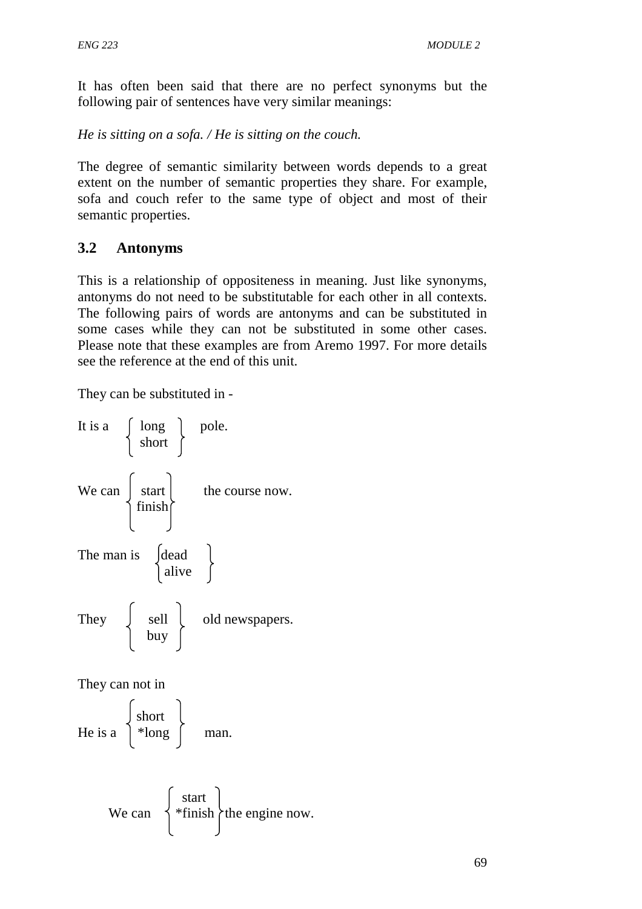It has often been said that there are no perfect synonyms but the following pair of sentences have very similar meanings:

*He is sitting on a sofa. / He is sitting on the couch.* 

The degree of semantic similarity between words depends to a great extent on the number of semantic properties they share. For example, sofa and couch refer to the same type of object and most of their semantic properties.

# **3.2 Antonyms**

This is a relationship of oppositeness in meaning. Just like synonyms, antonyms do not need to be substitutable for each other in all contexts. The following pairs of words are antonyms and can be substituted in some cases while they can not be substituted in some other cases. Please note that these examples are from Aremo 1997. For more details see the reference at the end of this unit.

They can be substituted in -



They can not in

He is a 
$$
\begin{cases} \text{short} \\ * \text{long} \end{cases}
$$
 man.

We can 
$$
\begin{cases} start \\ * finish \end{cases}
$$
 the engine now.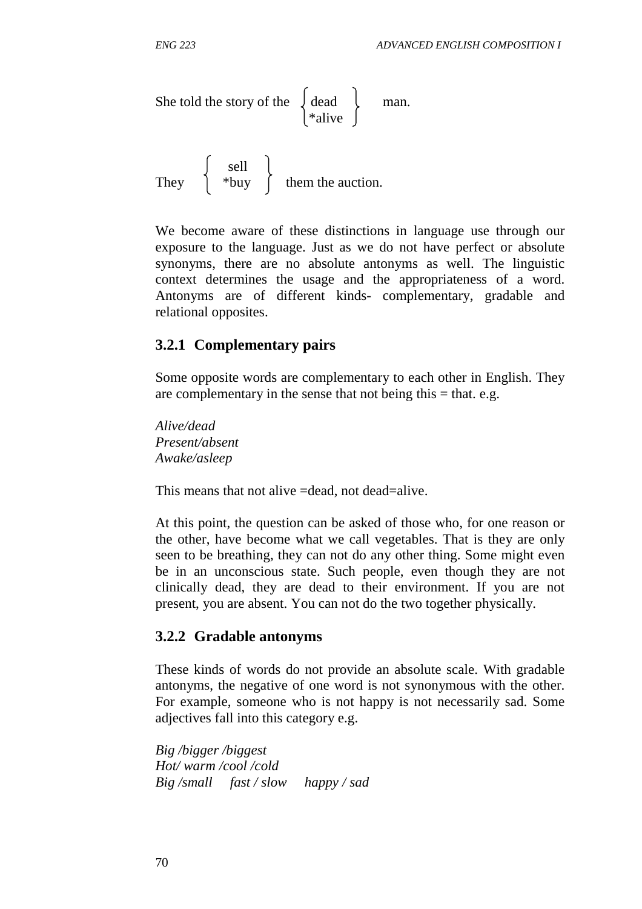She told the story of the 
$$
\left\{\begin{array}{c}\text{dead} \\ \text{*alive}\end{array}\right\}
$$
 man.

 sell They  $\parallel$  \*buy  $\parallel$  them the auction.

We become aware of these distinctions in language use through our exposure to the language. Just as we do not have perfect or absolute synonyms, there are no absolute antonyms as well. The linguistic context determines the usage and the appropriateness of a word. Antonyms are of different kinds- complementary, gradable and relational opposites.

### **3.2.1 Complementary pairs**

Some opposite words are complementary to each other in English. They are complementary in the sense that not being this  $=$  that. e.g.

*Alive/dead Present/absent Awake/asleep* 

This means that not alive =dead, not dead=alive.

At this point, the question can be asked of those who, for one reason or the other, have become what we call vegetables. That is they are only seen to be breathing, they can not do any other thing. Some might even be in an unconscious state. Such people, even though they are not clinically dead, they are dead to their environment. If you are not present, you are absent. You can not do the two together physically.

#### **3.2.2 Gradable antonyms**

These kinds of words do not provide an absolute scale. With gradable antonyms, the negative of one word is not synonymous with the other. For example, someone who is not happy is not necessarily sad. Some adjectives fall into this category e.g.

*Big /bigger /biggest Hot/ warm /cool /cold Big /small fast / slow happy / sad*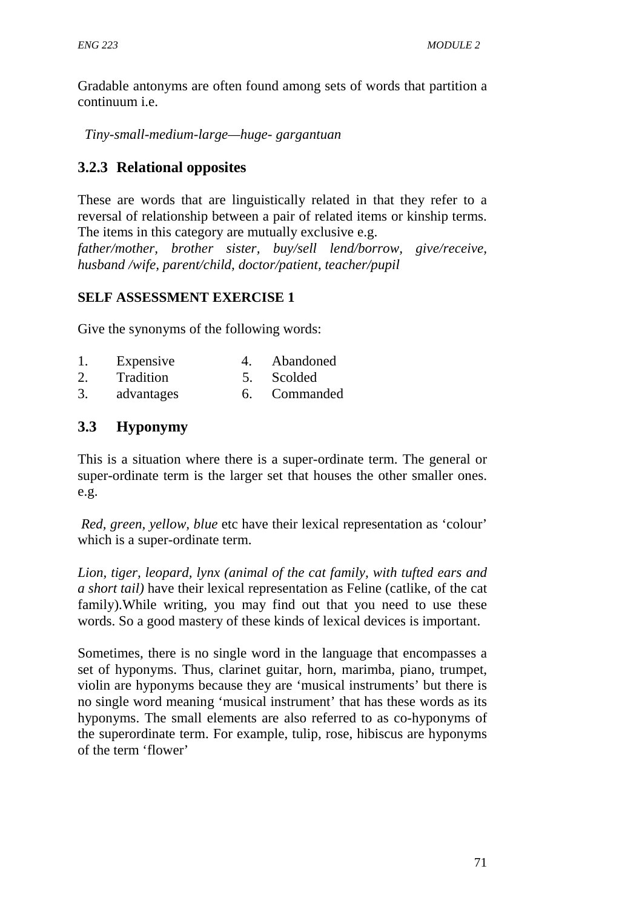Gradable antonyms are often found among sets of words that partition a continuum i.e.

 *Tiny-small-medium-large—huge- gargantuan* 

# **3.2.3 Relational opposites**

These are words that are linguistically related in that they refer to a reversal of relationship between a pair of related items or kinship terms. The items in this category are mutually exclusive e.g.

*father/mother, brother sister, buy/sell lend/borrow, give/receive, husband /wife, parent/child, doctor/patient, teacher/pupil* 

## **SELF ASSESSMENT EXERCISE 1**

Give the synonyms of the following words:

- 1. Expensive 4. Abandoned
- 2. Tradition 5. Scolded
- 3. advantages 6. Commanded

## **3.3 Hyponymy**

This is a situation where there is a super-ordinate term. The general or super-ordinate term is the larger set that houses the other smaller ones. e.g.

*Red, green, yellow, blue* etc have their lexical representation as 'colour' which is a super-ordinate term.

*Lion, tiger, leopard, lynx (animal of the cat family, with tufted ears and a short tail)* have their lexical representation as Feline (catlike, of the cat family).While writing, you may find out that you need to use these words. So a good mastery of these kinds of lexical devices is important.

Sometimes, there is no single word in the language that encompasses a set of hyponyms. Thus, clarinet guitar, horn, marimba, piano, trumpet, violin are hyponyms because they are 'musical instruments' but there is no single word meaning 'musical instrument' that has these words as its hyponyms. The small elements are also referred to as co-hyponyms of the superordinate term. For example, tulip, rose, hibiscus are hyponyms of the term 'flower'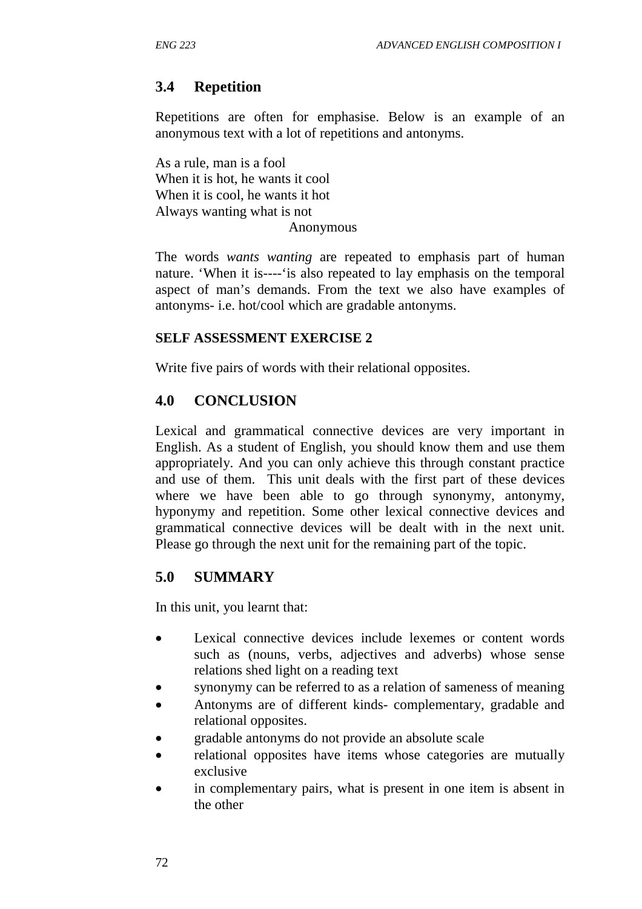# **3.4 Repetition**

Repetitions are often for emphasise. Below is an example of an anonymous text with a lot of repetitions and antonyms.

As a rule, man is a fool When it is hot, he wants it cool When it is cool, he wants it hot Always wanting what is not Anonymous

The words *wants wanting* are repeated to emphasis part of human nature. 'When it is----'is also repeated to lay emphasis on the temporal aspect of man's demands. From the text we also have examples of antonyms- i.e. hot/cool which are gradable antonyms.

### **SELF ASSESSMENT EXERCISE 2**

Write five pairs of words with their relational opposites.

## **4.0 CONCLUSION**

Lexical and grammatical connective devices are very important in English. As a student of English, you should know them and use them appropriately. And you can only achieve this through constant practice and use of them. This unit deals with the first part of these devices where we have been able to go through synonymy, antonymy, hyponymy and repetition. Some other lexical connective devices and grammatical connective devices will be dealt with in the next unit. Please go through the next unit for the remaining part of the topic.

## **5.0 SUMMARY**

In this unit, you learnt that:

- Lexical connective devices include lexemes or content words such as (nouns, verbs, adjectives and adverbs) whose sense relations shed light on a reading text
- synonymy can be referred to as a relation of sameness of meaning
- Antonyms are of different kinds- complementary, gradable and relational opposites.
- gradable antonyms do not provide an absolute scale
- relational opposites have items whose categories are mutually exclusive
- in complementary pairs, what is present in one item is absent in the other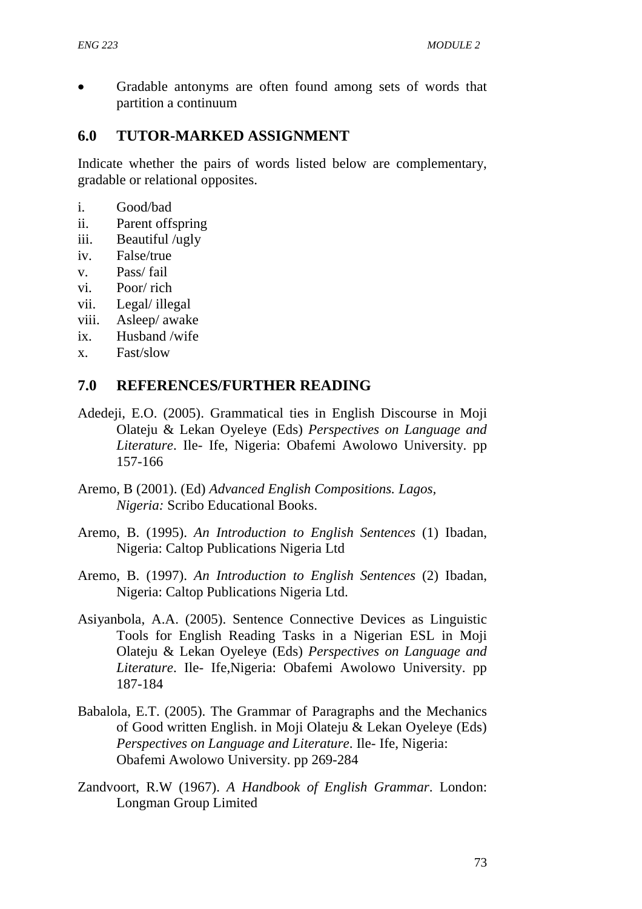• Gradable antonyms are often found among sets of words that partition a continuum

## **6.0 TUTOR-MARKED ASSIGNMENT**

Indicate whether the pairs of words listed below are complementary, gradable or relational opposites.

- i. Good/bad
- ii. Parent offspring
- iii. Beautiful /ugly
- iv. False/true
- v. Pass/ fail
- vi. Poor/ rich
- vii. Legal/ illegal
- viii. Asleep/ awake
- ix. Husband /wife
- x. Fast/slow

## **7.0 REFERENCES/FURTHER READING**

- Adedeji, E.O. (2005). Grammatical ties in English Discourse in Moji Olateju & Lekan Oyeleye (Eds) *Perspectives on Language and Literature*. Ile- Ife, Nigeria: Obafemi Awolowo University. pp 157-166
- Aremo, B (2001). (Ed) *Advanced English Compositions. Lagos, Nigeria:* Scribo Educational Books.
- Aremo, B. (1995). *An Introduction to English Sentences* (1) Ibadan, Nigeria: Caltop Publications Nigeria Ltd
- Aremo, B. (1997). *An Introduction to English Sentences* (2) Ibadan, Nigeria: Caltop Publications Nigeria Ltd.
- Asiyanbola, A.A. (2005). Sentence Connective Devices as Linguistic Tools for English Reading Tasks in a Nigerian ESL in Moji Olateju & Lekan Oyeleye (Eds) *Perspectives on Language and Literature*. Ile- Ife,Nigeria: Obafemi Awolowo University. pp 187-184
- Babalola, E.T. (2005). The Grammar of Paragraphs and the Mechanics of Good written English. in Moji Olateju & Lekan Oyeleye (Eds) *Perspectives on Language and Literature*. Ile- Ife, Nigeria: Obafemi Awolowo University. pp 269-284
- Zandvoort, R.W (1967). *A Handbook of English Grammar*. London: Longman Group Limited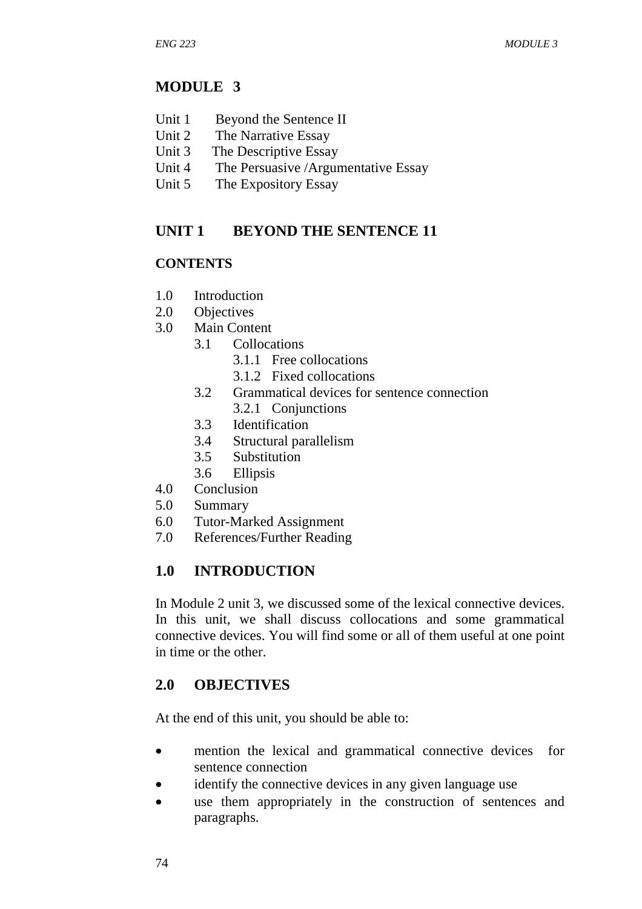## **MODULE 3**

- Unit 1 Beyond the Sentence II
- Unit 2 The Narrative Essay
- Unit 3 The Descriptive Essay
- Unit 4 The Persuasive /Argumentative Essay
- Unit 5 The Expository Essay

## **UNIT 1 BEYOND THE SENTENCE 11**

### **CONTENTS**

- 1.0 Introduction
- 2.0 Objectives
- 3.0 Main Content
	- 3.1 Collocations
		- 3.1.1 Free collocations
		- 3.1.2 Fixed collocations
	- 3.2 Grammatical devices for sentence connection 3.2.1 Conjunctions
	- 3.3 Identification
	- 3.4 Structural parallelism
	- 3.5 Substitution
	- 3.6 Ellipsis
- 4.0 Conclusion
- 5.0 Summary
- 6.0 Tutor-Marked Assignment
- 7.0 References/Further Reading

## **1.0 INTRODUCTION**

In Module 2 unit 3, we discussed some of the lexical connective devices. In this unit, we shall discuss collocations and some grammatical connective devices. You will find some or all of them useful at one point in time or the other.

## **2.0 OBJECTIVES**

At the end of this unit, you should be able to:

- mention the lexical and grammatical connective devices for sentence connection
- identify the connective devices in any given language use
- use them appropriately in the construction of sentences and paragraphs.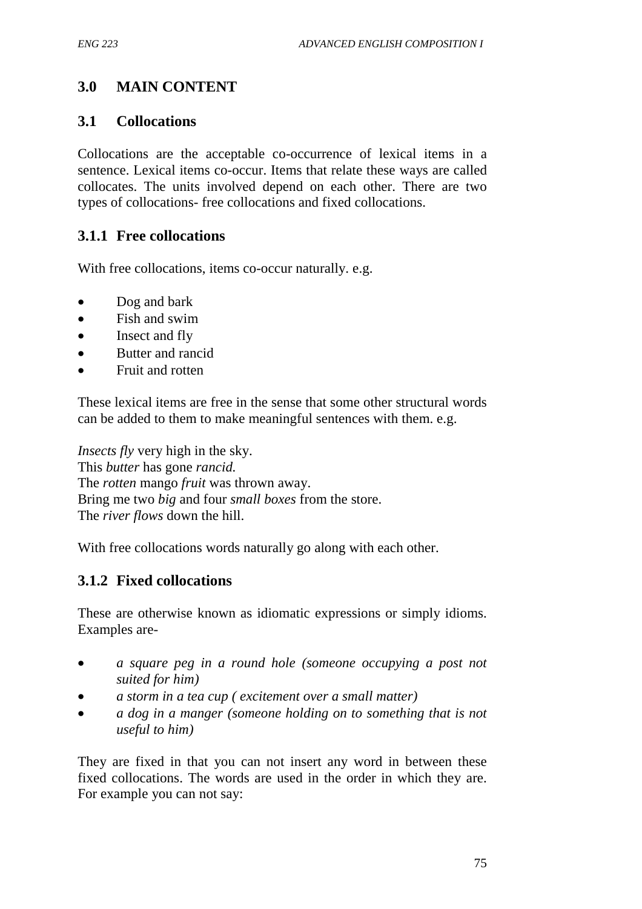## **3.0 MAIN CONTENT**

### **3.1 Collocations**

Collocations are the acceptable co-occurrence of lexical items in a sentence. Lexical items co-occur. Items that relate these ways are called collocates. The units involved depend on each other. There are two types of collocations- free collocations and fixed collocations.

## **3.1.1 Free collocations**

With free collocations, items co-occur naturally. e.g.

- Dog and bark
- Fish and swim
- Insect and fly
- Butter and rancid
- Fruit and rotten

These lexical items are free in the sense that some other structural words can be added to them to make meaningful sentences with them. e.g.

*Insects fly* very high in the sky. This *butter* has gone *rancid.* The *rotten* mango *fruit* was thrown away. Bring me two *big* and four *small boxes* from the store. The *river flows* down the hill.

With free collocations words naturally go along with each other.

### **3.1.2 Fixed collocations**

These are otherwise known as idiomatic expressions or simply idioms. Examples are-

- *a square peg in a round hole (someone occupying a post not suited for him)*
- *a storm in a tea cup ( excitement over a small matter)*
- *a dog in a manger (someone holding on to something that is not useful to him)*

They are fixed in that you can not insert any word in between these fixed collocations. The words are used in the order in which they are. For example you can not say: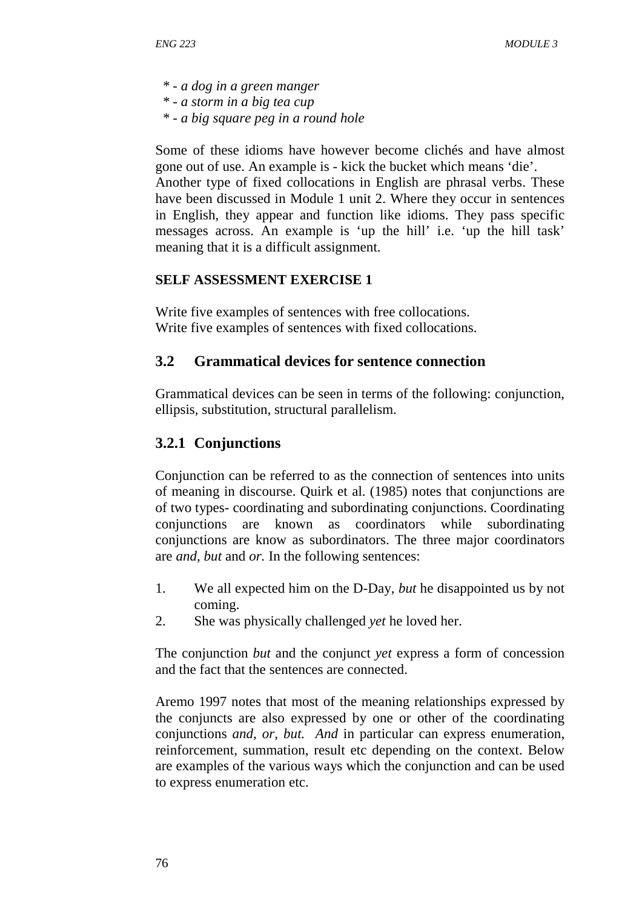- *\* a dog in a green manger*
- *\* a storm in a big tea cup*
- *\* a big square peg in a round hole*

Some of these idioms have however become clichés and have almost gone out of use. An example is - kick the bucket which means 'die'. Another type of fixed collocations in English are phrasal verbs. These have been discussed in Module 1 unit 2. Where they occur in sentences in English, they appear and function like idioms. They pass specific messages across. An example is 'up the hill' i.e. 'up the hill task' meaning that it is a difficult assignment.

### **SELF ASSESSMENT EXERCISE 1**

Write five examples of sentences with free collocations. Write five examples of sentences with fixed collocations.

## **3.2 Grammatical devices for sentence connection**

Grammatical devices can be seen in terms of the following: conjunction, ellipsis, substitution, structural parallelism.

## **3.2.1 Conjunctions**

Conjunction can be referred to as the connection of sentences into units of meaning in discourse. Quirk et al. (1985) notes that conjunctions are of two types- coordinating and subordinating conjunctions. Coordinating conjunctions are known as coordinators while subordinating conjunctions are know as subordinators. The three major coordinators are *and, but* and *or.* In the following sentences:

- 1. We all expected him on the D-Day, *but* he disappointed us by not coming.
- 2. She was physically challenged *yet* he loved her.

The conjunction *but* and the conjunct *yet* express a form of concession and the fact that the sentences are connected.

Aremo 1997 notes that most of the meaning relationships expressed by the conjuncts are also expressed by one or other of the coordinating conjunctions *and, or, but. And* in particular can express enumeration, reinforcement, summation, result etc depending on the context. Below are examples of the various ways which the conjunction and can be used to express enumeration etc.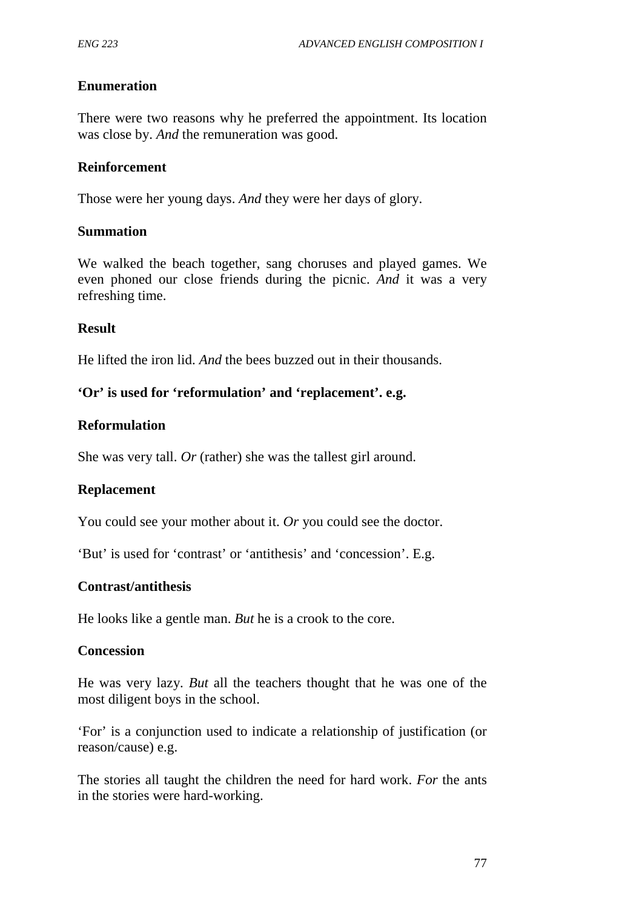### **Enumeration**

There were two reasons why he preferred the appointment. Its location was close by. *And* the remuneration was good.

#### **Reinforcement**

Those were her young days. *And* they were her days of glory.

#### **Summation**

We walked the beach together, sang choruses and played games. We even phoned our close friends during the picnic. *And* it was a very refreshing time.

#### **Result**

He lifted the iron lid. *And* the bees buzzed out in their thousands.

### **'Or' is used for 'reformulation' and 'replacement'. e.g.**

#### **Reformulation**

She was very tall. *Or* (rather) she was the tallest girl around.

### **Replacement**

You could see your mother about it. *Or* you could see the doctor.

'But' is used for 'contrast' or 'antithesis' and 'concession'. E.g.

### **Contrast/antithesis**

He looks like a gentle man. *But* he is a crook to the core.

#### **Concession**

He was very lazy. *But* all the teachers thought that he was one of the most diligent boys in the school.

'For' is a conjunction used to indicate a relationship of justification (or reason/cause) e.g.

The stories all taught the children the need for hard work. *For* the ants in the stories were hard-working.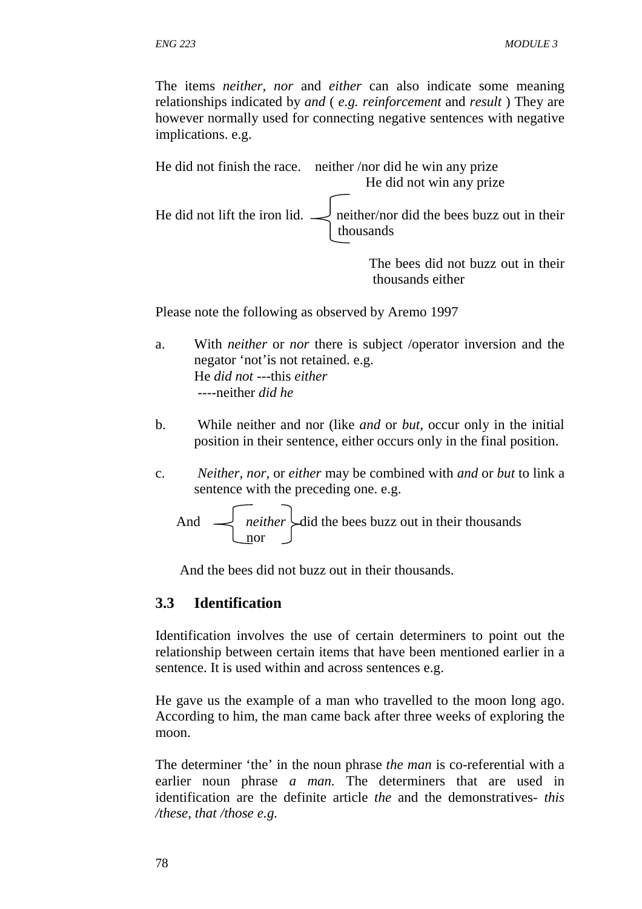The items *neither, nor* and *either* can also indicate some meaning relationships indicated by *and* ( *e.g. reinforcement* and *result* ) They are however normally used for connecting negative sentences with negative implications. e.g.



Please note the following as observed by Aremo 1997

- a. With *neither* or *nor* there is subject /operator inversion and the negator 'not'is not retained. e.g. He *did not* ---this *either* ----neither *did he*
- b. While neither and nor (like *and* or *but*, occur only in the initial position in their sentence, either occurs only in the final position.
- c. *Neither, nor,* or *either* may be combined with *and* or *but* to link a sentence with the preceding one. e.g.

And 
$$
\leftarrow
$$
 *neither* did the bees buzz out in their thousands

And the bees did not buzz out in their thousands.

### **3.3 Identification**

Identification involves the use of certain determiners to point out the relationship between certain items that have been mentioned earlier in a sentence. It is used within and across sentences e.g.

He gave us the example of a man who travelled to the moon long ago. According to him, the man came back after three weeks of exploring the moon.

The determiner 'the' in the noun phrase *the man* is co-referential with a earlier noun phrase *a man.* The determiners that are used in identification are the definite article *the* and the demonstratives*- this /these, that /those e.g.*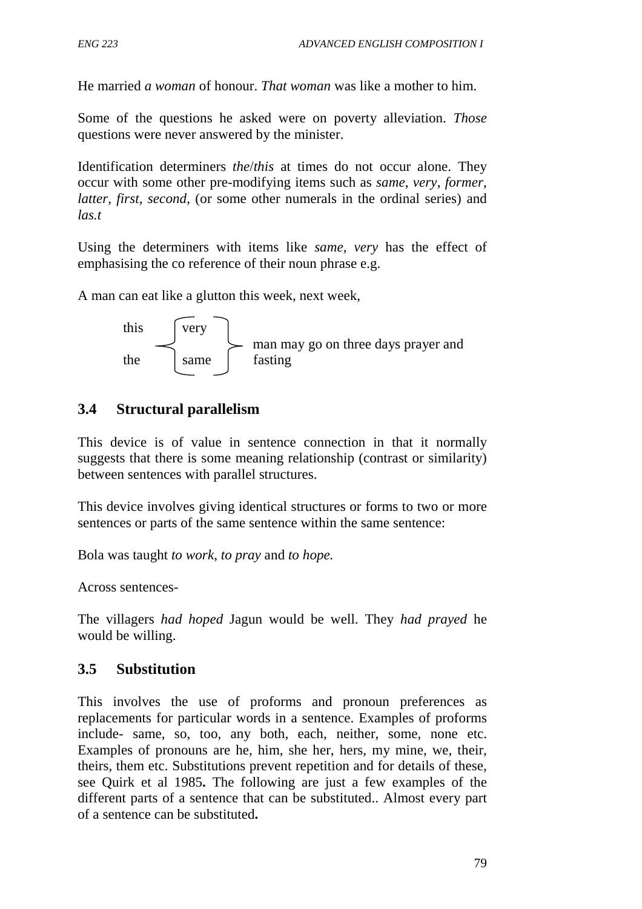He married *a woman* of honour. *That woman* was like a mother to him.

Some of the questions he asked were on poverty alleviation. *Those* questions were never answered by the minister.

Identification determiners *the*/*this* at times do not occur alone. They occur with some other pre-modifying items such as *same*, *very*, *former*, *latter, first*, *second*, (or some other numerals in the ordinal series) and *las.t*

Using the determiners with items like *same, very* has the effect of emphasising the co reference of their noun phrase e.g.

A man can eat like a glutton this week, next week,



## **3.4 Structural parallelism**

This device is of value in sentence connection in that it normally suggests that there is some meaning relationship (contrast or similarity) between sentences with parallel structures.

This device involves giving identical structures or forms to two or more sentences or parts of the same sentence within the same sentence:

Bola was taught *to work*, *to pray* and *to hope.*

Across sentences-

The villagers *had hoped* Jagun would be well. They *had prayed* he would be willing.

## **3.5 Substitution**

This involves the use of proforms and pronoun preferences as replacements for particular words in a sentence. Examples of proforms include- same, so, too, any both, each, neither, some, none etc. Examples of pronouns are he, him, she her, hers, my mine, we, their, theirs, them etc. Substitutions prevent repetition and for details of these, see Quirk et al 1985**.** The following are just a few examples of the different parts of a sentence that can be substituted.. Almost every part of a sentence can be substituted**.**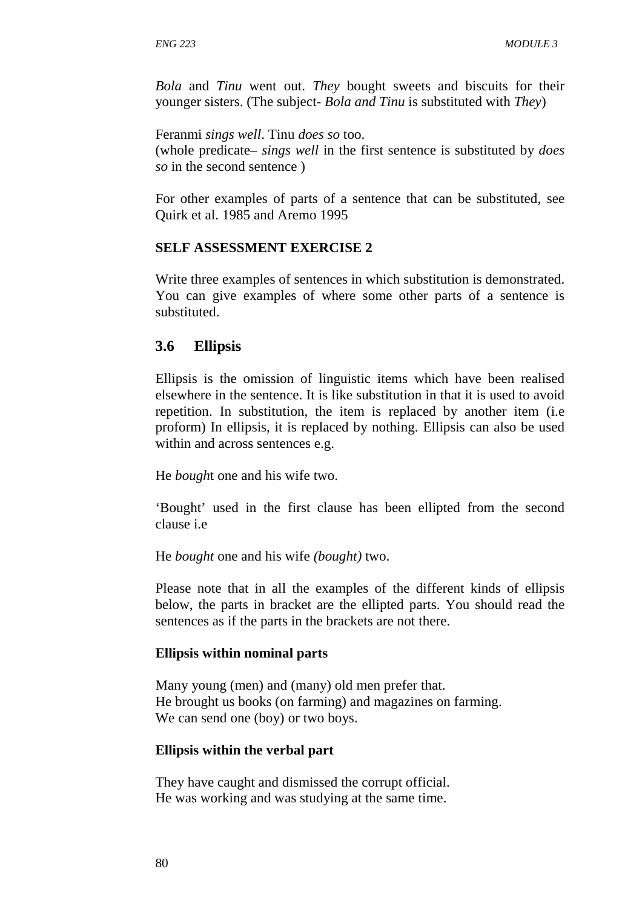*Bola* and *Tinu* went out. *They* bought sweets and biscuits for their younger sisters. (The subject- *Bola and Tinu* is substituted with *They*)

Feranmi *sings well*. Tinu *does so* too. (whole predicate– *sings well* in the first sentence is substituted by *does so* in the second sentence )

For other examples of parts of a sentence that can be substituted, see Quirk et al. 1985 and Aremo 1995

#### **SELF ASSESSMENT EXERCISE 2**

Write three examples of sentences in which substitution is demonstrated. You can give examples of where some other parts of a sentence is substituted.

### **3.6 Ellipsis**

Ellipsis is the omission of linguistic items which have been realised elsewhere in the sentence. It is like substitution in that it is used to avoid repetition. In substitution, the item is replaced by another item (i.e proform) In ellipsis, it is replaced by nothing. Ellipsis can also be used within and across sentences e.g.

He *bough*t one and his wife two.

'Bought' used in the first clause has been ellipted from the second clause i.e

He *bought* one and his wife *(bought)* two.

Please note that in all the examples of the different kinds of ellipsis below, the parts in bracket are the ellipted parts. You should read the sentences as if the parts in the brackets are not there.

#### **Ellipsis within nominal parts**

Many young (men) and (many) old men prefer that. He brought us books (on farming) and magazines on farming. We can send one (boy) or two boys.

#### **Ellipsis within the verbal part**

They have caught and dismissed the corrupt official. He was working and was studying at the same time.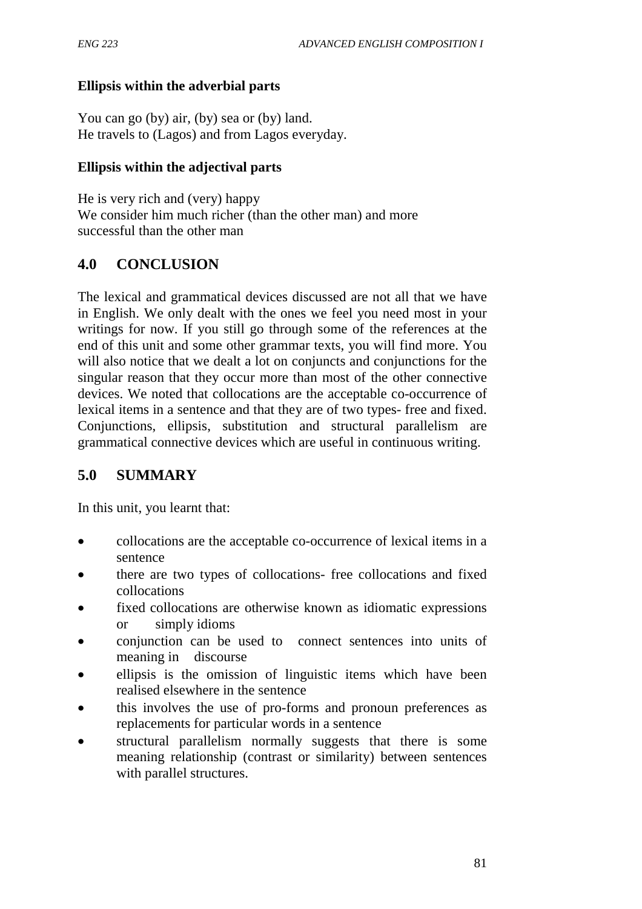## **Ellipsis within the adverbial parts**

You can go (by) air, (by) sea or (by) land. He travels to (Lagos) and from Lagos everyday.

### **Ellipsis within the adjectival parts**

He is very rich and (very) happy We consider him much richer (than the other man) and more successful than the other man

## **4.0 CONCLUSION**

The lexical and grammatical devices discussed are not all that we have in English. We only dealt with the ones we feel you need most in your writings for now. If you still go through some of the references at the end of this unit and some other grammar texts, you will find more. You will also notice that we dealt a lot on conjuncts and conjunctions for the singular reason that they occur more than most of the other connective devices. We noted that collocations are the acceptable co-occurrence of lexical items in a sentence and that they are of two types- free and fixed. Conjunctions, ellipsis, substitution and structural parallelism are grammatical connective devices which are useful in continuous writing.

# **5.0 SUMMARY**

In this unit, you learnt that:

- collocations are the acceptable co-occurrence of lexical items in a sentence
- there are two types of collocations- free collocations and fixed collocations
- fixed collocations are otherwise known as idiomatic expressions or simply idioms
- conjunction can be used to connect sentences into units of meaning in discourse
- ellipsis is the omission of linguistic items which have been realised elsewhere in the sentence
- this involves the use of pro-forms and pronoun preferences as replacements for particular words in a sentence
- structural parallelism normally suggests that there is some meaning relationship (contrast or similarity) between sentences with parallel structures.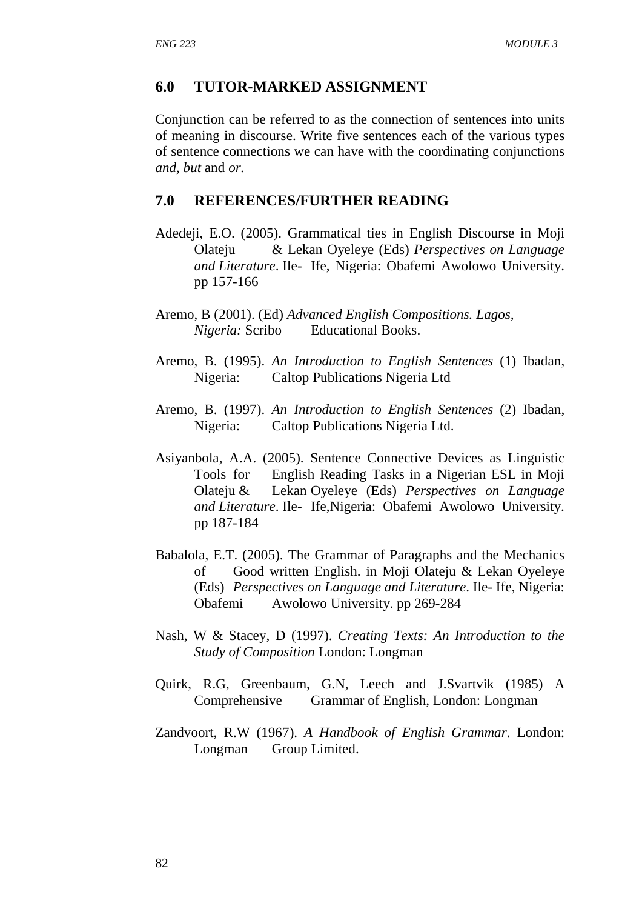### **6.0 TUTOR-MARKED ASSIGNMENT**

Conjunction can be referred to as the connection of sentences into units of meaning in discourse. Write five sentences each of the various types of sentence connections we can have with the coordinating conjunctions *and, but* and *or.*

### **7.0 REFERENCES/FURTHER READING**

- Adedeji, E.O. (2005). Grammatical ties in English Discourse in Moji Olateju & Lekan Oyeleye (Eds) *Perspectives on Language and Literature*. Ile- Ife, Nigeria: Obafemi Awolowo University. pp 157-166
- Aremo, B (2001). (Ed) *Advanced English Compositions. Lagos, Nigeria:* Scribo Educational Books.
- Aremo, B. (1995). *An Introduction to English Sentences* (1) Ibadan, Nigeria: Caltop Publications Nigeria Ltd
- Aremo, B. (1997). *An Introduction to English Sentences* (2) Ibadan, Nigeria: Caltop Publications Nigeria Ltd.
- Asiyanbola, A.A. (2005). Sentence Connective Devices as Linguistic Tools for English Reading Tasks in a Nigerian ESL in Moji Olateju & Lekan Oyeleye (Eds) *Perspectives on Language and Literature*. Ile- Ife,Nigeria: Obafemi Awolowo University. pp 187-184
- Babalola, E.T. (2005). The Grammar of Paragraphs and the Mechanics of Good written English. in Moji Olateju & Lekan Oyeleye (Eds) *Perspectives on Language and Literature*. Ile- Ife, Nigeria: Obafemi Awolowo University. pp 269-284
- Nash, W & Stacey, D (1997). *Creating Texts: An Introduction to the Study of Composition* London: Longman
- Quirk, R.G, Greenbaum, G.N, Leech and J.Svartvik (1985) A Comprehensive Grammar of English, London: Longman
- Zandvoort, R.W (1967). *A Handbook of English Grammar*. London: Longman Group Limited.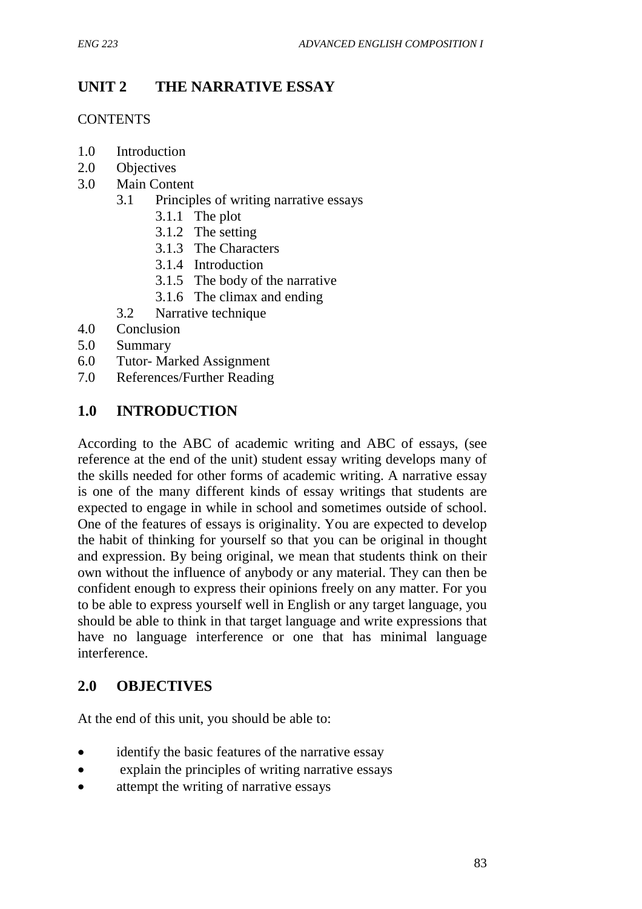# **UNIT 2 THE NARRATIVE ESSAY**

### **CONTENTS**

- 1.0 Introduction
- 2.0 Objectives
- 3.0 Main Content
	- 3.1 Principles of writing narrative essays
		- 3.1.1 The plot
		- 3.1.2 The setting
		- 3.1.3 The Characters
		- 3.1.4 Introduction
		- 3.1.5 The body of the narrative
		- 3.1.6 The climax and ending
	- 3.2 Narrative technique
- 4.0 Conclusion
- 5.0 Summary
- 6.0 Tutor- Marked Assignment
- 7.0 References/Further Reading

## **1.0 INTRODUCTION**

According to the ABC of academic writing and ABC of essays, (see reference at the end of the unit) student essay writing develops many of the skills needed for other forms of academic writing. A narrative essay is one of the many different kinds of essay writings that students are expected to engage in while in school and sometimes outside of school. One of the features of essays is originality. You are expected to develop the habit of thinking for yourself so that you can be original in thought and expression. By being original, we mean that students think on their own without the influence of anybody or any material. They can then be confident enough to express their opinions freely on any matter. For you to be able to express yourself well in English or any target language, you should be able to think in that target language and write expressions that have no language interference or one that has minimal language interference.

## **2.0 OBJECTIVES**

At the end of this unit, you should be able to:

- identify the basic features of the narrative essay
- explain the principles of writing narrative essays
- attempt the writing of narrative essays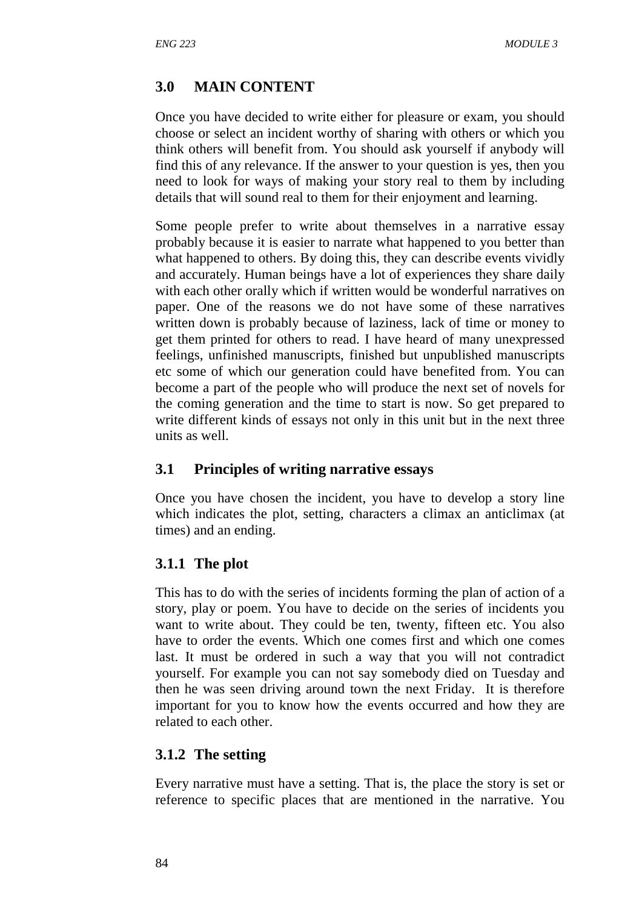## **3.0 MAIN CONTENT**

Once you have decided to write either for pleasure or exam, you should choose or select an incident worthy of sharing with others or which you think others will benefit from. You should ask yourself if anybody will find this of any relevance. If the answer to your question is yes, then you need to look for ways of making your story real to them by including details that will sound real to them for their enjoyment and learning.

Some people prefer to write about themselves in a narrative essay probably because it is easier to narrate what happened to you better than what happened to others. By doing this, they can describe events vividly and accurately. Human beings have a lot of experiences they share daily with each other orally which if written would be wonderful narratives on paper. One of the reasons we do not have some of these narratives written down is probably because of laziness, lack of time or money to get them printed for others to read. I have heard of many unexpressed feelings, unfinished manuscripts, finished but unpublished manuscripts etc some of which our generation could have benefited from. You can become a part of the people who will produce the next set of novels for the coming generation and the time to start is now. So get prepared to write different kinds of essays not only in this unit but in the next three units as well.

### **3.1 Principles of writing narrative essays**

Once you have chosen the incident, you have to develop a story line which indicates the plot, setting, characters a climax an anticlimax (at times) and an ending.

### **3.1.1 The plot**

This has to do with the series of incidents forming the plan of action of a story, play or poem. You have to decide on the series of incidents you want to write about. They could be ten, twenty, fifteen etc. You also have to order the events. Which one comes first and which one comes last. It must be ordered in such a way that you will not contradict yourself. For example you can not say somebody died on Tuesday and then he was seen driving around town the next Friday. It is therefore important for you to know how the events occurred and how they are related to each other.

### **3.1.2 The setting**

Every narrative must have a setting. That is, the place the story is set or reference to specific places that are mentioned in the narrative. You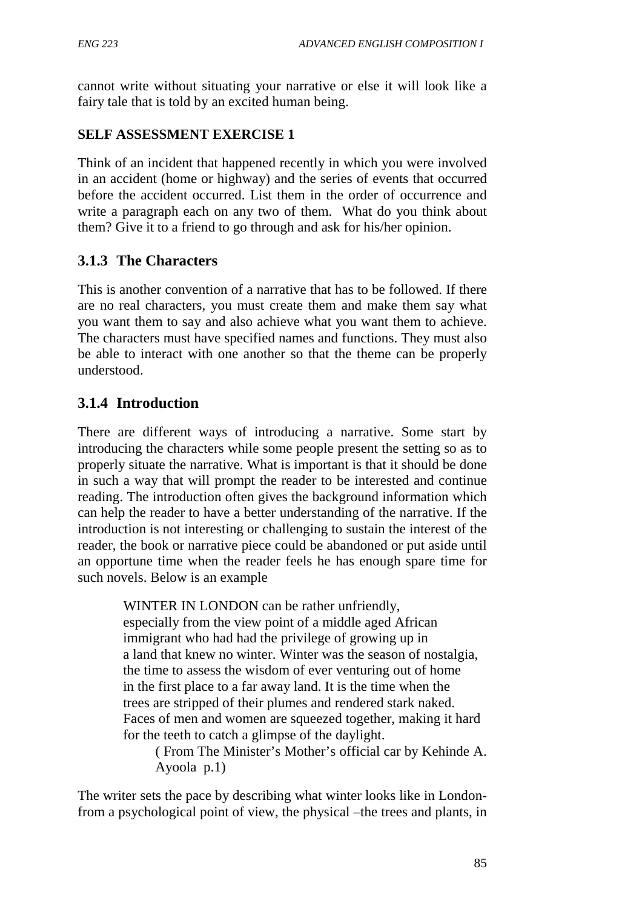cannot write without situating your narrative or else it will look like a fairy tale that is told by an excited human being.

## **SELF ASSESSMENT EXERCISE 1**

Think of an incident that happened recently in which you were involved in an accident (home or highway) and the series of events that occurred before the accident occurred. List them in the order of occurrence and write a paragraph each on any two of them. What do you think about them? Give it to a friend to go through and ask for his/her opinion.

# **3.1.3 The Characters**

This is another convention of a narrative that has to be followed. If there are no real characters, you must create them and make them say what you want them to say and also achieve what you want them to achieve. The characters must have specified names and functions. They must also be able to interact with one another so that the theme can be properly understood.

# **3.1.4 Introduction**

There are different ways of introducing a narrative. Some start by introducing the characters while some people present the setting so as to properly situate the narrative. What is important is that it should be done in such a way that will prompt the reader to be interested and continue reading. The introduction often gives the background information which can help the reader to have a better understanding of the narrative. If the introduction is not interesting or challenging to sustain the interest of the reader, the book or narrative piece could be abandoned or put aside until an opportune time when the reader feels he has enough spare time for such novels. Below is an example

> WINTER IN LONDON can be rather unfriendly, especially from the view point of a middle aged African immigrant who had had the privilege of growing up in a land that knew no winter. Winter was the season of nostalgia, the time to assess the wisdom of ever venturing out of home in the first place to a far away land. It is the time when the trees are stripped of their plumes and rendered stark naked. Faces of men and women are squeezed together, making it hard for the teeth to catch a glimpse of the daylight.

( From The Minister's Mother's official car by Kehinde A. Ayoola p.1)

The writer sets the pace by describing what winter looks like in Londonfrom a psychological point of view, the physical –the trees and plants, in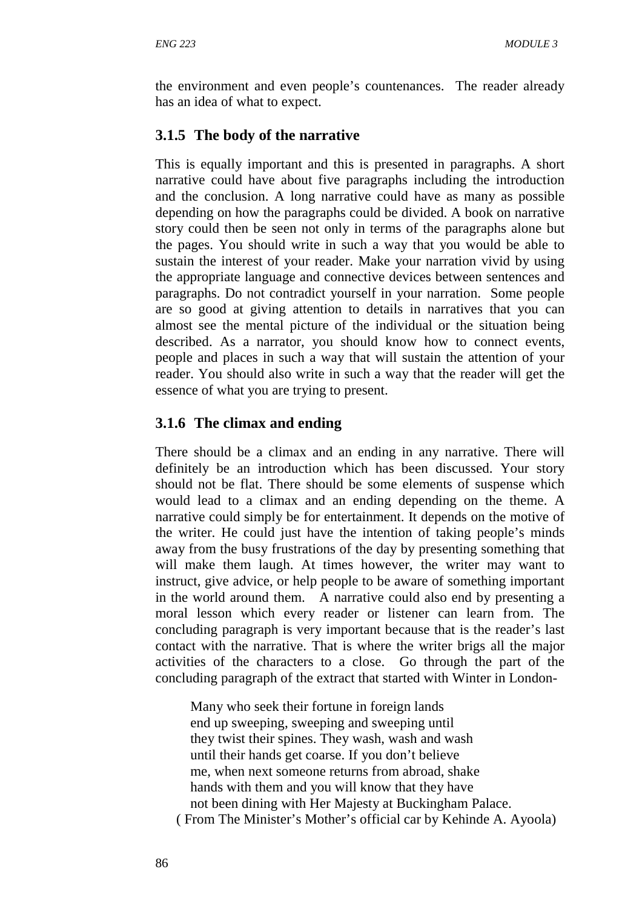the environment and even people's countenances. The reader already has an idea of what to expect.

## **3.1.5 The body of the narrative**

This is equally important and this is presented in paragraphs. A short narrative could have about five paragraphs including the introduction and the conclusion. A long narrative could have as many as possible depending on how the paragraphs could be divided. A book on narrative story could then be seen not only in terms of the paragraphs alone but the pages. You should write in such a way that you would be able to sustain the interest of your reader. Make your narration vivid by using the appropriate language and connective devices between sentences and paragraphs. Do not contradict yourself in your narration. Some people are so good at giving attention to details in narratives that you can almost see the mental picture of the individual or the situation being described. As a narrator, you should know how to connect events, people and places in such a way that will sustain the attention of your reader. You should also write in such a way that the reader will get the essence of what you are trying to present.

## **3.1.6 The climax and ending**

There should be a climax and an ending in any narrative. There will definitely be an introduction which has been discussed. Your story should not be flat. There should be some elements of suspense which would lead to a climax and an ending depending on the theme. A narrative could simply be for entertainment. It depends on the motive of the writer. He could just have the intention of taking people's minds away from the busy frustrations of the day by presenting something that will make them laugh. At times however, the writer may want to instruct, give advice, or help people to be aware of something important in the world around them. A narrative could also end by presenting a moral lesson which every reader or listener can learn from. The concluding paragraph is very important because that is the reader's last contact with the narrative. That is where the writer brigs all the major activities of the characters to a close. Go through the part of the concluding paragraph of the extract that started with Winter in London-

Many who seek their fortune in foreign lands end up sweeping, sweeping and sweeping until they twist their spines. They wash, wash and wash until their hands get coarse. If you don't believe me, when next someone returns from abroad, shake hands with them and you will know that they have not been dining with Her Majesty at Buckingham Palace. ( From The Minister's Mother's official car by Kehinde A. Ayoola)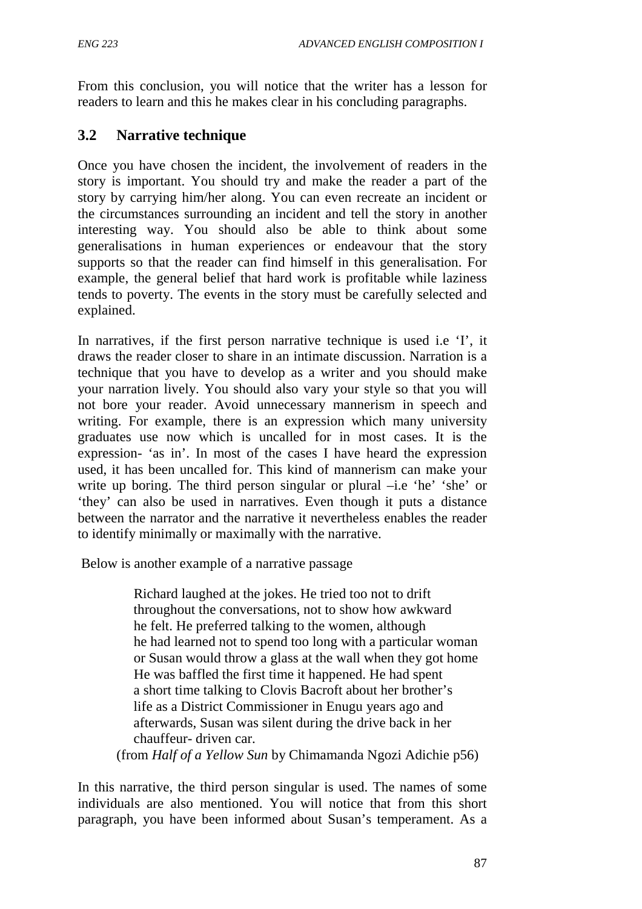From this conclusion, you will notice that the writer has a lesson for readers to learn and this he makes clear in his concluding paragraphs.

# **3.2 Narrative technique**

Once you have chosen the incident, the involvement of readers in the story is important. You should try and make the reader a part of the story by carrying him/her along. You can even recreate an incident or the circumstances surrounding an incident and tell the story in another interesting way. You should also be able to think about some generalisations in human experiences or endeavour that the story supports so that the reader can find himself in this generalisation. For example, the general belief that hard work is profitable while laziness tends to poverty. The events in the story must be carefully selected and explained.

In narratives, if the first person narrative technique is used i.e 'I', it draws the reader closer to share in an intimate discussion. Narration is a technique that you have to develop as a writer and you should make your narration lively. You should also vary your style so that you will not bore your reader. Avoid unnecessary mannerism in speech and writing. For example, there is an expression which many university graduates use now which is uncalled for in most cases. It is the expression- 'as in'. In most of the cases I have heard the expression used, it has been uncalled for. This kind of mannerism can make your write up boring. The third person singular or plural –i.e 'he' 'she' or 'they' can also be used in narratives. Even though it puts a distance between the narrator and the narrative it nevertheless enables the reader to identify minimally or maximally with the narrative.

Below is another example of a narrative passage

 Richard laughed at the jokes. He tried too not to drift throughout the conversations, not to show how awkward he felt. He preferred talking to the women, although he had learned not to spend too long with a particular woman or Susan would throw a glass at the wall when they got home He was baffled the first time it happened. He had spent a short time talking to Clovis Bacroft about her brother's life as a District Commissioner in Enugu years ago and afterwards, Susan was silent during the drive back in her chauffeur- driven car.

(from *Half of a Yellow Sun* by Chimamanda Ngozi Adichie p56)

In this narrative, the third person singular is used. The names of some individuals are also mentioned. You will notice that from this short paragraph, you have been informed about Susan's temperament. As a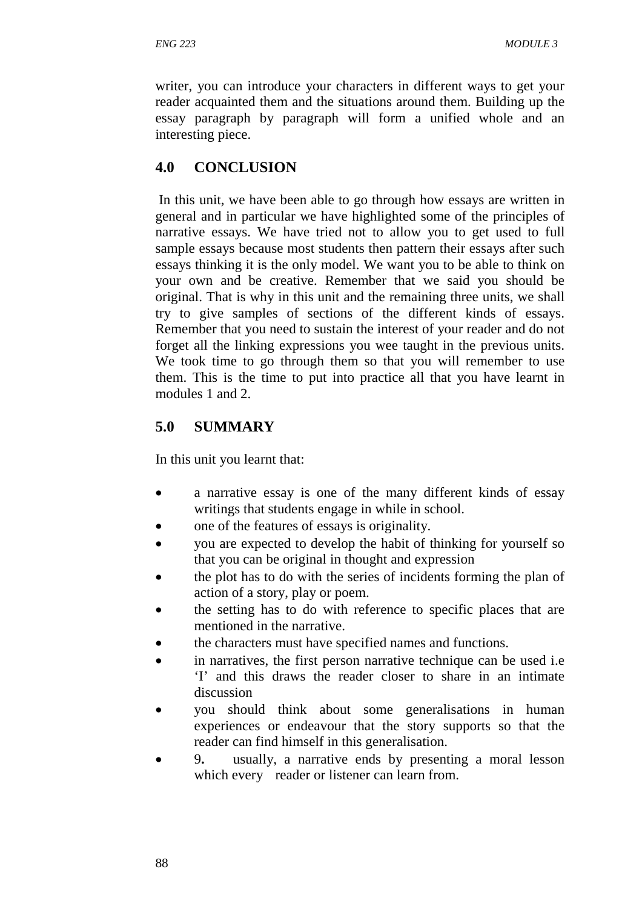writer, you can introduce your characters in different ways to get your reader acquainted them and the situations around them. Building up the essay paragraph by paragraph will form a unified whole and an interesting piece.

## **4.0 CONCLUSION**

In this unit, we have been able to go through how essays are written in general and in particular we have highlighted some of the principles of narrative essays. We have tried not to allow you to get used to full sample essays because most students then pattern their essays after such essays thinking it is the only model. We want you to be able to think on your own and be creative. Remember that we said you should be original. That is why in this unit and the remaining three units, we shall try to give samples of sections of the different kinds of essays. Remember that you need to sustain the interest of your reader and do not forget all the linking expressions you wee taught in the previous units. We took time to go through them so that you will remember to use them. This is the time to put into practice all that you have learnt in modules 1 and 2.

## **5.0 SUMMARY**

In this unit you learnt that:

- a narrative essay is one of the many different kinds of essay writings that students engage in while in school.
- one of the features of essays is originality.
- you are expected to develop the habit of thinking for yourself so that you can be original in thought and expression
- the plot has to do with the series of incidents forming the plan of action of a story, play or poem.
- the setting has to do with reference to specific places that are mentioned in the narrative.
- the characters must have specified names and functions.
- in narratives, the first person narrative technique can be used *i.e* 'I' and this draws the reader closer to share in an intimate discussion
- you should think about some generalisations in human experiences or endeavour that the story supports so that the reader can find himself in this generalisation.
- 9**.** usually, a narrative ends by presenting a moral lesson which every reader or listener can learn from.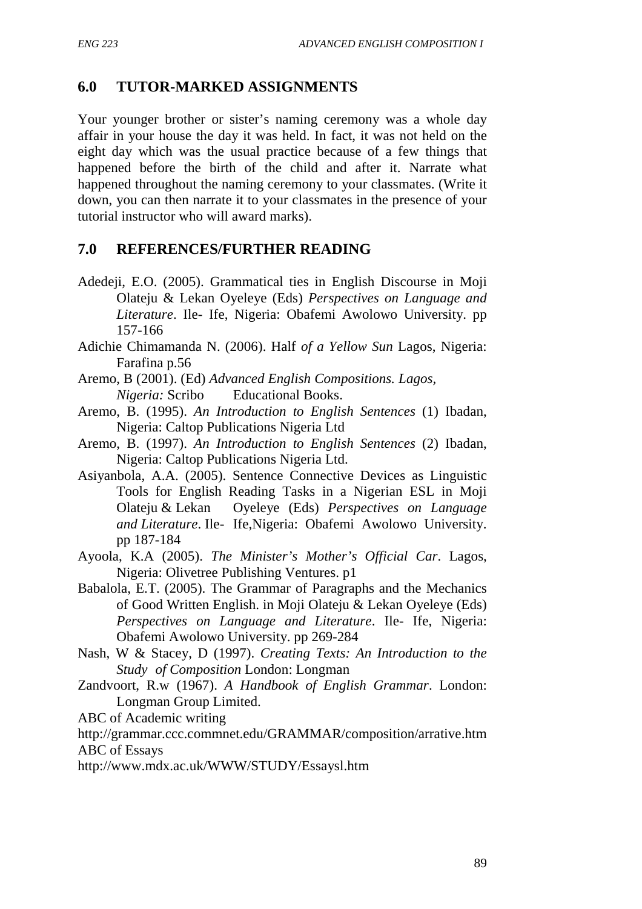## **6.0 TUTOR-MARKED ASSIGNMENTS**

Your younger brother or sister's naming ceremony was a whole day affair in your house the day it was held. In fact, it was not held on the eight day which was the usual practice because of a few things that happened before the birth of the child and after it. Narrate what happened throughout the naming ceremony to your classmates. (Write it down, you can then narrate it to your classmates in the presence of your tutorial instructor who will award marks).

## **7.0 REFERENCES/FURTHER READING**

- Adedeji, E.O. (2005). Grammatical ties in English Discourse in Moji Olateju & Lekan Oyeleye (Eds) *Perspectives on Language and Literature*. Ile- Ife, Nigeria: Obafemi Awolowo University. pp 157-166
- Adichie Chimamanda N. (2006). Half *of a Yellow Sun* Lagos, Nigeria: Farafina p.56
- Aremo, B (2001). (Ed) *Advanced English Compositions. Lagos, Nigeria:* Scribo Educational Books.
- Aremo, B. (1995). *An Introduction to English Sentences* (1) Ibadan, Nigeria: Caltop Publications Nigeria Ltd
- Aremo, B. (1997). *An Introduction to English Sentences* (2) Ibadan, Nigeria: Caltop Publications Nigeria Ltd.
- Asiyanbola, A.A. (2005). Sentence Connective Devices as Linguistic Tools for English Reading Tasks in a Nigerian ESL in Moji Olateju & Lekan Oyeleye (Eds) *Perspectives on Language and Literature*. Ile- Ife,Nigeria: Obafemi Awolowo University. pp 187-184
- Ayoola, K.A (2005). *The Minister's Mother's Official Car*. Lagos, Nigeria: Olivetree Publishing Ventures. p1
- Babalola, E.T. (2005). The Grammar of Paragraphs and the Mechanics of Good Written English. in Moji Olateju & Lekan Oyeleye (Eds) *Perspectives on Language and Literature*. Ile- Ife, Nigeria: Obafemi Awolowo University. pp 269-284
- Nash, W & Stacey, D (1997). *Creating Texts: An Introduction to the Study of Composition* London: Longman
- Zandvoort, R.w (1967). *A Handbook of English Grammar*. London: Longman Group Limited.

ABC of Academic writing

http://grammar.ccc.commnet.edu/GRAMMAR/composition/arrative.htm ABC of Essays

http://www.mdx.ac.uk/WWW/STUDY/Essaysl.htm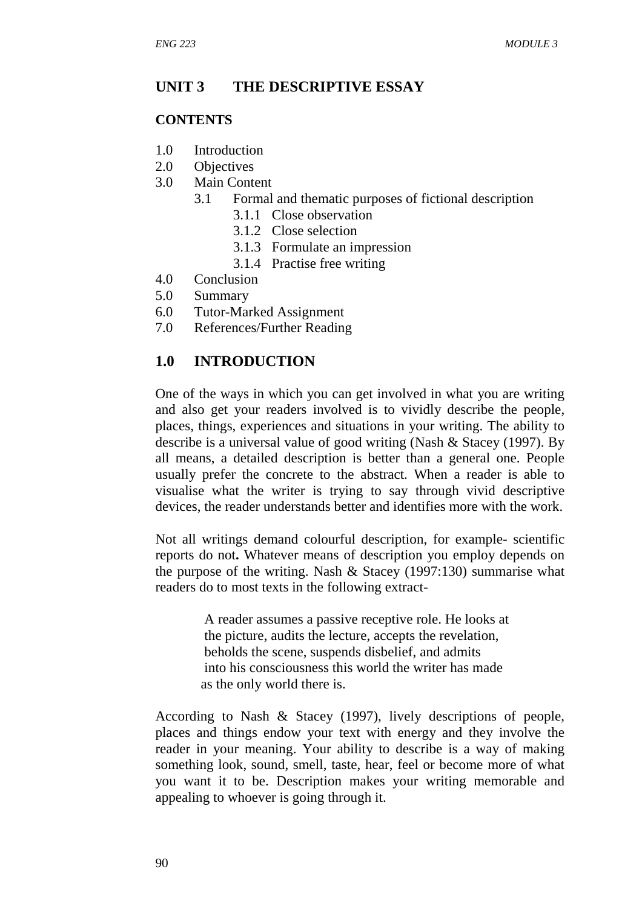## **UNIT 3 THE DESCRIPTIVE ESSAY**

### **CONTENTS**

- 1.0 Introduction
- 2.0 Objectives
- 3.0 Main Content
	- 3.1 Formal and thematic purposes of fictional description
		- 3.1.1 Close observation
		- 3.1.2 Close selection
		- 3.1.3 Formulate an impression
		- 3.1.4 Practise free writing
- 4.0 Conclusion
- 5.0 Summary
- 6.0 Tutor-Marked Assignment
- 7.0 References/Further Reading

## **1.0 INTRODUCTION**

One of the ways in which you can get involved in what you are writing and also get your readers involved is to vividly describe the people, places, things, experiences and situations in your writing. The ability to describe is a universal value of good writing (Nash & Stacey (1997). By all means, a detailed description is better than a general one. People usually prefer the concrete to the abstract. When a reader is able to visualise what the writer is trying to say through vivid descriptive devices, the reader understands better and identifies more with the work.

Not all writings demand colourful description, for example- scientific reports do not**.** Whatever means of description you employ depends on the purpose of the writing. Nash & Stacey (1997:130) summarise what readers do to most texts in the following extract-

> A reader assumes a passive receptive role. He looks at the picture, audits the lecture, accepts the revelation, beholds the scene, suspends disbelief, and admits into his consciousness this world the writer has made as the only world there is.

According to Nash & Stacey (1997), lively descriptions of people, places and things endow your text with energy and they involve the reader in your meaning. Your ability to describe is a way of making something look, sound, smell, taste, hear, feel or become more of what you want it to be. Description makes your writing memorable and appealing to whoever is going through it.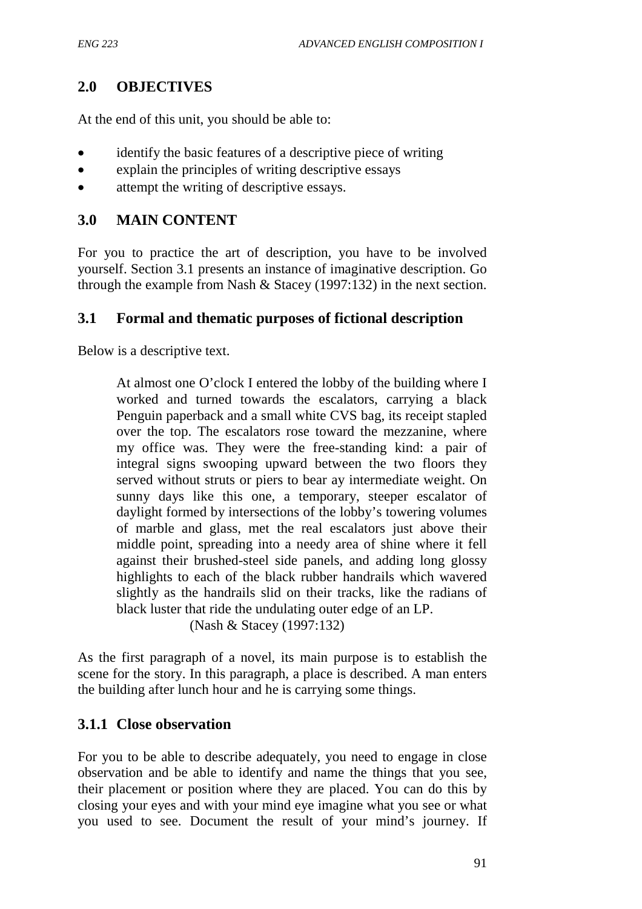## **2.0 OBJECTIVES**

At the end of this unit, you should be able to:

- identify the basic features of a descriptive piece of writing
- explain the principles of writing descriptive essays
- attempt the writing of descriptive essays.

### **3.0 MAIN CONTENT**

For you to practice the art of description, you have to be involved yourself. Section 3.1 presents an instance of imaginative description. Go through the example from Nash & Stacey (1997:132) in the next section.

## **3.1 Formal and thematic purposes of fictional description**

Below is a descriptive text.

At almost one O'clock I entered the lobby of the building where I worked and turned towards the escalators, carrying a black Penguin paperback and a small white CVS bag, its receipt stapled over the top. The escalators rose toward the mezzanine, where my office was. They were the free-standing kind: a pair of integral signs swooping upward between the two floors they served without struts or piers to bear ay intermediate weight. On sunny days like this one, a temporary, steeper escalator of daylight formed by intersections of the lobby's towering volumes of marble and glass, met the real escalators just above their middle point, spreading into a needy area of shine where it fell against their brushed-steel side panels, and adding long glossy highlights to each of the black rubber handrails which wavered slightly as the handrails slid on their tracks, like the radians of black luster that ride the undulating outer edge of an LP.

(Nash & Stacey (1997:132)

As the first paragraph of a novel, its main purpose is to establish the scene for the story. In this paragraph, a place is described. A man enters the building after lunch hour and he is carrying some things.

### **3.1.1 Close observation**

For you to be able to describe adequately, you need to engage in close observation and be able to identify and name the things that you see, their placement or position where they are placed. You can do this by closing your eyes and with your mind eye imagine what you see or what you used to see. Document the result of your mind's journey. If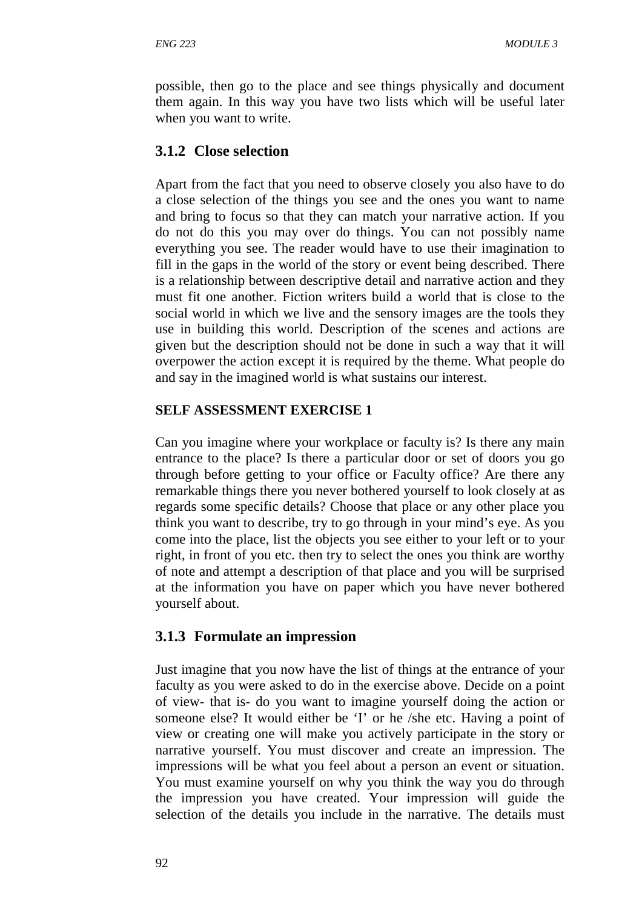possible, then go to the place and see things physically and document them again. In this way you have two lists which will be useful later when you want to write.

## **3.1.2 Close selection**

Apart from the fact that you need to observe closely you also have to do a close selection of the things you see and the ones you want to name and bring to focus so that they can match your narrative action. If you do not do this you may over do things. You can not possibly name everything you see. The reader would have to use their imagination to fill in the gaps in the world of the story or event being described. There is a relationship between descriptive detail and narrative action and they must fit one another. Fiction writers build a world that is close to the social world in which we live and the sensory images are the tools they use in building this world. Description of the scenes and actions are given but the description should not be done in such a way that it will overpower the action except it is required by the theme. What people do and say in the imagined world is what sustains our interest.

### **SELF ASSESSMENT EXERCISE 1**

Can you imagine where your workplace or faculty is? Is there any main entrance to the place? Is there a particular door or set of doors you go through before getting to your office or Faculty office? Are there any remarkable things there you never bothered yourself to look closely at as regards some specific details? Choose that place or any other place you think you want to describe, try to go through in your mind's eye. As you come into the place, list the objects you see either to your left or to your right, in front of you etc. then try to select the ones you think are worthy of note and attempt a description of that place and you will be surprised at the information you have on paper which you have never bothered yourself about.

## **3.1.3 Formulate an impression**

Just imagine that you now have the list of things at the entrance of your faculty as you were asked to do in the exercise above. Decide on a point of view- that is- do you want to imagine yourself doing the action or someone else? It would either be 'I' or he /she etc. Having a point of view or creating one will make you actively participate in the story or narrative yourself. You must discover and create an impression. The impressions will be what you feel about a person an event or situation. You must examine yourself on why you think the way you do through the impression you have created. Your impression will guide the selection of the details you include in the narrative. The details must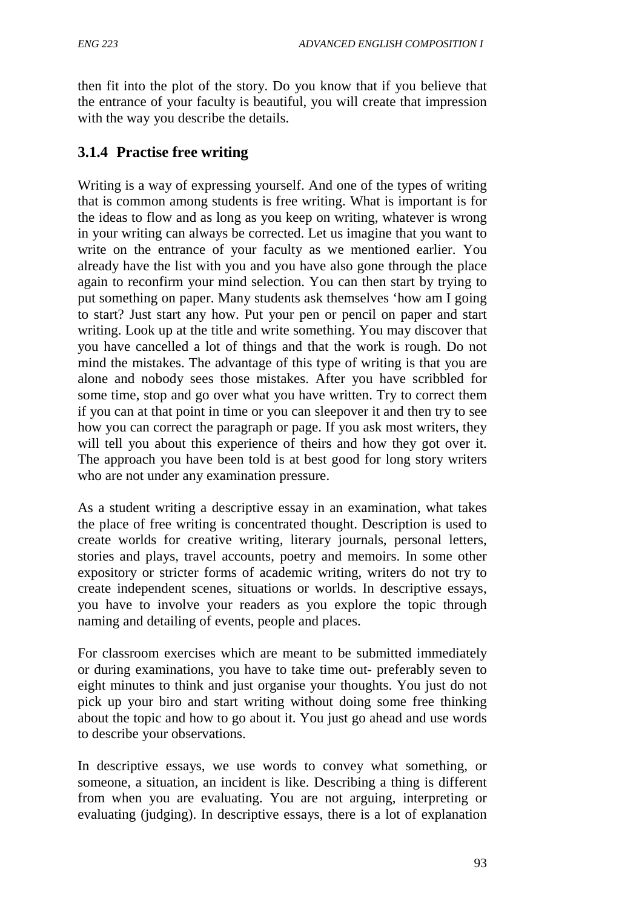then fit into the plot of the story. Do you know that if you believe that the entrance of your faculty is beautiful, you will create that impression with the way you describe the details.

## **3.1.4 Practise free writing**

Writing is a way of expressing yourself. And one of the types of writing that is common among students is free writing. What is important is for the ideas to flow and as long as you keep on writing, whatever is wrong in your writing can always be corrected. Let us imagine that you want to write on the entrance of your faculty as we mentioned earlier. You already have the list with you and you have also gone through the place again to reconfirm your mind selection. You can then start by trying to put something on paper. Many students ask themselves 'how am I going to start? Just start any how. Put your pen or pencil on paper and start writing. Look up at the title and write something. You may discover that you have cancelled a lot of things and that the work is rough. Do not mind the mistakes. The advantage of this type of writing is that you are alone and nobody sees those mistakes. After you have scribbled for some time, stop and go over what you have written. Try to correct them if you can at that point in time or you can sleepover it and then try to see how you can correct the paragraph or page. If you ask most writers, they will tell you about this experience of theirs and how they got over it. The approach you have been told is at best good for long story writers who are not under any examination pressure.

As a student writing a descriptive essay in an examination, what takes the place of free writing is concentrated thought. Description is used to create worlds for creative writing, literary journals, personal letters, stories and plays, travel accounts, poetry and memoirs. In some other expository or stricter forms of academic writing, writers do not try to create independent scenes, situations or worlds. In descriptive essays, you have to involve your readers as you explore the topic through naming and detailing of events, people and places.

For classroom exercises which are meant to be submitted immediately or during examinations, you have to take time out- preferably seven to eight minutes to think and just organise your thoughts. You just do not pick up your biro and start writing without doing some free thinking about the topic and how to go about it. You just go ahead and use words to describe your observations.

In descriptive essays, we use words to convey what something, or someone, a situation, an incident is like. Describing a thing is different from when you are evaluating. You are not arguing, interpreting or evaluating (judging). In descriptive essays, there is a lot of explanation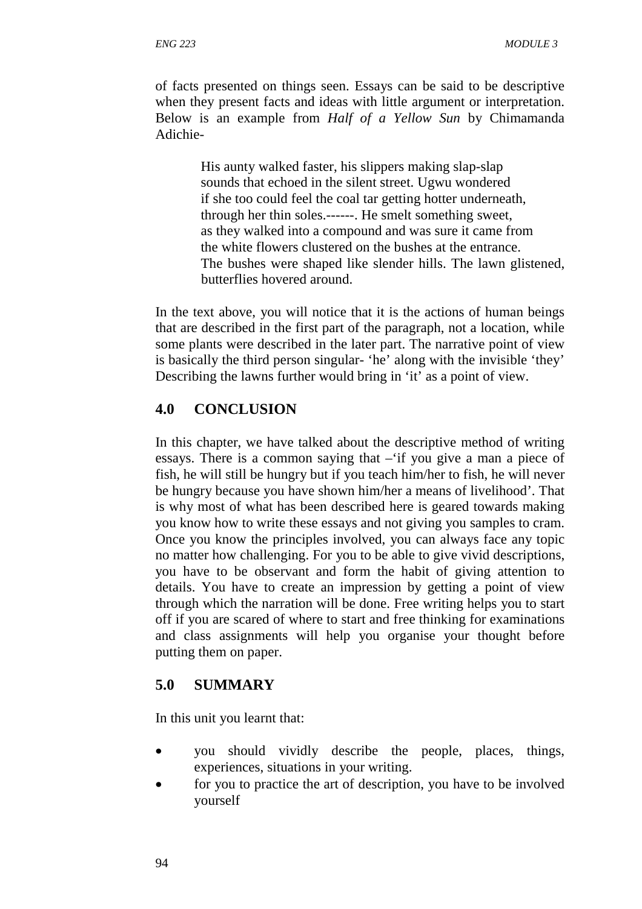of facts presented on things seen. Essays can be said to be descriptive when they present facts and ideas with little argument or interpretation. Below is an example from *Half of a Yellow Sun* by Chimamanda Adichie-

> His aunty walked faster, his slippers making slap-slap sounds that echoed in the silent street. Ugwu wondered if she too could feel the coal tar getting hotter underneath, through her thin soles.------. He smelt something sweet, as they walked into a compound and was sure it came from the white flowers clustered on the bushes at the entrance. The bushes were shaped like slender hills. The lawn glistened, butterflies hovered around.

In the text above, you will notice that it is the actions of human beings that are described in the first part of the paragraph, not a location, while some plants were described in the later part. The narrative point of view is basically the third person singular- 'he' along with the invisible 'they' Describing the lawns further would bring in 'it' as a point of view.

## **4.0 CONCLUSION**

In this chapter, we have talked about the descriptive method of writing essays. There is a common saying that –'if you give a man a piece of fish, he will still be hungry but if you teach him/her to fish, he will never be hungry because you have shown him/her a means of livelihood'. That is why most of what has been described here is geared towards making you know how to write these essays and not giving you samples to cram. Once you know the principles involved, you can always face any topic no matter how challenging. For you to be able to give vivid descriptions, you have to be observant and form the habit of giving attention to details. You have to create an impression by getting a point of view through which the narration will be done. Free writing helps you to start off if you are scared of where to start and free thinking for examinations and class assignments will help you organise your thought before putting them on paper.

### **5.0 SUMMARY**

In this unit you learnt that:

- you should vividly describe the people, places, things, experiences, situations in your writing.
- for you to practice the art of description, you have to be involved yourself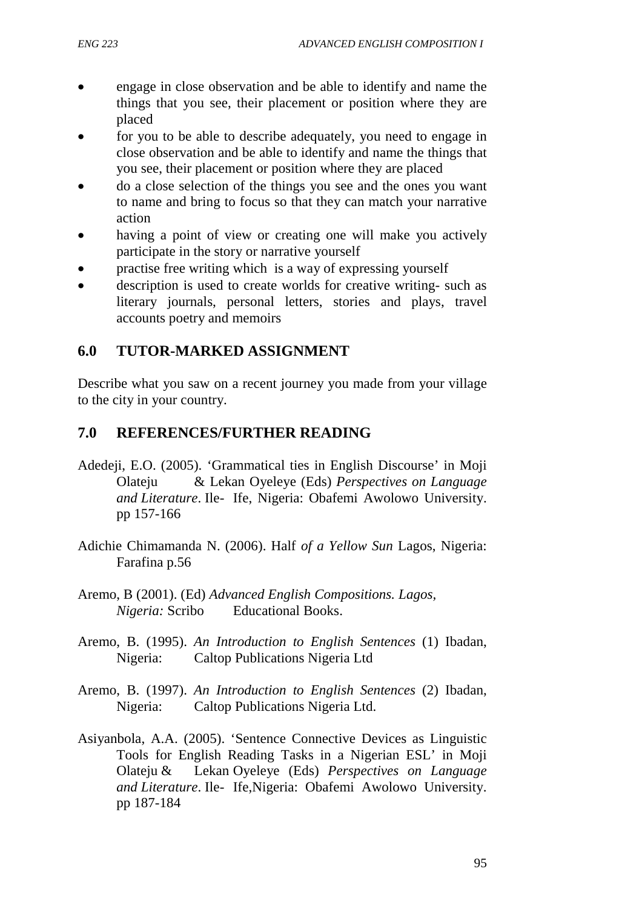- engage in close observation and be able to identify and name the things that you see, their placement or position where they are placed
- for you to be able to describe adequately, you need to engage in close observation and be able to identify and name the things that you see, their placement or position where they are placed
- do a close selection of the things you see and the ones you want to name and bring to focus so that they can match your narrative action
- having a point of view or creating one will make you actively participate in the story or narrative yourself
- practise free writing which is a way of expressing yourself
- description is used to create worlds for creative writing- such as literary journals, personal letters, stories and plays, travel accounts poetry and memoirs

## **6.0 TUTOR-MARKED ASSIGNMENT**

Describe what you saw on a recent journey you made from your village to the city in your country.

## **7.0 REFERENCES/FURTHER READING**

- Adedeji, E.O. (2005). 'Grammatical ties in English Discourse' in Moji Olateju & Lekan Oyeleye (Eds) *Perspectives on Language and Literature*. Ile- Ife, Nigeria: Obafemi Awolowo University. pp 157-166
- Adichie Chimamanda N. (2006). Half *of a Yellow Sun* Lagos, Nigeria: Farafina p.56
- Aremo, B (2001). (Ed) *Advanced English Compositions. Lagos, Nigeria:* Scribo Educational Books.
- Aremo, B. (1995). *An Introduction to English Sentences* (1) Ibadan, Nigeria: Caltop Publications Nigeria Ltd
- Aremo, B. (1997). *An Introduction to English Sentences* (2) Ibadan, Nigeria: Caltop Publications Nigeria Ltd.
- Asiyanbola, A.A. (2005). 'Sentence Connective Devices as Linguistic Tools for English Reading Tasks in a Nigerian ESL' in Moji Olateju & Lekan Oyeleye (Eds) *Perspectives on Language and Literature*. Ile- Ife,Nigeria: Obafemi Awolowo University. pp 187-184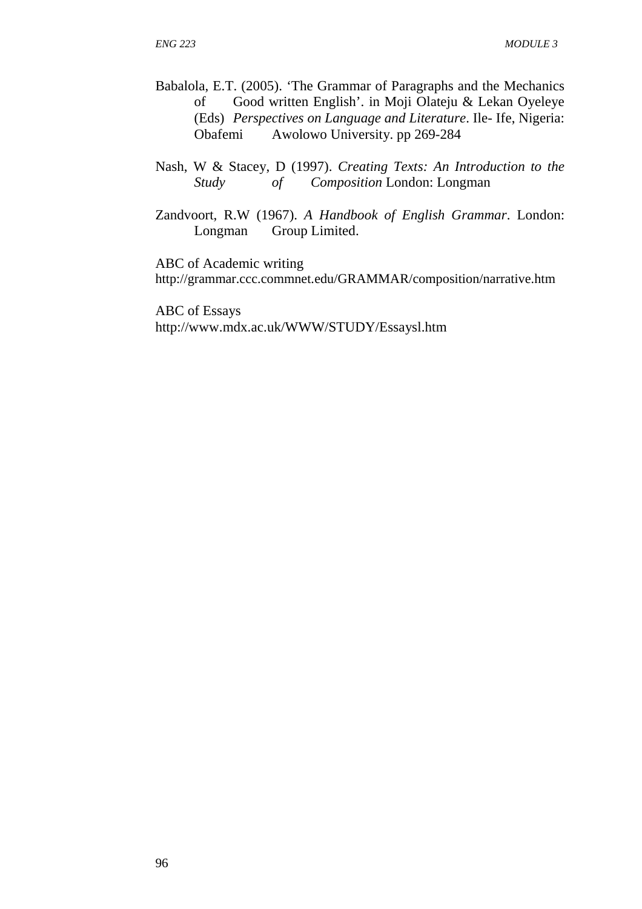- Babalola, E.T. (2005). 'The Grammar of Paragraphs and the Mechanics of Good written English'. in Moji Olateju & Lekan Oyeleye (Eds) *Perspectives on Language and Literature*. Ile- Ife, Nigeria: Obafemi Awolowo University. pp 269-284
- Nash, W & Stacey, D (1997). *Creating Texts: An Introduction to the Study of Composition* London: Longman
- Zandvoort, R.W (1967). *A Handbook of English Grammar*. London: Longman Group Limited.

ABC of Academic writing

http://grammar.ccc.commnet.edu/GRAMMAR/composition/narrative.htm

ABC of Essays http://www.mdx.ac.uk/WWW/STUDY/Essaysl.htm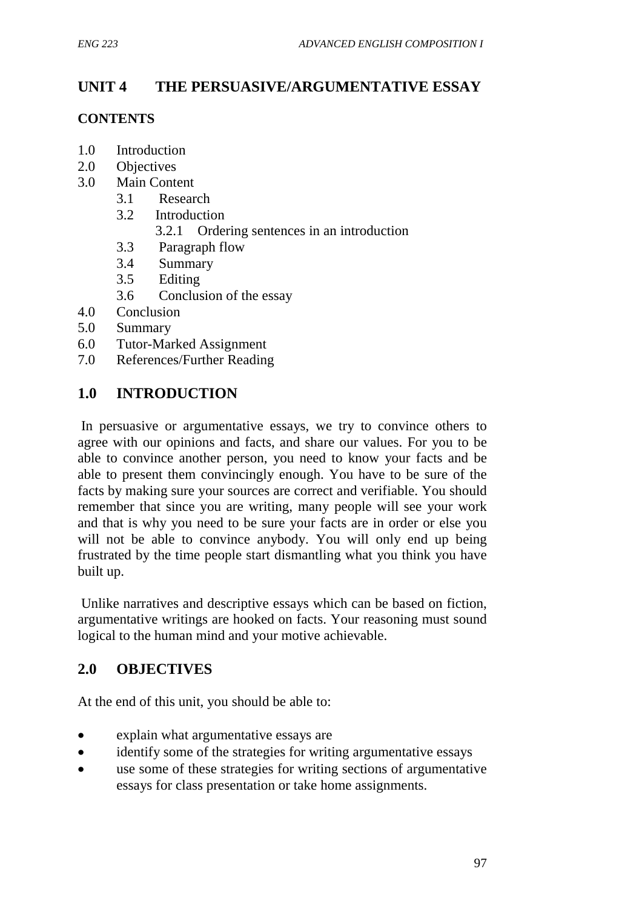# **UNIT 4 THE PERSUASIVE/ARGUMENTATIVE ESSAY**

### **CONTENTS**

- 1.0 Introduction
- 2.0 Objectives
- 3.0 Main Content
	- 3.1 Research
	- 3.2 Introduction
		- 3.2.1 Ordering sentences in an introduction
	- 3.3 Paragraph flow
	- 3.4 Summary
	- 3.5 Editing
	- 3.6 Conclusion of the essay
- 4.0 Conclusion
- 5.0 Summary
- 6.0 Tutor-Marked Assignment
- 7.0 References/Further Reading

# **1.0 INTRODUCTION**

 In persuasive or argumentative essays, we try to convince others to agree with our opinions and facts, and share our values. For you to be able to convince another person, you need to know your facts and be able to present them convincingly enough. You have to be sure of the facts by making sure your sources are correct and verifiable. You should remember that since you are writing, many people will see your work and that is why you need to be sure your facts are in order or else you will not be able to convince anybody. You will only end up being frustrated by the time people start dismantling what you think you have built up.

 Unlike narratives and descriptive essays which can be based on fiction, argumentative writings are hooked on facts. Your reasoning must sound logical to the human mind and your motive achievable.

# **2.0 OBJECTIVES**

At the end of this unit, you should be able to:

- explain what argumentative essays are
- identify some of the strategies for writing argumentative essays
- use some of these strategies for writing sections of argumentative essays for class presentation or take home assignments.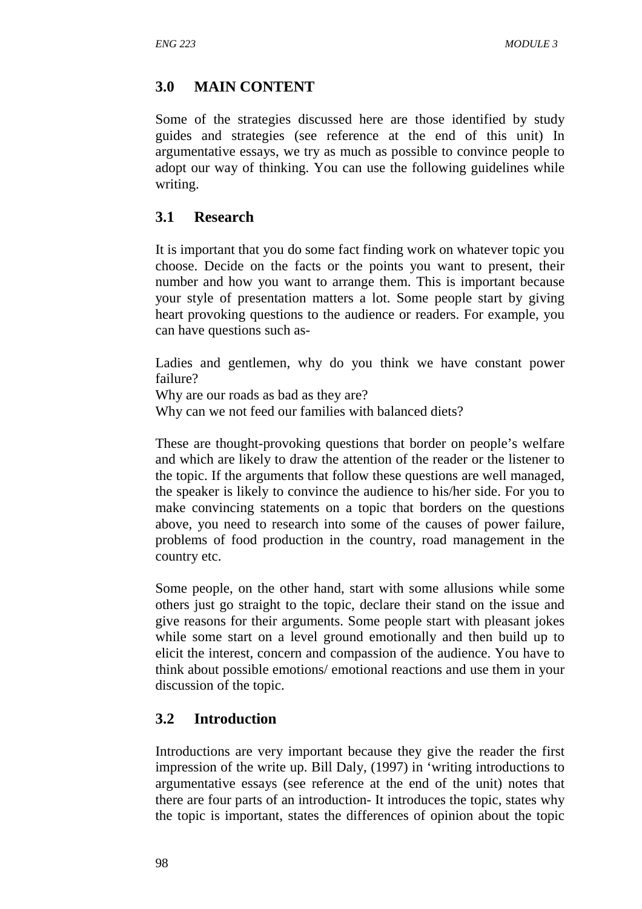# **3.0 MAIN CONTENT**

Some of the strategies discussed here are those identified by study guides and strategies (see reference at the end of this unit) In argumentative essays, we try as much as possible to convince people to adopt our way of thinking. You can use the following guidelines while writing.

## **3.1 Research**

It is important that you do some fact finding work on whatever topic you choose. Decide on the facts or the points you want to present, their number and how you want to arrange them. This is important because your style of presentation matters a lot. Some people start by giving heart provoking questions to the audience or readers. For example, you can have questions such as-

Ladies and gentlemen, why do you think we have constant power failure?

Why are our roads as bad as they are?

Why can we not feed our families with balanced diets?

These are thought-provoking questions that border on people's welfare and which are likely to draw the attention of the reader or the listener to the topic. If the arguments that follow these questions are well managed, the speaker is likely to convince the audience to his/her side. For you to make convincing statements on a topic that borders on the questions above, you need to research into some of the causes of power failure, problems of food production in the country, road management in the country etc.

Some people, on the other hand, start with some allusions while some others just go straight to the topic, declare their stand on the issue and give reasons for their arguments. Some people start with pleasant jokes while some start on a level ground emotionally and then build up to elicit the interest, concern and compassion of the audience. You have to think about possible emotions/ emotional reactions and use them in your discussion of the topic.

## **3.2 Introduction**

Introductions are very important because they give the reader the first impression of the write up. Bill Daly, (1997) in 'writing introductions to argumentative essays (see reference at the end of the unit) notes that there are four parts of an introduction- It introduces the topic, states why the topic is important, states the differences of opinion about the topic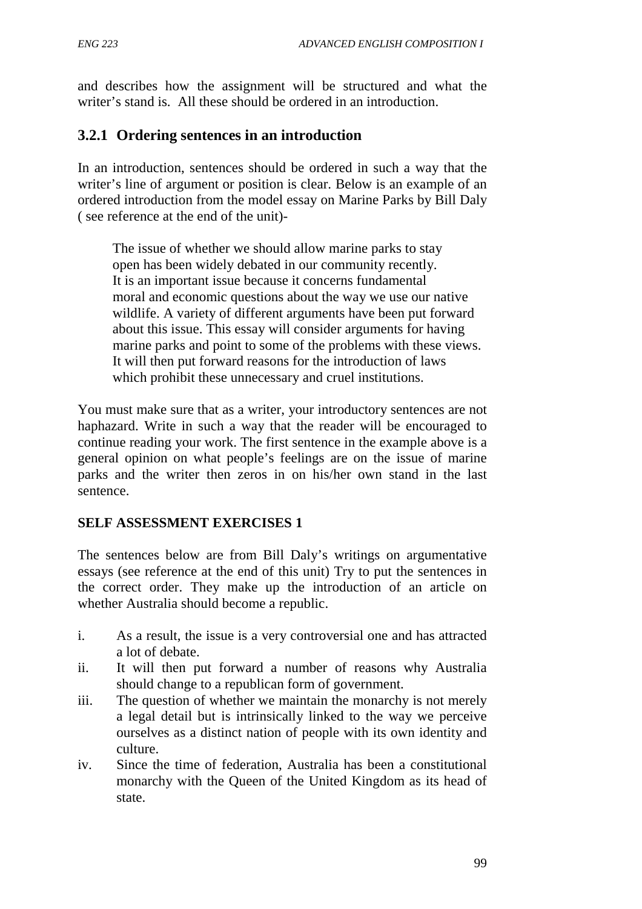and describes how the assignment will be structured and what the writer's stand is. All these should be ordered in an introduction.

## **3.2.1 Ordering sentences in an introduction**

In an introduction, sentences should be ordered in such a way that the writer's line of argument or position is clear. Below is an example of an ordered introduction from the model essay on Marine Parks by Bill Daly ( see reference at the end of the unit)-

 The issue of whether we should allow marine parks to stay open has been widely debated in our community recently. It is an important issue because it concerns fundamental moral and economic questions about the way we use our native wildlife. A variety of different arguments have been put forward about this issue. This essay will consider arguments for having marine parks and point to some of the problems with these views. It will then put forward reasons for the introduction of laws which prohibit these unnecessary and cruel institutions.

You must make sure that as a writer, your introductory sentences are not haphazard. Write in such a way that the reader will be encouraged to continue reading your work. The first sentence in the example above is a general opinion on what people's feelings are on the issue of marine parks and the writer then zeros in on his/her own stand in the last sentence.

#### **SELF ASSESSMENT EXERCISES 1**

The sentences below are from Bill Daly's writings on argumentative essays (see reference at the end of this unit) Try to put the sentences in the correct order. They make up the introduction of an article on whether Australia should become a republic.

- i. As a result, the issue is a very controversial one and has attracted a lot of debate.
- ii. It will then put forward a number of reasons why Australia should change to a republican form of government.
- iii. The question of whether we maintain the monarchy is not merely a legal detail but is intrinsically linked to the way we perceive ourselves as a distinct nation of people with its own identity and culture.
- iv. Since the time of federation, Australia has been a constitutional monarchy with the Queen of the United Kingdom as its head of state.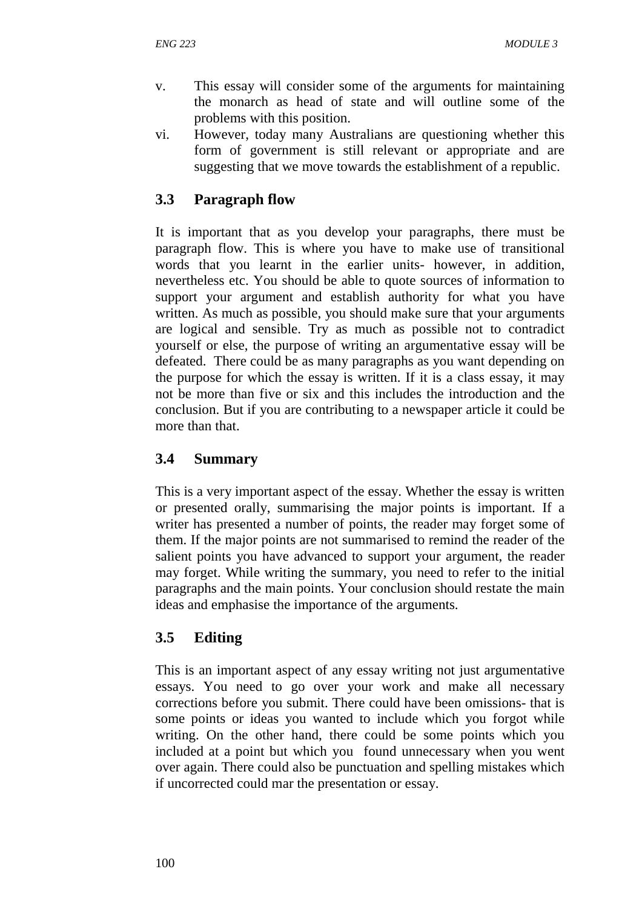- v. This essay will consider some of the arguments for maintaining the monarch as head of state and will outline some of the problems with this position.
- vi. However, today many Australians are questioning whether this form of government is still relevant or appropriate and are suggesting that we move towards the establishment of a republic.

## **3.3 Paragraph flow**

It is important that as you develop your paragraphs, there must be paragraph flow. This is where you have to make use of transitional words that you learnt in the earlier units- however, in addition, nevertheless etc. You should be able to quote sources of information to support your argument and establish authority for what you have written. As much as possible, you should make sure that your arguments are logical and sensible. Try as much as possible not to contradict yourself or else, the purpose of writing an argumentative essay will be defeated. There could be as many paragraphs as you want depending on the purpose for which the essay is written. If it is a class essay, it may not be more than five or six and this includes the introduction and the conclusion. But if you are contributing to a newspaper article it could be more than that.

## **3.4 Summary**

This is a very important aspect of the essay. Whether the essay is written or presented orally, summarising the major points is important. If a writer has presented a number of points, the reader may forget some of them. If the major points are not summarised to remind the reader of the salient points you have advanced to support your argument, the reader may forget. While writing the summary, you need to refer to the initial paragraphs and the main points. Your conclusion should restate the main ideas and emphasise the importance of the arguments.

## **3.5 Editing**

This is an important aspect of any essay writing not just argumentative essays. You need to go over your work and make all necessary corrections before you submit. There could have been omissions- that is some points or ideas you wanted to include which you forgot while writing. On the other hand, there could be some points which you included at a point but which you found unnecessary when you went over again. There could also be punctuation and spelling mistakes which if uncorrected could mar the presentation or essay.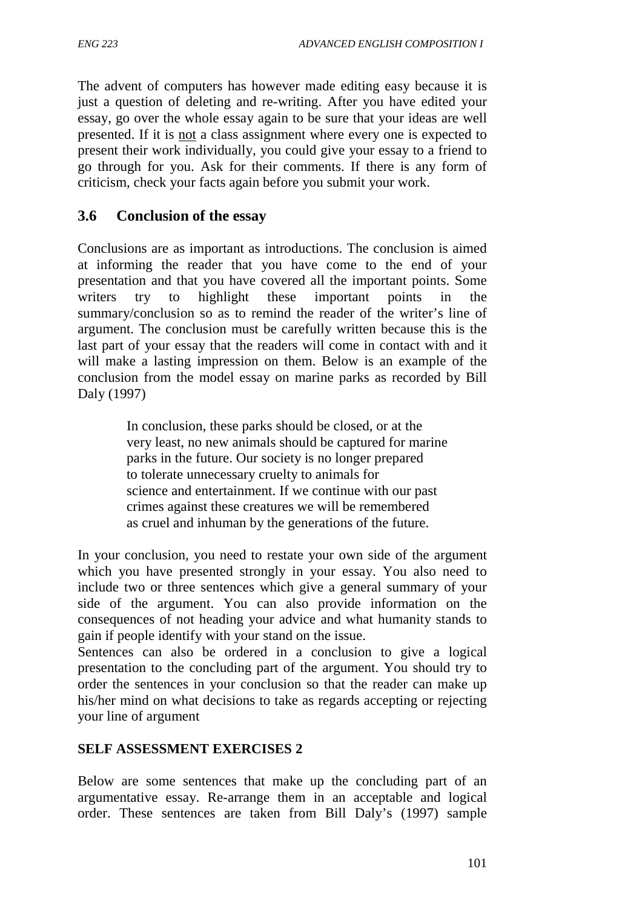The advent of computers has however made editing easy because it is just a question of deleting and re-writing. After you have edited your essay, go over the whole essay again to be sure that your ideas are well presented. If it is not a class assignment where every one is expected to present their work individually, you could give your essay to a friend to go through for you. Ask for their comments. If there is any form of criticism, check your facts again before you submit your work.

### **3.6 Conclusion of the essay**

Conclusions are as important as introductions. The conclusion is aimed at informing the reader that you have come to the end of your presentation and that you have covered all the important points. Some writers try to highlight these important points in the summary/conclusion so as to remind the reader of the writer's line of argument. The conclusion must be carefully written because this is the last part of your essay that the readers will come in contact with and it will make a lasting impression on them. Below is an example of the conclusion from the model essay on marine parks as recorded by Bill Daly (1997)

> In conclusion, these parks should be closed, or at the very least, no new animals should be captured for marine parks in the future. Our society is no longer prepared to tolerate unnecessary cruelty to animals for science and entertainment. If we continue with our past crimes against these creatures we will be remembered as cruel and inhuman by the generations of the future.

In your conclusion, you need to restate your own side of the argument which you have presented strongly in your essay. You also need to include two or three sentences which give a general summary of your side of the argument. You can also provide information on the consequences of not heading your advice and what humanity stands to gain if people identify with your stand on the issue.

Sentences can also be ordered in a conclusion to give a logical presentation to the concluding part of the argument. You should try to order the sentences in your conclusion so that the reader can make up his/her mind on what decisions to take as regards accepting or rejecting your line of argument

#### **SELF ASSESSMENT EXERCISES 2**

Below are some sentences that make up the concluding part of an argumentative essay. Re-arrange them in an acceptable and logical order. These sentences are taken from Bill Daly's (1997) sample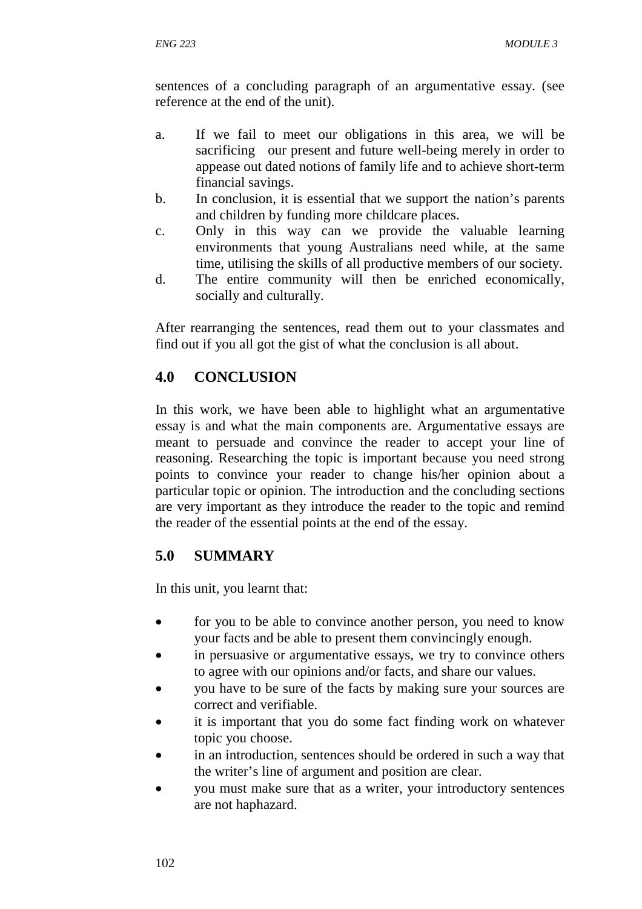sentences of a concluding paragraph of an argumentative essay. (see reference at the end of the unit).

- a. If we fail to meet our obligations in this area, we will be sacrificing our present and future well-being merely in order to appease out dated notions of family life and to achieve short-term financial savings.
- b. In conclusion, it is essential that we support the nation's parents and children by funding more childcare places.
- c. Only in this way can we provide the valuable learning environments that young Australians need while, at the same time, utilising the skills of all productive members of our society.
- d. The entire community will then be enriched economically, socially and culturally.

After rearranging the sentences, read them out to your classmates and find out if you all got the gist of what the conclusion is all about.

## **4.0 CONCLUSION**

In this work, we have been able to highlight what an argumentative essay is and what the main components are. Argumentative essays are meant to persuade and convince the reader to accept your line of reasoning. Researching the topic is important because you need strong points to convince your reader to change his/her opinion about a particular topic or opinion. The introduction and the concluding sections are very important as they introduce the reader to the topic and remind the reader of the essential points at the end of the essay.

## **5.0 SUMMARY**

In this unit, you learnt that:

- for you to be able to convince another person, you need to know your facts and be able to present them convincingly enough.
- in persuasive or argumentative essays, we try to convince others to agree with our opinions and/or facts, and share our values.
- you have to be sure of the facts by making sure your sources are correct and verifiable.
- it is important that you do some fact finding work on whatever topic you choose.
- in an introduction, sentences should be ordered in such a way that the writer's line of argument and position are clear.
- you must make sure that as a writer, your introductory sentences are not haphazard.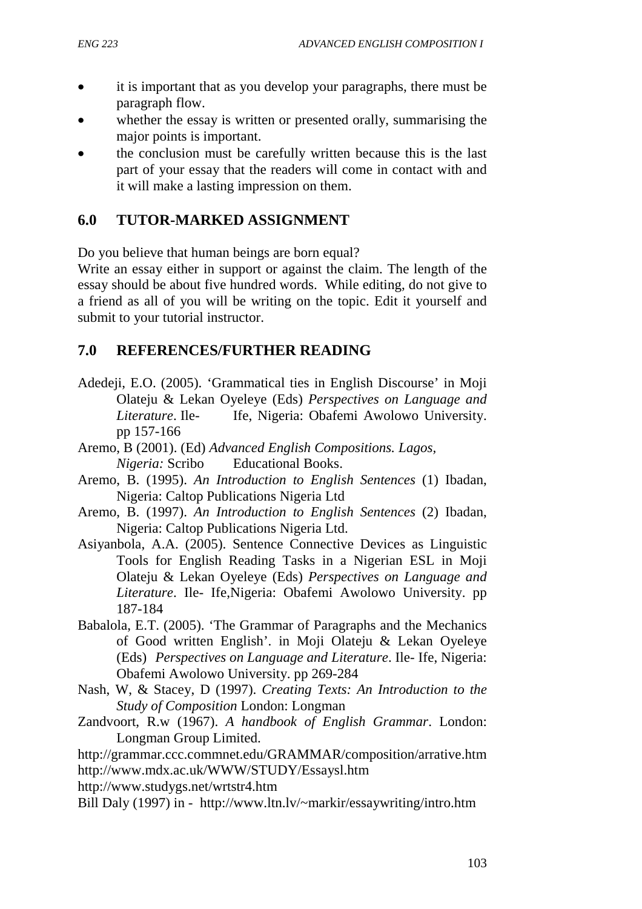- it is important that as you develop your paragraphs, there must be paragraph flow.
- whether the essay is written or presented orally, summarising the major points is important.
- the conclusion must be carefully written because this is the last part of your essay that the readers will come in contact with and it will make a lasting impression on them.

### **6.0 TUTOR-MARKED ASSIGNMENT**

Do you believe that human beings are born equal?

Write an essay either in support or against the claim. The length of the essay should be about five hundred words. While editing, do not give to a friend as all of you will be writing on the topic. Edit it yourself and submit to your tutorial instructor.

### **7.0 REFERENCES/FURTHER READING**

- Adedeji, E.O. (2005). 'Grammatical ties in English Discourse' in Moji Olateju & Lekan Oyeleye (Eds) *Perspectives on Language and Literature*. Ile- Ife, Nigeria: Obafemi Awolowo University. pp 157-166
- Aremo, B (2001). (Ed) *Advanced English Compositions. Lagos, Nigeria:* Scribo Educational Books.
- Aremo, B. (1995). *An Introduction to English Sentences* (1) Ibadan, Nigeria: Caltop Publications Nigeria Ltd
- Aremo, B. (1997). *An Introduction to English Sentences* (2) Ibadan, Nigeria: Caltop Publications Nigeria Ltd.
- Asiyanbola, A.A. (2005). Sentence Connective Devices as Linguistic Tools for English Reading Tasks in a Nigerian ESL in Moji Olateju & Lekan Oyeleye (Eds) *Perspectives on Language and Literature*. Ile- Ife,Nigeria: Obafemi Awolowo University. pp 187-184
- Babalola, E.T. (2005). 'The Grammar of Paragraphs and the Mechanics of Good written English'. in Moji Olateju & Lekan Oyeleye (Eds) *Perspectives on Language and Literature*. Ile- Ife, Nigeria: Obafemi Awolowo University. pp 269-284
- Nash, W, & Stacey, D (1997). *Creating Texts: An Introduction to the Study of Composition* London: Longman
- Zandvoort, R.w (1967). *A handbook of English Grammar*. London: Longman Group Limited.

http://grammar.ccc.commnet.edu/GRAMMAR/composition/arrative.htm http://www.mdx.ac.uk/WWW/STUDY/Essaysl.htm

http://www.studygs.net/wrtstr4.htm

Bill Daly (1997) in - http://www.ltn.lv/~markir/essaywriting/intro.htm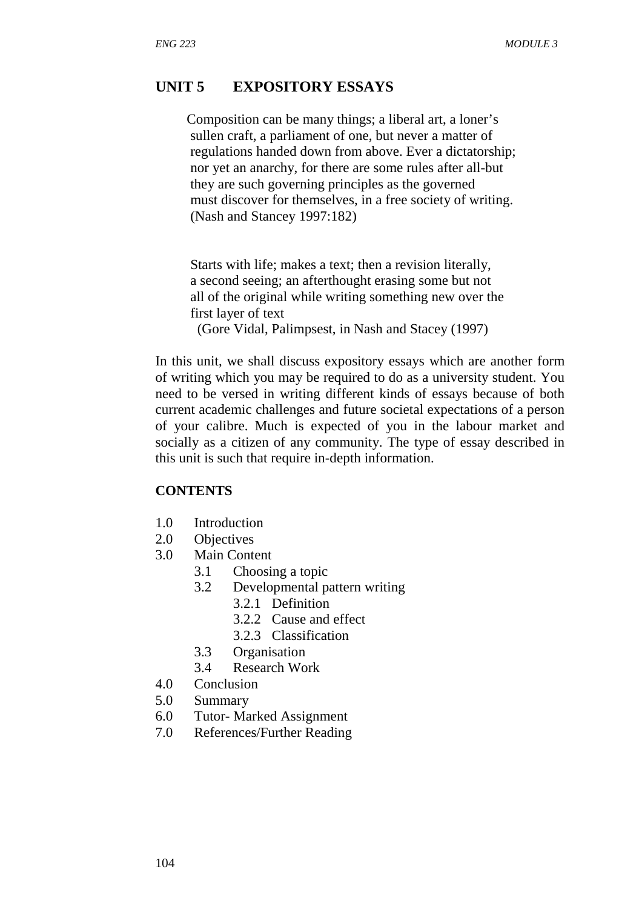#### **UNIT 5 EXPOSITORY ESSAYS**

 Composition can be many things; a liberal art, a loner's sullen craft, a parliament of one, but never a matter of regulations handed down from above. Ever a dictatorship; nor yet an anarchy, for there are some rules after all-but they are such governing principles as the governed must discover for themselves, in a free society of writing. (Nash and Stancey 1997:182)

 Starts with life; makes a text; then a revision literally, a second seeing; an afterthought erasing some but not all of the original while writing something new over the first layer of text (Gore Vidal, Palimpsest, in Nash and Stacey (1997)

In this unit, we shall discuss expository essays which are another form of writing which you may be required to do as a university student. You need to be versed in writing different kinds of essays because of both current academic challenges and future societal expectations of a person of your calibre. Much is expected of you in the labour market and socially as a citizen of any community. The type of essay described in this unit is such that require in-depth information.

#### **CONTENTS**

- 1.0 Introduction
- 2.0 Objectives
- 3.0 Main Content
	- 3.1 Choosing a topic
	- 3.2 Developmental pattern writing
		- 3.2.1 Definition
			- 3.2.2 Cause and effect
			- 3.2.3 Classification
	- 3.3 Organisation
	- 3.4 Research Work
- 4.0 Conclusion
- 5.0 Summary
- 6.0 Tutor- Marked Assignment
- 7.0 References/Further Reading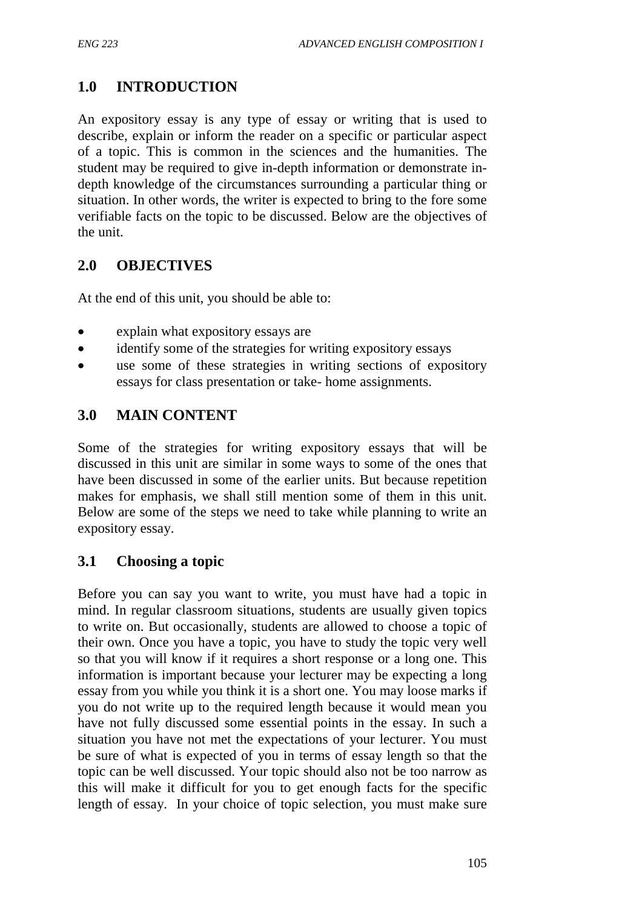## **1.0 INTRODUCTION**

An expository essay is any type of essay or writing that is used to describe, explain or inform the reader on a specific or particular aspect of a topic. This is common in the sciences and the humanities. The student may be required to give in-depth information or demonstrate indepth knowledge of the circumstances surrounding a particular thing or situation. In other words, the writer is expected to bring to the fore some verifiable facts on the topic to be discussed. Below are the objectives of the unit.

## **2.0 OBJECTIVES**

At the end of this unit, you should be able to:

- explain what expository essays are
- identify some of the strategies for writing expository essays
- use some of these strategies in writing sections of expository essays for class presentation or take- home assignments.

## **3.0 MAIN CONTENT**

Some of the strategies for writing expository essays that will be discussed in this unit are similar in some ways to some of the ones that have been discussed in some of the earlier units. But because repetition makes for emphasis, we shall still mention some of them in this unit. Below are some of the steps we need to take while planning to write an expository essay.

#### **3.1 Choosing a topic**

Before you can say you want to write, you must have had a topic in mind. In regular classroom situations, students are usually given topics to write on. But occasionally, students are allowed to choose a topic of their own. Once you have a topic, you have to study the topic very well so that you will know if it requires a short response or a long one. This information is important because your lecturer may be expecting a long essay from you while you think it is a short one. You may loose marks if you do not write up to the required length because it would mean you have not fully discussed some essential points in the essay. In such a situation you have not met the expectations of your lecturer. You must be sure of what is expected of you in terms of essay length so that the topic can be well discussed. Your topic should also not be too narrow as this will make it difficult for you to get enough facts for the specific length of essay. In your choice of topic selection, you must make sure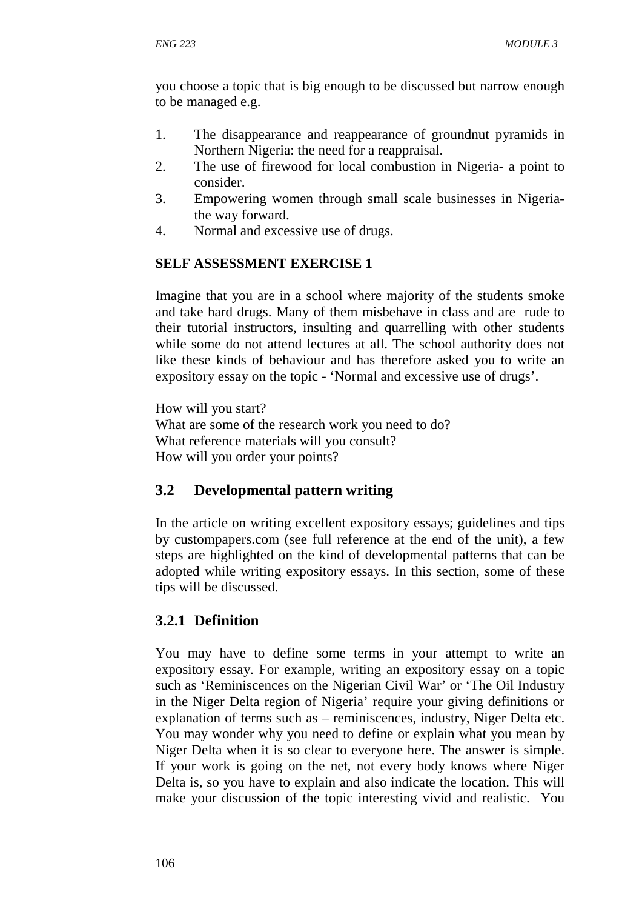you choose a topic that is big enough to be discussed but narrow enough to be managed e.g.

- 1. The disappearance and reappearance of groundnut pyramids in Northern Nigeria: the need for a reappraisal.
- 2. The use of firewood for local combustion in Nigeria- a point to consider.
- 3. Empowering women through small scale businesses in Nigeriathe way forward.
- 4. Normal and excessive use of drugs.

### **SELF ASSESSMENT EXERCISE 1**

Imagine that you are in a school where majority of the students smoke and take hard drugs. Many of them misbehave in class and are rude to their tutorial instructors, insulting and quarrelling with other students while some do not attend lectures at all. The school authority does not like these kinds of behaviour and has therefore asked you to write an expository essay on the topic - 'Normal and excessive use of drugs'.

How will you start? What are some of the research work you need to do? What reference materials will you consult? How will you order your points?

## **3.2 Developmental pattern writing**

In the article on writing excellent expository essays; guidelines and tips by custompapers.com (see full reference at the end of the unit), a few steps are highlighted on the kind of developmental patterns that can be adopted while writing expository essays. In this section, some of these tips will be discussed.

## **3.2.1 Definition**

You may have to define some terms in your attempt to write an expository essay. For example, writing an expository essay on a topic such as 'Reminiscences on the Nigerian Civil War' or 'The Oil Industry in the Niger Delta region of Nigeria' require your giving definitions or explanation of terms such as – reminiscences, industry, Niger Delta etc. You may wonder why you need to define or explain what you mean by Niger Delta when it is so clear to everyone here. The answer is simple. If your work is going on the net, not every body knows where Niger Delta is, so you have to explain and also indicate the location. This will make your discussion of the topic interesting vivid and realistic. You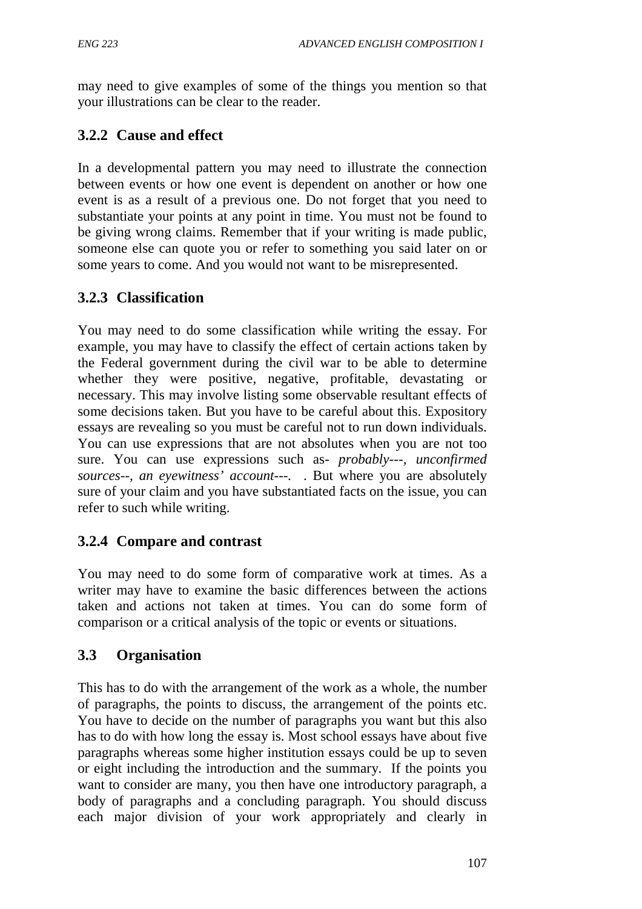may need to give examples of some of the things you mention so that your illustrations can be clear to the reader.

## **3.2.2 Cause and effect**

In a developmental pattern you may need to illustrate the connection between events or how one event is dependent on another or how one event is as a result of a previous one. Do not forget that you need to substantiate your points at any point in time. You must not be found to be giving wrong claims. Remember that if your writing is made public, someone else can quote you or refer to something you said later on or some years to come. And you would not want to be misrepresented.

# **3.2.3 Classification**

You may need to do some classification while writing the essay. For example, you may have to classify the effect of certain actions taken by the Federal government during the civil war to be able to determine whether they were positive, negative, profitable, devastating or necessary. This may involve listing some observable resultant effects of some decisions taken. But you have to be careful about this. Expository essays are revealing so you must be careful not to run down individuals. You can use expressions that are not absolutes when you are not too sure. You can use expressions such as- *probably---, unconfirmed sources--, an eyewitness' account---.* . But where you are absolutely sure of your claim and you have substantiated facts on the issue, you can refer to such while writing.

## **3.2.4 Compare and contrast**

You may need to do some form of comparative work at times. As a writer may have to examine the basic differences between the actions taken and actions not taken at times. You can do some form of comparison or a critical analysis of the topic or events or situations.

## **3.3 Organisation**

This has to do with the arrangement of the work as a whole, the number of paragraphs, the points to discuss, the arrangement of the points etc. You have to decide on the number of paragraphs you want but this also has to do with how long the essay is. Most school essays have about five paragraphs whereas some higher institution essays could be up to seven or eight including the introduction and the summary. If the points you want to consider are many, you then have one introductory paragraph, a body of paragraphs and a concluding paragraph. You should discuss each major division of your work appropriately and clearly in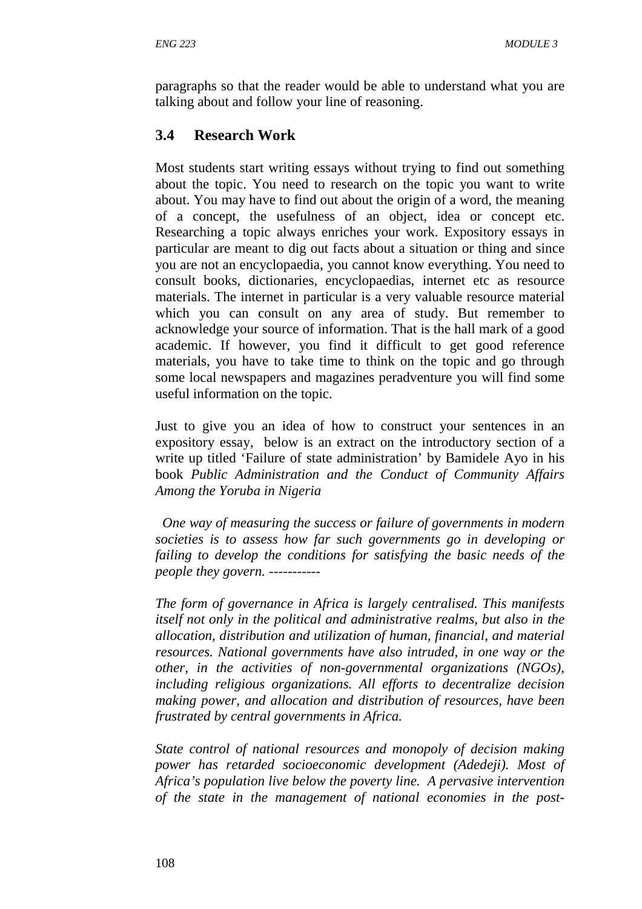paragraphs so that the reader would be able to understand what you are talking about and follow your line of reasoning.

## **3.4 Research Work**

Most students start writing essays without trying to find out something about the topic. You need to research on the topic you want to write about. You may have to find out about the origin of a word, the meaning of a concept, the usefulness of an object, idea or concept etc. Researching a topic always enriches your work. Expository essays in particular are meant to dig out facts about a situation or thing and since you are not an encyclopaedia, you cannot know everything. You need to consult books, dictionaries, encyclopaedias, internet etc as resource materials. The internet in particular is a very valuable resource material which you can consult on any area of study. But remember to acknowledge your source of information. That is the hall mark of a good academic. If however, you find it difficult to get good reference materials, you have to take time to think on the topic and go through some local newspapers and magazines peradventure you will find some useful information on the topic.

Just to give you an idea of how to construct your sentences in an expository essay, below is an extract on the introductory section of a write up titled 'Failure of state administration' by Bamidele Ayo in his book *Public Administration and the Conduct of Community Affairs Among the Yoruba in Nigeria*

 *One way of measuring the success or failure of governments in modern societies is to assess how far such governments go in developing or failing to develop the conditions for satisfying the basic needs of the people they govern. -----------* 

*The form of governance in Africa is largely centralised. This manifests itself not only in the political and administrative realms, but also in the allocation, distribution and utilization of human, financial, and material resources. National governments have also intruded, in one way or the other, in the activities of non-governmental organizations (NGOs), including religious organizations. All efforts to decentralize decision making power, and allocation and distribution of resources, have been frustrated by central governments in Africa.* 

*State control of national resources and monopoly of decision making power has retarded socioeconomic development (Adedeji). Most of Africa's population live below the poverty line. A pervasive intervention of the state in the management of national economies in the post-*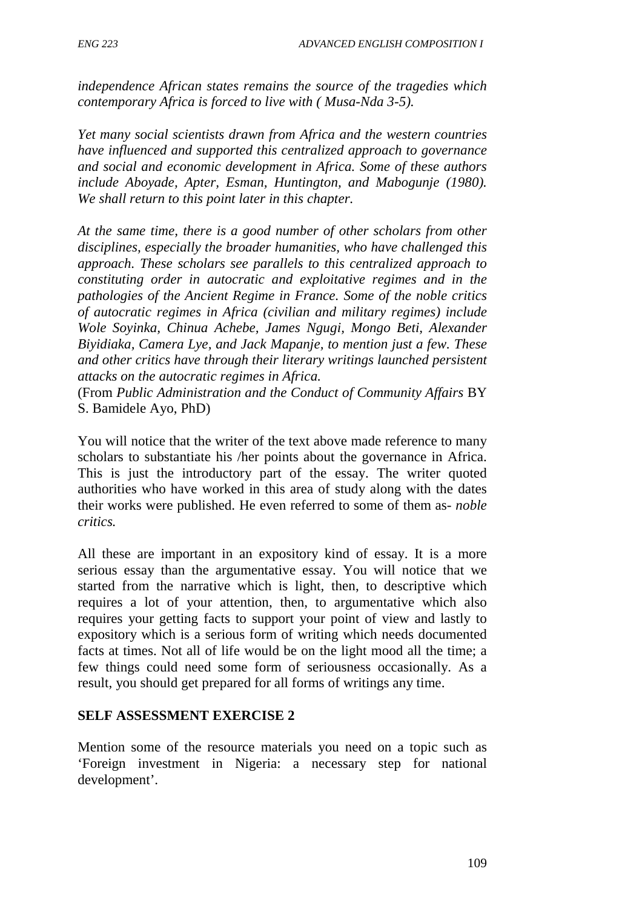*independence African states remains the source of the tragedies which contemporary Africa is forced to live with ( Musa-Nda 3-5).* 

*Yet many social scientists drawn from Africa and the western countries have influenced and supported this centralized approach to governance and social and economic development in Africa. Some of these authors include Aboyade, Apter, Esman, Huntington, and Mabogunje (1980). We shall return to this point later in this chapter.* 

*At the same time, there is a good number of other scholars from other disciplines, especially the broader humanities, who have challenged this approach. These scholars see parallels to this centralized approach to constituting order in autocratic and exploitative regimes and in the pathologies of the Ancient Regime in France. Some of the noble critics of autocratic regimes in Africa (civilian and military regimes) include Wole Soyinka, Chinua Achebe, James Ngugi, Mongo Beti, Alexander Biyidiaka, Camera Lye, and Jack Mapanje, to mention just a few. These and other critics have through their literary writings launched persistent attacks on the autocratic regimes in Africa.* 

(From *Public Administration and the Conduct of Community Affairs* BY S. Bamidele Ayo, PhD)

You will notice that the writer of the text above made reference to many scholars to substantiate his /her points about the governance in Africa. This is just the introductory part of the essay. The writer quoted authorities who have worked in this area of study along with the dates their works were published. He even referred to some of them as- *noble critics.*

All these are important in an expository kind of essay. It is a more serious essay than the argumentative essay. You will notice that we started from the narrative which is light, then, to descriptive which requires a lot of your attention, then, to argumentative which also requires your getting facts to support your point of view and lastly to expository which is a serious form of writing which needs documented facts at times. Not all of life would be on the light mood all the time; a few things could need some form of seriousness occasionally. As a result, you should get prepared for all forms of writings any time.

#### **SELF ASSESSMENT EXERCISE 2**

Mention some of the resource materials you need on a topic such as 'Foreign investment in Nigeria: a necessary step for national development'.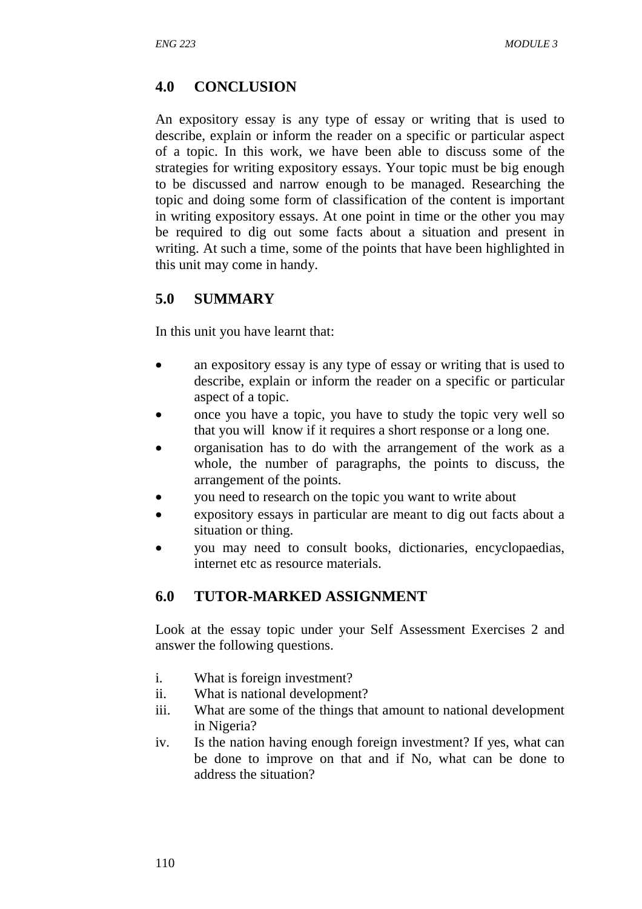## **4.0 CONCLUSION**

An expository essay is any type of essay or writing that is used to describe, explain or inform the reader on a specific or particular aspect of a topic. In this work, we have been able to discuss some of the strategies for writing expository essays. Your topic must be big enough to be discussed and narrow enough to be managed. Researching the topic and doing some form of classification of the content is important in writing expository essays. At one point in time or the other you may be required to dig out some facts about a situation and present in writing. At such a time, some of the points that have been highlighted in this unit may come in handy.

### **5.0 SUMMARY**

In this unit you have learnt that:

- an expository essay is any type of essay or writing that is used to describe, explain or inform the reader on a specific or particular aspect of a topic.
- once you have a topic, you have to study the topic very well so that you will know if it requires a short response or a long one.
- organisation has to do with the arrangement of the work as a whole, the number of paragraphs, the points to discuss, the arrangement of the points.
- you need to research on the topic you want to write about
- expository essays in particular are meant to dig out facts about a situation or thing.
- you may need to consult books, dictionaries, encyclopaedias, internet etc as resource materials.

#### **6.0 TUTOR-MARKED ASSIGNMENT**

Look at the essay topic under your Self Assessment Exercises 2 and answer the following questions.

- i. What is foreign investment?
- ii. What is national development?
- iii. What are some of the things that amount to national development in Nigeria?
- iv. Is the nation having enough foreign investment? If yes, what can be done to improve on that and if No, what can be done to address the situation?